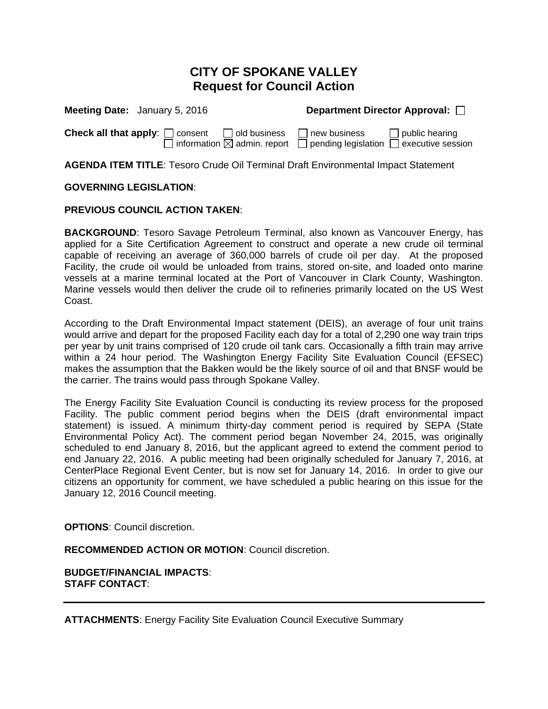# **CITY OF SPOKANE VALLEY Request for Council Action**

| Meeting Date: January 5, 2016                                                                              | Department Director Approval: □                                                     |
|------------------------------------------------------------------------------------------------------------|-------------------------------------------------------------------------------------|
| <b>Check all that apply:</b> $\Box$ consent $\Box$ old business<br>] information $\boxtimes$ admin. report | $\Box$ public hearing<br>I new business<br>pending legislation<br>executive session |

**AGENDA ITEM TITLE**: Tesoro Crude Oil Terminal Draft Environmental Impact Statement

#### **GOVERNING LEGISLATION**:

#### **PREVIOUS COUNCIL ACTION TAKEN**:

**BACKGROUND**: Tesoro Savage Petroleum Terminal, also known as Vancouver Energy, has applied for a Site Certification Agreement to construct and operate a new crude oil terminal capable of receiving an average of 360,000 barrels of crude oil per day. At the proposed Facility, the crude oil would be unloaded from trains, stored on-site, and loaded onto marine vessels at a marine terminal located at the Port of Vancouver in Clark County, Washington. Marine vessels would then deliver the crude oil to refineries primarily located on the US West Coast.

According to the Draft Environmental Impact statement (DEIS), an average of four unit trains would arrive and depart for the proposed Facility each day for a total of 2,290 one way train trips per year by unit trains comprised of 120 crude oil tank cars. Occasionally a fifth train may arrive within a 24 hour period. The Washington Energy Facility Site Evaluation Council (EFSEC) makes the assumption that the Bakken would be the likely source of oil and that BNSF would be the carrier. The trains would pass through Spokane Valley.

The Energy Facility Site Evaluation Council is conducting its review process for the proposed Facility. The public comment period begins when the DEIS (draft environmental impact statement) is issued. A minimum thirty-day comment period is required by SEPA (State Environmental Policy Act). The comment period began November 24, 2015, was originally scheduled to end January 8, 2016, but the applicant agreed to extend the comment period to end January 22, 2016. A public meeting had been originally scheduled for January 7, 2016, at CenterPlace Regional Event Center, but is now set for January 14, 2016. In order to give our citizens an opportunity for comment, we have scheduled a public hearing on this issue for the January 12, 2016 Council meeting.

**OPTIONS**: Council discretion.

**RECOMMENDED ACTION OR MOTION**: Council discretion.

**BUDGET/FINANCIAL IMPACTS**: **STAFF CONTACT**:

**ATTACHMENTS**: Energy Facility Site Evaluation Council Executive Summary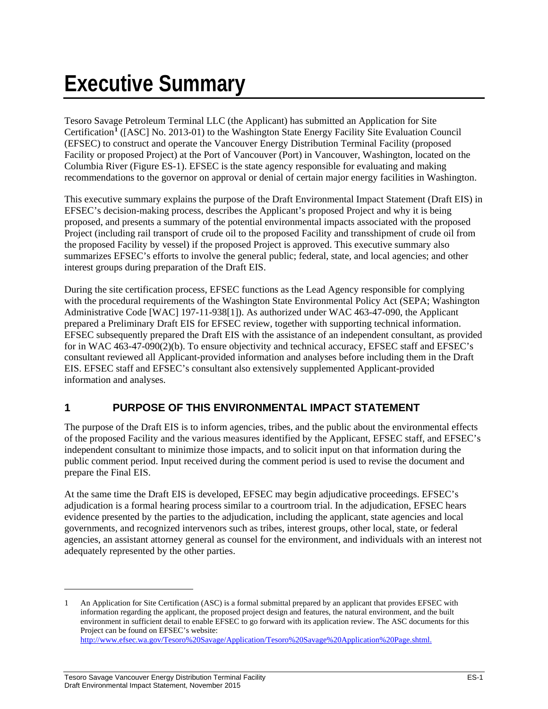# **Executive Summary**

Tesoro Savage Petroleum Terminal LLC (the Applicant) has submitted an Application for Site Certification**[1](#page-2-0)** ([ASC] No. 2013-01) to the Washington State Energy Facility Site Evaluation Council (EFSEC) to construct and operate the Vancouver Energy Distribution Terminal Facility (proposed Facility or proposed Project) at the Port of Vancouver (Port) in Vancouver, Washington, located on the Columbia River (Figure ES-1). EFSEC is the state agency responsible for evaluating and making recommendations to the governor on approval or denial of certain major energy facilities in Washington.

This executive summary explains the purpose of the Draft Environmental Impact Statement (Draft EIS) in EFSEC's decision-making process, describes the Applicant's proposed Project and why it is being proposed, and presents a summary of the potential environmental impacts associated with the proposed Project (including rail transport of crude oil to the proposed Facility and transshipment of crude oil from the proposed Facility by vessel) if the proposed Project is approved. This executive summary also summarizes EFSEC's efforts to involve the general public; federal, state, and local agencies; and other interest groups during preparation of the Draft EIS.

During the site certification process, EFSEC functions as the Lead Agency responsible for complying with the procedural requirements of the Washington State Environmental Policy Act (SEPA; Washington Administrative Code [WAC] 197-11-938[1]). As authorized under WAC 463-47-090, the Applicant prepared a Preliminary Draft EIS for EFSEC review, together with supporting technical information. EFSEC subsequently prepared the Draft EIS with the assistance of an independent consultant, as provided for in WAC 463-47-090(2)(b). To ensure objectivity and technical accuracy, EFSEC staff and EFSEC's consultant reviewed all Applicant-provided information and analyses before including them in the Draft EIS. EFSEC staff and EFSEC's consultant also extensively supplemented Applicant-provided information and analyses.

# **1 PURPOSE OF THIS ENVIRONMENTAL IMPACT STATEMENT**

The purpose of the Draft EIS is to inform agencies, tribes, and the public about the environmental effects of the proposed Facility and the various measures identified by the Applicant, EFSEC staff, and EFSEC's independent consultant to minimize those impacts, and to solicit input on that information during the public comment period. Input received during the comment period is used to revise the document and prepare the Final EIS.

At the same time the Draft EIS is developed, EFSEC may begin adjudicative proceedings. EFSEC's adjudication is a formal hearing process similar to a courtroom trial. In the adjudication, EFSEC hears evidence presented by the parties to the adjudication, including the applicant, state agencies and local governments, and recognized intervenors such as tribes, interest groups, other local, state, or federal agencies, an assistant attorney general as counsel for the environment, and individuals with an interest not adequately represented by the other parties.

 $\overline{a}$ 

<span id="page-2-0"></span><sup>1</sup> An Application for Site Certification (ASC) is a formal submittal prepared by an applicant that provides EFSEC with information regarding the applicant, the proposed project design and features, the natural environment, and the built environment in sufficient detail to enable EFSEC to go forward with its application review. The ASC documents for this Project can be found on EFSEC's website: [http://www.efsec.wa.gov/Tesoro%20Savage/Application/Tesoro%20Savage%20Application%20Page.shtml.](http://www.efsec.wa.gov/Tesoro%20Savage/Application/Tesoro%20Savage%20Application%20Page.shtml)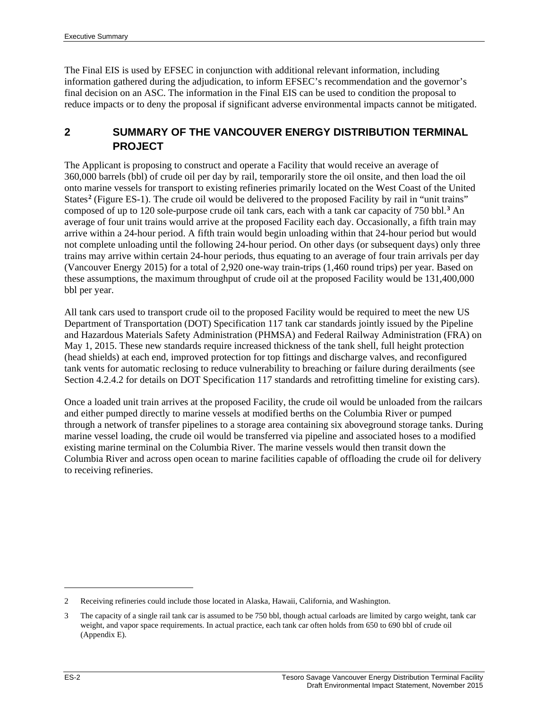The Final EIS is used by EFSEC in conjunction with additional relevant information, including information gathered during the adjudication, to inform EFSEC's recommendation and the governor's final decision on an ASC. The information in the Final EIS can be used to condition the proposal to reduce impacts or to deny the proposal if significant adverse environmental impacts cannot be mitigated.

# **2 SUMMARY OF THE VANCOUVER ENERGY DISTRIBUTION TERMINAL PROJECT**

The Applicant is proposing to construct and operate a Facility that would receive an average of 360,000 barrels (bbl) of crude oil per day by rail, temporarily store the oil onsite, and then load the oil onto marine vessels for transport to existing refineries primarily located on the West Coast of the United States**[2](#page-3-0)** (Figure ES-1). The crude oil would be delivered to the proposed Facility by rail in "unit trains" composed of up to 120 sole-purpose crude oil tank cars, each with a tank car capacity of 750 bbl. **[3](#page-3-1)** An average of four unit trains would arrive at the proposed Facility each day. Occasionally, a fifth train may arrive within a 24-hour period. A fifth train would begin unloading within that 24-hour period but would not complete unloading until the following 24-hour period. On other days (or subsequent days) only three trains may arrive within certain 24-hour periods, thus equating to an average of four train arrivals per day (Vancouver Energy 2015) for a total of 2,920 one-way train-trips (1,460 round trips) per year. Based on these assumptions, the maximum throughput of crude oil at the proposed Facility would be 131,400,000 bbl per year.

All tank cars used to transport crude oil to the proposed Facility would be required to meet the new US Department of Transportation (DOT) Specification 117 tank car standards jointly issued by the Pipeline and Hazardous Materials Safety Administration (PHMSA) and Federal Railway Administration (FRA) on May 1, 2015. These new standards require increased thickness of the tank shell, full height protection (head shields) at each end, improved protection for top fittings and discharge valves, and reconfigured tank vents for automatic reclosing to reduce vulnerability to breaching or failure during derailments (see Section 4.2.4.2 for details on DOT Specification 117 standards and retrofitting timeline for existing cars).

Once a loaded unit train arrives at the proposed Facility, the crude oil would be unloaded from the railcars and either pumped directly to marine vessels at modified berths on the Columbia River or pumped through a network of transfer pipelines to a storage area containing six aboveground storage tanks. During marine vessel loading, the crude oil would be transferred via pipeline and associated hoses to a modified existing marine terminal on the Columbia River. The marine vessels would then transit down the Columbia River and across open ocean to marine facilities capable of offloading the crude oil for delivery to receiving refineries.

 $\overline{a}$ 

<span id="page-3-0"></span><sup>2</sup> Receiving refineries could include those located in Alaska, Hawaii, California, and Washington.

<span id="page-3-1"></span><sup>3</sup> The capacity of a single rail tank car is assumed to be 750 bbl, though actual carloads are limited by cargo weight, tank car weight, and vapor space requirements. In actual practice, each tank car often holds from 650 to 690 bbl of crude oil (Appendix E).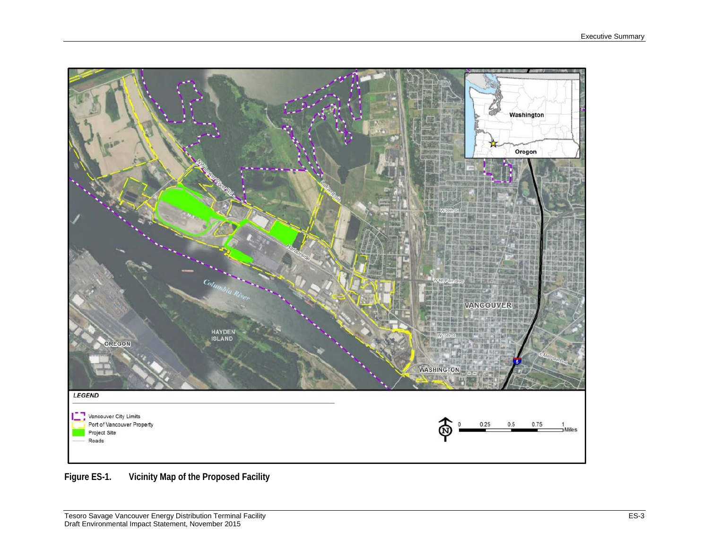

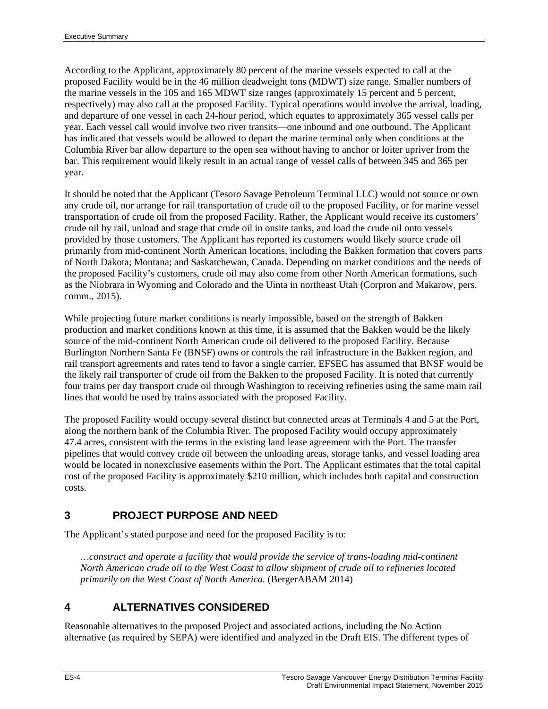According to the Applicant, approximately 80 percent of the marine vessels expected to call at the proposed Facility would be in the 46 million deadweight tons (MDWT) size range. Smaller numbers of the marine vessels in the 105 and 165 MDWT size ranges (approximately 15 percent and 5 percent, respectively) may also call at the proposed Facility. Typical operations would involve the arrival, loading, and departure of one vessel in each 24-hour period, which equates to approximately 365 vessel calls per year. Each vessel call would involve two river transits—one inbound and one outbound. The Applicant has indicated that vessels would be allowed to depart the marine terminal only when conditions at the Columbia River bar allow departure to the open sea without having to anchor or loiter upriver from the bar. This requirement would likely result in an actual range of vessel calls of between 345 and 365 per year.

It should be noted that the Applicant (Tesoro Savage Petroleum Terminal LLC) would not source or own any crude oil, nor arrange for rail transportation of crude oil to the proposed Facility, or for marine vessel transportation of crude oil from the proposed Facility. Rather, the Applicant would receive its customers' crude oil by rail, unload and stage that crude oil in onsite tanks, and load the crude oil onto vessels provided by those customers. The Applicant has reported its customers would likely source crude oil primarily from mid-continent North American locations, including the Bakken formation that covers parts of North Dakota; Montana; and Saskatchewan, Canada. Depending on market conditions and the needs of the proposed Facility's customers, crude oil may also come from other North American formations, such as the Niobrara in Wyoming and Colorado and the Uinta in northeast Utah (Corpron and Makarow, pers. comm., 2015).

While projecting future market conditions is nearly impossible, based on the strength of Bakken production and market conditions known at this time, it is assumed that the Bakken would be the likely source of the mid-continent North American crude oil delivered to the proposed Facility. Because Burlington Northern Santa Fe (BNSF) owns or controls the rail infrastructure in the Bakken region, and rail transport agreements and rates tend to favor a single carrier, EFSEC has assumed that BNSF would be the likely rail transporter of crude oil from the Bakken to the proposed Facility. It is noted that currently four trains per day transport crude oil through Washington to receiving refineries using the same main rail lines that would be used by trains associated with the proposed Facility.

The proposed Facility would occupy several distinct but connected areas at Terminals 4 and 5 at the Port, along the northern bank of the Columbia River. The proposed Facility would occupy approximately 47.4 acres, consistent with the terms in the existing land lease agreement with the Port. The transfer pipelines that would convey crude oil between the unloading areas, storage tanks, and vessel loading area would be located in nonexclusive easements within the Port. The Applicant estimates that the total capital cost of the proposed Facility is approximately \$210 million, which includes both capital and construction costs.

# **3 PROJECT PURPOSE AND NEED**

The Applicant's stated purpose and need for the proposed Facility is to:

*…construct and operate a facility that would provide the service of trans-loading mid-continent North American crude oil to the West Coast to allow shipment of crude oil to refineries located primarily on the West Coast of North America.* (BergerABAM 2014)

# **4 ALTERNATIVES CONSIDERED**

Reasonable alternatives to the proposed Project and associated actions, including the No Action alternative (as required by SEPA) were identified and analyzed in the Draft EIS. The different types of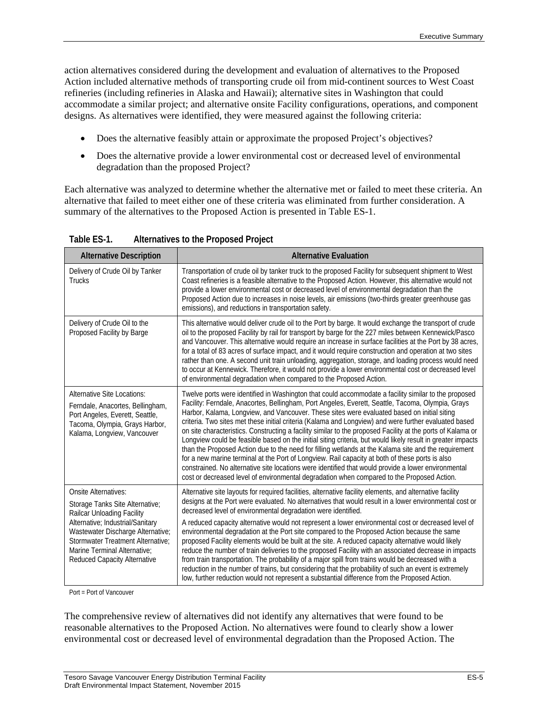action alternatives considered during the development and evaluation of alternatives to the Proposed Action included alternative methods of transporting crude oil from mid-continent sources to West Coast refineries (including refineries in Alaska and Hawaii); alternative sites in Washington that could accommodate a similar project; and alternative onsite Facility configurations, operations, and component designs. As alternatives were identified, they were measured against the following criteria:

- Does the alternative feasibly attain or approximate the proposed Project's objectives?
- Does the alternative provide a lower environmental cost or decreased level of environmental degradation than the proposed Project?

Each alternative was analyzed to determine whether the alternative met or failed to meet these criteria. An alternative that failed to meet either one of these criteria was eliminated from further consideration. A summary of the alternatives to the Proposed Action is presented in Table ES-1.

| <b>Alternative Description</b>                                                                                                                                             | <b>Alternative Evaluation</b>                                                                                                                                                                                                                                                                                                                                                                                                                                                                                                                                                                                                                                                                                                                                                                                                                                                                                                                                                                                                                                   |
|----------------------------------------------------------------------------------------------------------------------------------------------------------------------------|-----------------------------------------------------------------------------------------------------------------------------------------------------------------------------------------------------------------------------------------------------------------------------------------------------------------------------------------------------------------------------------------------------------------------------------------------------------------------------------------------------------------------------------------------------------------------------------------------------------------------------------------------------------------------------------------------------------------------------------------------------------------------------------------------------------------------------------------------------------------------------------------------------------------------------------------------------------------------------------------------------------------------------------------------------------------|
| Delivery of Crude Oil by Tanker<br><b>Trucks</b>                                                                                                                           | Transportation of crude oil by tanker truck to the proposed Facility for subsequent shipment to West<br>Coast refineries is a feasible alternative to the Proposed Action. However, this alternative would not<br>provide a lower environmental cost or decreased level of environmental degradation than the<br>Proposed Action due to increases in noise levels, air emissions (two-thirds greater greenhouse gas<br>emissions), and reductions in transportation safety.                                                                                                                                                                                                                                                                                                                                                                                                                                                                                                                                                                                     |
| Delivery of Crude Oil to the<br>Proposed Facility by Barge                                                                                                                 | This alternative would deliver crude oil to the Port by barge. It would exchange the transport of crude<br>oil to the proposed Facility by rail for transport by barge for the 227 miles between Kennewick/Pasco<br>and Vancouver. This alternative would require an increase in surface facilities at the Port by 38 acres,<br>for a total of 83 acres of surface impact, and it would require construction and operation at two sites<br>rather than one. A second unit train unloading, aggregation, storage, and loading process would need<br>to occur at Kennewick. Therefore, it would not provide a lower environmental cost or decreased level<br>of environmental degradation when compared to the Proposed Action.                                                                                                                                                                                                                                                                                                                                   |
| <b>Alternative Site Locations:</b><br>Ferndale, Anacortes, Bellingham,<br>Port Angeles, Everett, Seattle,<br>Tacoma, Olympia, Grays Harbor,<br>Kalama, Longview, Vancouver | Twelve ports were identified in Washington that could accommodate a facility similar to the proposed<br>Facility: Ferndale, Anacortes, Bellingham, Port Angeles, Everett, Seattle, Tacoma, Olympia, Grays<br>Harbor, Kalama, Longview, and Vancouver. These sites were evaluated based on initial siting<br>criteria. Two sites met these initial criteria (Kalama and Longview) and were further evaluated based<br>on site characteristics. Constructing a facility similar to the proposed Facility at the ports of Kalama or<br>Longview could be feasible based on the initial siting criteria, but would likely result in greater impacts<br>than the Proposed Action due to the need for filling wetlands at the Kalama site and the requirement<br>for a new marine terminal at the Port of Longview. Rail capacity at both of these ports is also<br>constrained. No alternative site locations were identified that would provide a lower environmental<br>cost or decreased level of environmental degradation when compared to the Proposed Action. |
| <b>Onsite Alternatives:</b><br>Storage Tanks Site Alternative;<br>Railcar Unloading Facility<br>Alternative; Industrial/Sanitary<br>Wastewater Discharge Alternative;      | Alternative site layouts for required facilities, alternative facility elements, and alternative facility<br>designs at the Port were evaluated. No alternatives that would result in a lower environmental cost or<br>decreased level of environmental degradation were identified.<br>A reduced capacity alternative would not represent a lower environmental cost or decreased level of<br>environmental degradation at the Port site compared to the Proposed Action because the same                                                                                                                                                                                                                                                                                                                                                                                                                                                                                                                                                                      |
| Stormwater Treatment Alternative:<br>Marine Terminal Alternative:<br>Reduced Capacity Alternative                                                                          | proposed Facility elements would be built at the site. A reduced capacity alternative would likely<br>reduce the number of train deliveries to the proposed Facility with an associated decrease in impacts<br>from train transportation. The probability of a major spill from trains would be decreased with a<br>reduction in the number of trains, but considering that the probability of such an event is extremely<br>low, further reduction would not represent a substantial difference from the Proposed Action.                                                                                                                                                                                                                                                                                                                                                                                                                                                                                                                                      |

**Table ES-1. Alternatives to the Proposed Project**

Port = Port of Vancouver

The comprehensive review of alternatives did not identify any alternatives that were found to be reasonable alternatives to the Proposed Action. No alternatives were found to clearly show a lower environmental cost or decreased level of environmental degradation than the Proposed Action. The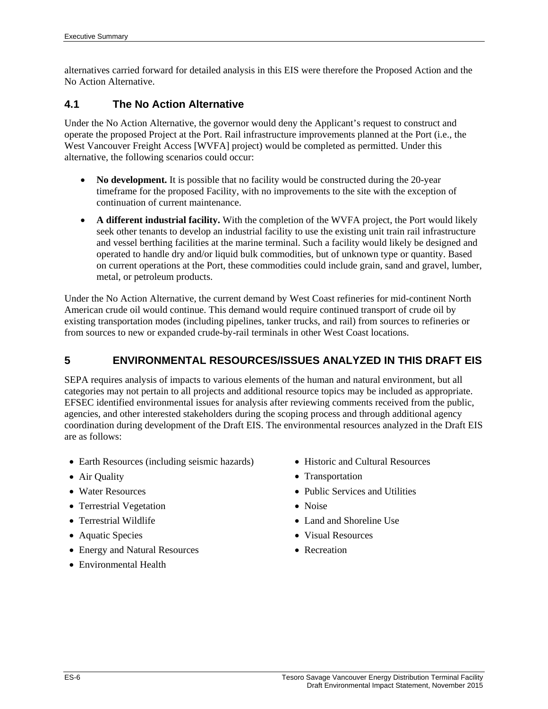alternatives carried forward for detailed analysis in this EIS were therefore the Proposed Action and the No Action Alternative.

#### **4.1 The No Action Alternative**

Under the No Action Alternative, the governor would deny the Applicant's request to construct and operate the proposed Project at the Port. Rail infrastructure improvements planned at the Port (i.e., the West Vancouver Freight Access [WVFA] project) would be completed as permitted. Under this alternative, the following scenarios could occur:

- No development. It is possible that no facility would be constructed during the 20-year timeframe for the proposed Facility, with no improvements to the site with the exception of continuation of current maintenance.
- **A different industrial facility.** With the completion of the WVFA project, the Port would likely seek other tenants to develop an industrial facility to use the existing unit train rail infrastructure and vessel berthing facilities at the marine terminal. Such a facility would likely be designed and operated to handle dry and/or liquid bulk commodities, but of unknown type or quantity. Based on current operations at the Port, these commodities could include grain, sand and gravel, lumber, metal, or petroleum products.

Under the No Action Alternative, the current demand by West Coast refineries for mid-continent North American crude oil would continue. This demand would require continued transport of crude oil by existing transportation modes (including pipelines, tanker trucks, and rail) from sources to refineries or from sources to new or expanded crude-by-rail terminals in other West Coast locations.

## **5 ENVIRONMENTAL RESOURCES/ISSUES ANALYZED IN THIS DRAFT EIS**

SEPA requires analysis of impacts to various elements of the human and natural environment, but all categories may not pertain to all projects and additional resource topics may be included as appropriate. EFSEC identified environmental issues for analysis after reviewing comments received from the public, agencies, and other interested stakeholders during the scoping process and through additional agency coordination during development of the Draft EIS. The environmental resources analyzed in the Draft EIS are as follows:

- Earth Resources (including seismic hazards)
- Air Quality
- Water Resources
- Terrestrial Vegetation
- Terrestrial Wildlife
- Aquatic Species
- Energy and Natural Resources
- Environmental Health
- Historic and Cultural Resources
- Transportation
- Public Services and Utilities
- Noise
- Land and Shoreline Use
- Visual Resources
- Recreation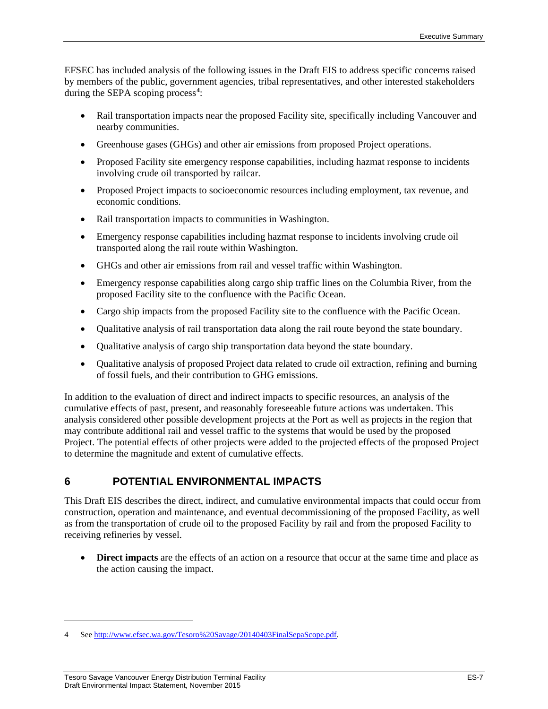EFSEC has included analysis of the following issues in the Draft EIS to address specific concerns raised by members of the public, government agencies, tribal representatives, and other interested stakeholders during the SEPA scoping process**[4](#page-8-0)** :

- Rail transportation impacts near the proposed Facility site, specifically including Vancouver and nearby communities.
- Greenhouse gases (GHGs) and other air emissions from proposed Project operations.
- Proposed Facility site emergency response capabilities, including hazmat response to incidents involving crude oil transported by railcar.
- Proposed Project impacts to socioeconomic resources including employment, tax revenue, and economic conditions.
- Rail transportation impacts to communities in Washington.
- Emergency response capabilities including hazmat response to incidents involving crude oil transported along the rail route within Washington.
- GHGs and other air emissions from rail and vessel traffic within Washington.
- Emergency response capabilities along cargo ship traffic lines on the Columbia River, from the proposed Facility site to the confluence with the Pacific Ocean.
- Cargo ship impacts from the proposed Facility site to the confluence with the Pacific Ocean.
- Qualitative analysis of rail transportation data along the rail route beyond the state boundary.
- Qualitative analysis of cargo ship transportation data beyond the state boundary.
- Oualitative analysis of proposed Project data related to crude oil extraction, refining and burning of fossil fuels, and their contribution to GHG emissions.

In addition to the evaluation of direct and indirect impacts to specific resources, an analysis of the cumulative effects of past, present, and reasonably foreseeable future actions was undertaken. This analysis considered other possible development projects at the Port as well as projects in the region that may contribute additional rail and vessel traffic to the systems that would be used by the proposed Project. The potential effects of other projects were added to the projected effects of the proposed Project to determine the magnitude and extent of cumulative effects.

# **6 POTENTIAL ENVIRONMENTAL IMPACTS**

This Draft EIS describes the direct, indirect, and cumulative environmental impacts that could occur from construction, operation and maintenance, and eventual decommissioning of the proposed Facility, as well as from the transportation of crude oil to the proposed Facility by rail and from the proposed Facility to receiving refineries by vessel.

• **Direct impacts** are the effects of an action on a resource that occur at the same time and place as the action causing the impact.

 $\overline{a}$ 

<span id="page-8-0"></span><sup>4</sup> Se[e http://www.efsec.wa.gov/Tesoro%20Savage/20140403FinalSepaScope.pdf.](http://www.efsec.wa.gov/Tesoro%20Savage/20140403FinalSepaScope.pdf)

Tesoro Savage Vancouver Energy Distribution Terminal Facility ES-7 Draft Environmental Impact Statement, November 2015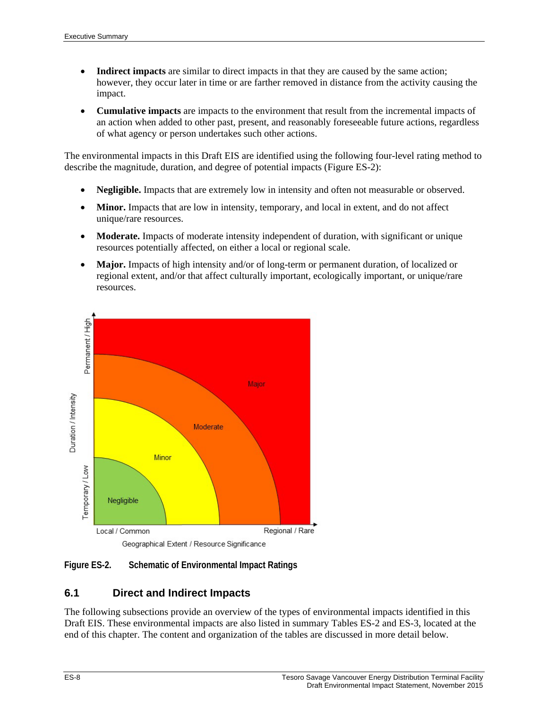- **Indirect impacts** are similar to direct impacts in that they are caused by the same action; however, they occur later in time or are farther removed in distance from the activity causing the impact.
- **Cumulative impacts** are impacts to the environment that result from the incremental impacts of an action when added to other past, present, and reasonably foreseeable future actions, regardless of what agency or person undertakes such other actions.

The environmental impacts in this Draft EIS are identified using the following four-level rating method to describe the magnitude, duration, and degree of potential impacts (Figure ES-2):

- **Negligible.** Impacts that are extremely low in intensity and often not measurable or observed.
- **Minor.** Impacts that are low in intensity, temporary, and local in extent, and do not affect unique/rare resources.
- **Moderate.** Impacts of moderate intensity independent of duration, with significant or unique resources potentially affected, on either a local or regional scale.
- Major. Impacts of high intensity and/or of long-term or permanent duration, of localized or regional extent, and/or that affect culturally important, ecologically important, or unique/rare resources.



**Figure ES-2. Schematic of Environmental Impact Ratings**

# **6.1 Direct and Indirect Impacts**

The following subsections provide an overview of the types of environmental impacts identified in this Draft EIS. These environmental impacts are also listed in summary Tables ES-2 and ES-3, located at the end of this chapter. The content and organization of the tables are discussed in more detail below.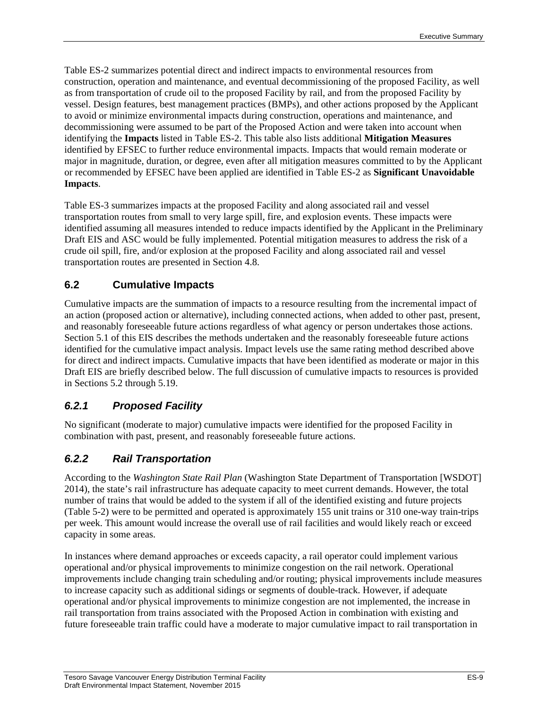Table ES-2 summarizes potential direct and indirect impacts to environmental resources from construction, operation and maintenance, and eventual decommissioning of the proposed Facility, as well as from transportation of crude oil to the proposed Facility by rail, and from the proposed Facility by vessel. Design features, best management practices (BMPs), and other actions proposed by the Applicant to avoid or minimize environmental impacts during construction, operations and maintenance, and decommissioning were assumed to be part of the Proposed Action and were taken into account when identifying the **Impacts** listed in Table ES-2. This table also lists additional **Mitigation Measures** identified by EFSEC to further reduce environmental impacts. Impacts that would remain moderate or major in magnitude, duration, or degree, even after all mitigation measures committed to by the Applicant or recommended by EFSEC have been applied are identified in Table ES-2 as **Significant Unavoidable Impacts**.

Table ES-3 summarizes impacts at the proposed Facility and along associated rail and vessel transportation routes from small to very large spill, fire, and explosion events. These impacts were identified assuming all measures intended to reduce impacts identified by the Applicant in the Preliminary Draft EIS and ASC would be fully implemented. Potential mitigation measures to address the risk of a crude oil spill, fire, and/or explosion at the proposed Facility and along associated rail and vessel transportation routes are presented in Section 4.8.

## **6.2 Cumulative Impacts**

Cumulative impacts are the summation of impacts to a resource resulting from the incremental impact of an action (proposed action or alternative), including connected actions, when added to other past, present, and reasonably foreseeable future actions regardless of what agency or person undertakes those actions. Section 5.1 of this EIS describes the methods undertaken and the reasonably foreseeable future actions identified for the cumulative impact analysis. Impact levels use the same rating method described above for direct and indirect impacts. Cumulative impacts that have been identified as moderate or major in this Draft EIS are briefly described below. The full discussion of cumulative impacts to resources is provided in Sections 5.2 through 5.19.

# *6.2.1 Proposed Facility*

No significant (moderate to major) cumulative impacts were identified for the proposed Facility in combination with past, present, and reasonably foreseeable future actions.

# *6.2.2 Rail Transportation*

According to the *Washington State Rail Plan* (Washington State Department of Transportation [WSDOT] 2014), the state's rail infrastructure has adequate capacity to meet current demands. However, the total number of trains that would be added to the system if all of the identified existing and future projects (Table 5-2) were to be permitted and operated is approximately 155 unit trains or 310 one-way train-trips per week. This amount would increase the overall use of rail facilities and would likely reach or exceed capacity in some areas.

In instances where demand approaches or exceeds capacity, a rail operator could implement various operational and/or physical improvements to minimize congestion on the rail network. Operational improvements include changing train scheduling and/or routing; physical improvements include measures to increase capacity such as additional sidings or segments of double-track. However, if adequate operational and/or physical improvements to minimize congestion are not implemented, the increase in rail transportation from trains associated with the Proposed Action in combination with existing and future foreseeable train traffic could have a moderate to major cumulative impact to rail transportation in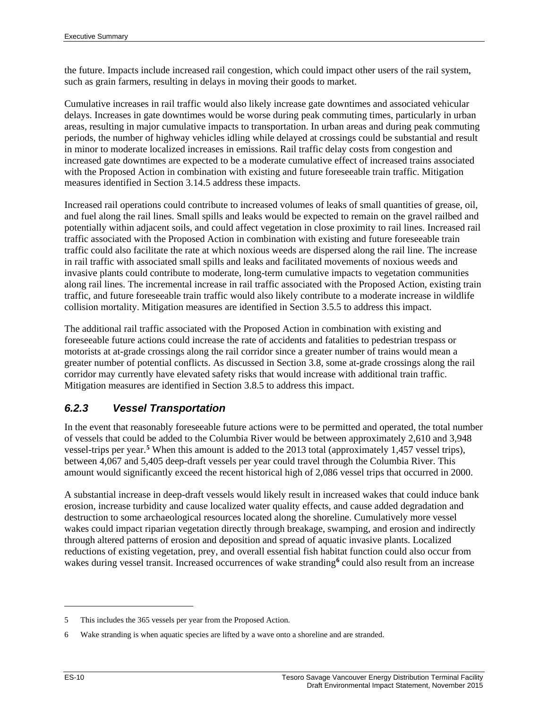the future. Impacts include increased rail congestion, which could impact other users of the rail system, such as grain farmers, resulting in delays in moving their goods to market.

Cumulative increases in rail traffic would also likely increase gate downtimes and associated vehicular delays. Increases in gate downtimes would be worse during peak commuting times, particularly in urban areas, resulting in major cumulative impacts to transportation. In urban areas and during peak commuting periods, the number of highway vehicles idling while delayed at crossings could be substantial and result in minor to moderate localized increases in emissions. Rail traffic delay costs from congestion and increased gate downtimes are expected to be a moderate cumulative effect of increased trains associated with the Proposed Action in combination with existing and future foreseeable train traffic. Mitigation measures identified in Section 3.14.5 address these impacts.

Increased rail operations could contribute to increased volumes of leaks of small quantities of grease, oil, and fuel along the rail lines. Small spills and leaks would be expected to remain on the gravel railbed and potentially within adjacent soils, and could affect vegetation in close proximity to rail lines. Increased rail traffic associated with the Proposed Action in combination with existing and future foreseeable train traffic could also facilitate the rate at which noxious weeds are dispersed along the rail line. The increase in rail traffic with associated small spills and leaks and facilitated movements of noxious weeds and invasive plants could contribute to moderate, long-term cumulative impacts to vegetation communities along rail lines. The incremental increase in rail traffic associated with the Proposed Action, existing train traffic, and future foreseeable train traffic would also likely contribute to a moderate increase in wildlife collision mortality. Mitigation measures are identified in Section 3.5.5 to address this impact.

The additional rail traffic associated with the Proposed Action in combination with existing and foreseeable future actions could increase the rate of accidents and fatalities to pedestrian trespass or motorists at at-grade crossings along the rail corridor since a greater number of trains would mean a greater number of potential conflicts. As discussed in Section 3.8, some at-grade crossings along the rail corridor may currently have elevated safety risks that would increase with additional train traffic. Mitigation measures are identified in Section 3.8.5 to address this impact.

# *6.2.3 Vessel Transportation*

In the event that reasonably foreseeable future actions were to be permitted and operated, the total number of vessels that could be added to the Columbia River would be between approximately 2,610 and 3,948 vessel-trips per year. **[5](#page-11-0)** When this amount is added to the 2013 total (approximately 1,457 vessel trips), between 4,067 and 5,405 deep-draft vessels per year could travel through the Columbia River. This amount would significantly exceed the recent historical high of 2,086 vessel trips that occurred in 2000.

A substantial increase in deep-draft vessels would likely result in increased wakes that could induce bank erosion, increase turbidity and cause localized water quality effects, and cause added degradation and destruction to some archaeological resources located along the shoreline. Cumulatively more vessel wakes could impact riparian vegetation directly through breakage, swamping, and erosion and indirectly through altered patterns of erosion and deposition and spread of aquatic invasive plants. Localized reductions of existing vegetation, prey, and overall essential fish habitat function could also occur from wakes during vessel transit. Increased occurrences of wake stranding<sup>[6](#page-11-1)</sup> could also result from an increase

 $\overline{a}$ 

<span id="page-11-0"></span><sup>5</sup> This includes the 365 vessels per year from the Proposed Action.

<span id="page-11-1"></span><sup>6</sup> Wake stranding is when aquatic species are lifted by a wave onto a shoreline and are stranded.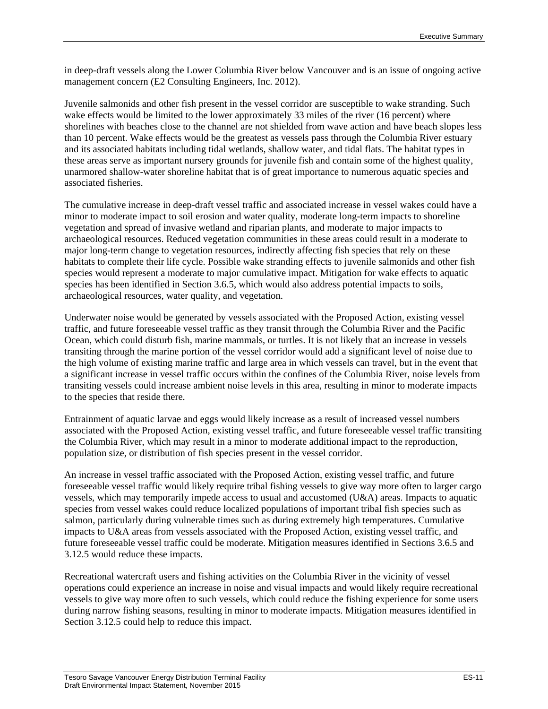in deep-draft vessels along the Lower Columbia River below Vancouver and is an issue of ongoing active management concern (E2 Consulting Engineers, Inc. 2012).

Juvenile salmonids and other fish present in the vessel corridor are susceptible to wake stranding. Such wake effects would be limited to the lower approximately 33 miles of the river (16 percent) where shorelines with beaches close to the channel are not shielded from wave action and have beach slopes less than 10 percent. Wake effects would be the greatest as vessels pass through the Columbia River estuary and its associated habitats including tidal wetlands, shallow water, and tidal flats. The habitat types in these areas serve as important nursery grounds for juvenile fish and contain some of the highest quality, unarmored shallow-water shoreline habitat that is of great importance to numerous aquatic species and associated fisheries.

The cumulative increase in deep-draft vessel traffic and associated increase in vessel wakes could have a minor to moderate impact to soil erosion and water quality, moderate long-term impacts to shoreline vegetation and spread of invasive wetland and riparian plants, and moderate to major impacts to archaeological resources. Reduced vegetation communities in these areas could result in a moderate to major long-term change to vegetation resources, indirectly affecting fish species that rely on these habitats to complete their life cycle. Possible wake stranding effects to juvenile salmonids and other fish species would represent a moderate to major cumulative impact. Mitigation for wake effects to aquatic species has been identified in Section 3.6.5, which would also address potential impacts to soils, archaeological resources, water quality, and vegetation.

Underwater noise would be generated by vessels associated with the Proposed Action, existing vessel traffic, and future foreseeable vessel traffic as they transit through the Columbia River and the Pacific Ocean, which could disturb fish, marine mammals, or turtles. It is not likely that an increase in vessels transiting through the marine portion of the vessel corridor would add a significant level of noise due to the high volume of existing marine traffic and large area in which vessels can travel, but in the event that a significant increase in vessel traffic occurs within the confines of the Columbia River, noise levels from transiting vessels could increase ambient noise levels in this area, resulting in minor to moderate impacts to the species that reside there.

Entrainment of aquatic larvae and eggs would likely increase as a result of increased vessel numbers associated with the Proposed Action, existing vessel traffic, and future foreseeable vessel traffic transiting the Columbia River, which may result in a minor to moderate additional impact to the reproduction, population size, or distribution of fish species present in the vessel corridor.

An increase in vessel traffic associated with the Proposed Action, existing vessel traffic, and future foreseeable vessel traffic would likely require tribal fishing vessels to give way more often to larger cargo vessels, which may temporarily impede access to usual and accustomed (U&A) areas. Impacts to aquatic species from vessel wakes could reduce localized populations of important tribal fish species such as salmon, particularly during vulnerable times such as during extremely high temperatures. Cumulative impacts to U&A areas from vessels associated with the Proposed Action, existing vessel traffic, and future foreseeable vessel traffic could be moderate. Mitigation measures identified in Sections 3.6.5 and 3.12.5 would reduce these impacts.

Recreational watercraft users and fishing activities on the Columbia River in the vicinity of vessel operations could experience an increase in noise and visual impacts and would likely require recreational vessels to give way more often to such vessels, which could reduce the fishing experience for some users during narrow fishing seasons, resulting in minor to moderate impacts. Mitigation measures identified in Section 3.12.5 could help to reduce this impact.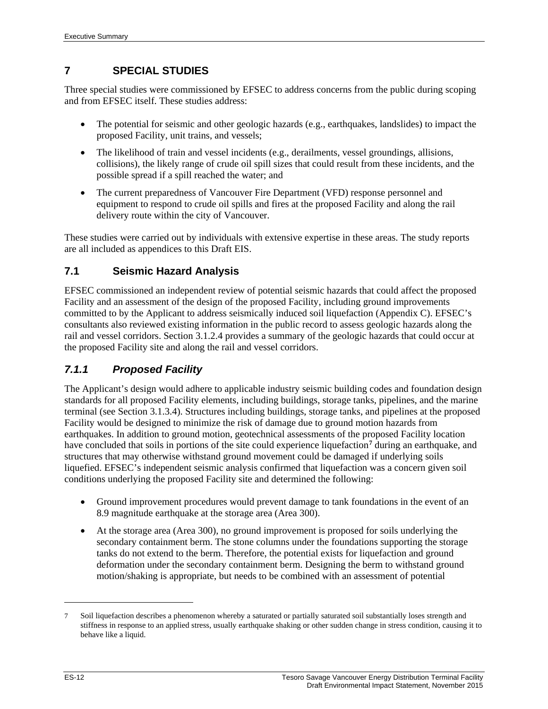## **7 SPECIAL STUDIES**

Three special studies were commissioned by EFSEC to address concerns from the public during scoping and from EFSEC itself. These studies address:

- The potential for seismic and other geologic hazards (e.g., earthquakes, landslides) to impact the proposed Facility, unit trains, and vessels;
- The likelihood of train and vessel incidents (e.g., derailments, vessel groundings, allisions, collisions), the likely range of crude oil spill sizes that could result from these incidents, and the possible spread if a spill reached the water; and
- The current preparedness of Vancouver Fire Department (VFD) response personnel and equipment to respond to crude oil spills and fires at the proposed Facility and along the rail delivery route within the city of Vancouver.

These studies were carried out by individuals with extensive expertise in these areas. The study reports are all included as appendices to this Draft EIS.

## **7.1 Seismic Hazard Analysis**

EFSEC commissioned an independent review of potential seismic hazards that could affect the proposed Facility and an assessment of the design of the proposed Facility, including ground improvements committed to by the Applicant to address seismically induced soil liquefaction (Appendix C). EFSEC's consultants also reviewed existing information in the public record to assess geologic hazards along the rail and vessel corridors. Section 3.1.2.4 provides a summary of the geologic hazards that could occur at the proposed Facility site and along the rail and vessel corridors.

# *7.1.1 Proposed Facility*

The Applicant's design would adhere to applicable industry seismic building codes and foundation design standards for all proposed Facility elements, including buildings, storage tanks, pipelines, and the marine terminal (see Section 3.1.3.4). Structures including buildings, storage tanks, and pipelines at the proposed Facility would be designed to minimize the risk of damage due to ground motion hazards from earthquakes. In addition to ground motion, geotechnical assessments of the proposed Facility location have concluded that soils in portions of the site could experience liquefaction**[7](#page-13-0)** during an earthquake, and structures that may otherwise withstand ground movement could be damaged if underlying soils liquefied. EFSEC's independent seismic analysis confirmed that liquefaction was a concern given soil conditions underlying the proposed Facility site and determined the following:

- Ground improvement procedures would prevent damage to tank foundations in the event of an 8.9 magnitude earthquake at the storage area (Area 300).
- At the storage area (Area 300), no ground improvement is proposed for soils underlying the secondary containment berm. The stone columns under the foundations supporting the storage tanks do not extend to the berm. Therefore, the potential exists for liquefaction and ground deformation under the secondary containment berm. Designing the berm to withstand ground motion/shaking is appropriate, but needs to be combined with an assessment of potential

 $\overline{a}$ 

<span id="page-13-0"></span><sup>7</sup> Soil liquefaction describes a phenomenon whereby a saturated or partially saturated soil substantially loses strength and stiffness in response to an applied stress, usually earthquake shaking or other sudden change in stress condition, causing it to behave like a liquid.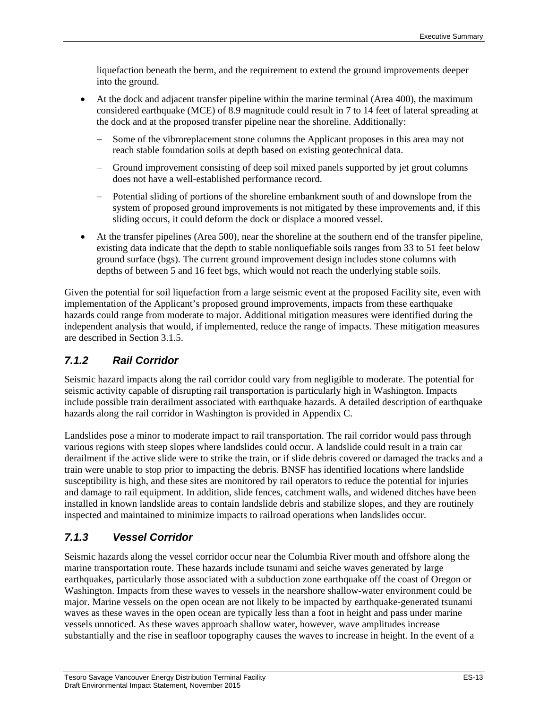liquefaction beneath the berm, and the requirement to extend the ground improvements deeper into the ground.

- At the dock and adjacent transfer pipeline within the marine terminal (Area 400), the maximum considered earthquake (MCE) of 8.9 magnitude could result in 7 to 14 feet of lateral spreading at the dock and at the proposed transfer pipeline near the shoreline. Additionally:
	- − Some of the vibroreplacement stone columns the Applicant proposes in this area may not reach stable foundation soils at depth based on existing geotechnical data.
	- − Ground improvement consisting of deep soil mixed panels supported by jet grout columns does not have a well-established performance record.
	- − Potential sliding of portions of the shoreline embankment south of and downslope from the system of proposed ground improvements is not mitigated by these improvements and, if this sliding occurs, it could deform the dock or displace a moored vessel.
- At the transfer pipelines (Area 500), near the shoreline at the southern end of the transfer pipeline, existing data indicate that the depth to stable nonliquefiable soils ranges from 33 to 51 feet below ground surface (bgs). The current ground improvement design includes stone columns with depths of between 5 and 16 feet bgs, which would not reach the underlying stable soils.

Given the potential for soil liquefaction from a large seismic event at the proposed Facility site, even with implementation of the Applicant's proposed ground improvements, impacts from these earthquake hazards could range from moderate to major. Additional mitigation measures were identified during the independent analysis that would, if implemented, reduce the range of impacts. These mitigation measures are described in Section 3.1.5.

## *7.1.2 Rail Corridor*

Seismic hazard impacts along the rail corridor could vary from negligible to moderate. The potential for seismic activity capable of disrupting rail transportation is particularly high in Washington. Impacts include possible train derailment associated with earthquake hazards. A detailed description of earthquake hazards along the rail corridor in Washington is provided in Appendix C.

Landslides pose a minor to moderate impact to rail transportation. The rail corridor would pass through various regions with steep slopes where landslides could occur. A landslide could result in a train car derailment if the active slide were to strike the train, or if slide debris covered or damaged the tracks and a train were unable to stop prior to impacting the debris. BNSF has identified locations where landslide susceptibility is high, and these sites are monitored by rail operators to reduce the potential for injuries and damage to rail equipment. In addition, slide fences, catchment walls, and widened ditches have been installed in known landslide areas to contain landslide debris and stabilize slopes, and they are routinely inspected and maintained to minimize impacts to railroad operations when landslides occur.

# *7.1.3 Vessel Corridor*

Seismic hazards along the vessel corridor occur near the Columbia River mouth and offshore along the marine transportation route. These hazards include tsunami and seiche waves generated by large earthquakes, particularly those associated with a subduction zone earthquake off the coast of Oregon or Washington. Impacts from these waves to vessels in the nearshore shallow-water environment could be major. Marine vessels on the open ocean are not likely to be impacted by earthquake-generated tsunami waves as these waves in the open ocean are typically less than a foot in height and pass under marine vessels unnoticed. As these waves approach shallow water, however, wave amplitudes increase substantially and the rise in seafloor topography causes the waves to increase in height. In the event of a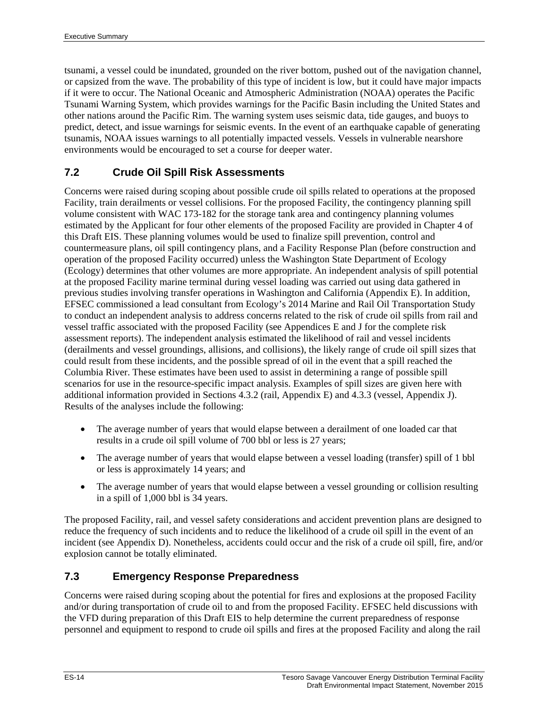tsunami, a vessel could be inundated, grounded on the river bottom, pushed out of the navigation channel, or capsized from the wave. The probability of this type of incident is low, but it could have major impacts if it were to occur. The National Oceanic and Atmospheric Administration (NOAA) operates the Pacific Tsunami Warning System, which provides warnings for the Pacific Basin including the United States and other nations around the Pacific Rim. The warning system uses seismic data, tide gauges, and buoys to predict, detect, and issue warnings for seismic events. In the event of an earthquake capable of generating tsunamis, NOAA issues warnings to all potentially impacted vessels. Vessels in vulnerable nearshore environments would be encouraged to set a course for deeper water.

## **7.2 Crude Oil Spill Risk Assessments**

Concerns were raised during scoping about possible crude oil spills related to operations at the proposed Facility, train derailments or vessel collisions. For the proposed Facility, the contingency planning spill volume consistent with WAC 173-182 for the storage tank area and contingency planning volumes estimated by the Applicant for four other elements of the proposed Facility are provided in Chapter 4 of this Draft EIS. These planning volumes would be used to finalize spill prevention, control and countermeasure plans, oil spill contingency plans, and a Facility Response Plan (before construction and operation of the proposed Facility occurred) unless the Washington State Department of Ecology (Ecology) determines that other volumes are more appropriate. An independent analysis of spill potential at the proposed Facility marine terminal during vessel loading was carried out using data gathered in previous studies involving transfer operations in Washington and California (Appendix E). In addition, EFSEC commissioned a lead consultant from Ecology's 2014 Marine and Rail Oil Transportation Study to conduct an independent analysis to address concerns related to the risk of crude oil spills from rail and vessel traffic associated with the proposed Facility (see Appendices E and J for the complete risk assessment reports). The independent analysis estimated the likelihood of rail and vessel incidents (derailments and vessel groundings, allisions, and collisions), the likely range of crude oil spill sizes that could result from these incidents, and the possible spread of oil in the event that a spill reached the Columbia River. These estimates have been used to assist in determining a range of possible spill scenarios for use in the resource-specific impact analysis. Examples of spill sizes are given here with additional information provided in Sections 4.3.2 (rail, Appendix E) and 4.3.3 (vessel, Appendix J). Results of the analyses include the following:

- The average number of years that would elapse between a derailment of one loaded car that results in a crude oil spill volume of 700 bbl or less is 27 years;
- The average number of years that would elapse between a vessel loading (transfer) spill of 1 bbl or less is approximately 14 years; and
- The average number of years that would elapse between a vessel grounding or collision resulting in a spill of 1,000 bbl is 34 years.

The proposed Facility, rail, and vessel safety considerations and accident prevention plans are designed to reduce the frequency of such incidents and to reduce the likelihood of a crude oil spill in the event of an incident (see Appendix D). Nonetheless, accidents could occur and the risk of a crude oil spill, fire, and/or explosion cannot be totally eliminated.

## **7.3 Emergency Response Preparedness**

Concerns were raised during scoping about the potential for fires and explosions at the proposed Facility and/or during transportation of crude oil to and from the proposed Facility. EFSEC held discussions with the VFD during preparation of this Draft EIS to help determine the current preparedness of response personnel and equipment to respond to crude oil spills and fires at the proposed Facility and along the rail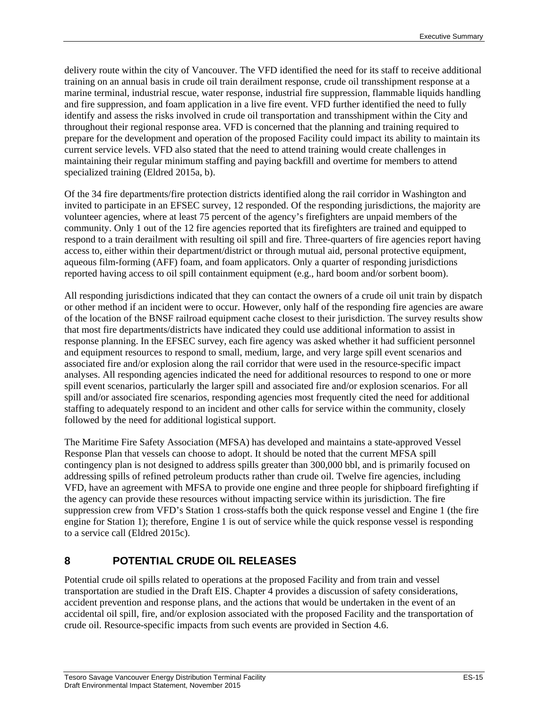delivery route within the city of Vancouver. The VFD identified the need for its staff to receive additional training on an annual basis in crude oil train derailment response, crude oil transshipment response at a marine terminal, industrial rescue, water response, industrial fire suppression, flammable liquids handling and fire suppression, and foam application in a live fire event. VFD further identified the need to fully identify and assess the risks involved in crude oil transportation and transshipment within the City and throughout their regional response area. VFD is concerned that the planning and training required to prepare for the development and operation of the proposed Facility could impact its ability to maintain its current service levels. VFD also stated that the need to attend training would create challenges in maintaining their regular minimum staffing and paying backfill and overtime for members to attend specialized training (Eldred 2015a, b).

Of the 34 fire departments/fire protection districts identified along the rail corridor in Washington and invited to participate in an EFSEC survey, 12 responded. Of the responding jurisdictions, the majority are volunteer agencies, where at least 75 percent of the agency's firefighters are unpaid members of the community. Only 1 out of the 12 fire agencies reported that its firefighters are trained and equipped to respond to a train derailment with resulting oil spill and fire. Three-quarters of fire agencies report having access to, either within their department/district or through mutual aid, personal protective equipment, aqueous film-forming (AFF) foam, and foam applicators. Only a quarter of responding jurisdictions reported having access to oil spill containment equipment (e.g., hard boom and/or sorbent boom).

All responding jurisdictions indicated that they can contact the owners of a crude oil unit train by dispatch or other method if an incident were to occur. However, only half of the responding fire agencies are aware of the location of the BNSF railroad equipment cache closest to their jurisdiction. The survey results show that most fire departments/districts have indicated they could use additional information to assist in response planning. In the EFSEC survey, each fire agency was asked whether it had sufficient personnel and equipment resources to respond to small, medium, large, and very large spill event scenarios and associated fire and/or explosion along the rail corridor that were used in the resource-specific impact analyses. All responding agencies indicated the need for additional resources to respond to one or more spill event scenarios, particularly the larger spill and associated fire and/or explosion scenarios. For all spill and/or associated fire scenarios, responding agencies most frequently cited the need for additional staffing to adequately respond to an incident and other calls for service within the community, closely followed by the need for additional logistical support.

The Maritime Fire Safety Association (MFSA) has developed and maintains a state-approved Vessel Response Plan that vessels can choose to adopt. It should be noted that the current MFSA spill contingency plan is not designed to address spills greater than 300,000 bbl, and is primarily focused on addressing spills of refined petroleum products rather than crude oil. Twelve fire agencies, including VFD, have an agreement with MFSA to provide one engine and three people for shipboard firefighting if the agency can provide these resources without impacting service within its jurisdiction. The fire suppression crew from VFD's Station 1 cross-staffs both the quick response vessel and Engine 1 (the fire engine for Station 1); therefore, Engine 1 is out of service while the quick response vessel is responding to a service call (Eldred 2015c).

# **8 POTENTIAL CRUDE OIL RELEASES**

Potential crude oil spills related to operations at the proposed Facility and from train and vessel transportation are studied in the Draft EIS. Chapter 4 provides a discussion of safety considerations, accident prevention and response plans, and the actions that would be undertaken in the event of an accidental oil spill, fire, and/or explosion associated with the proposed Facility and the transportation of crude oil. Resource-specific impacts from such events are provided in Section 4.6.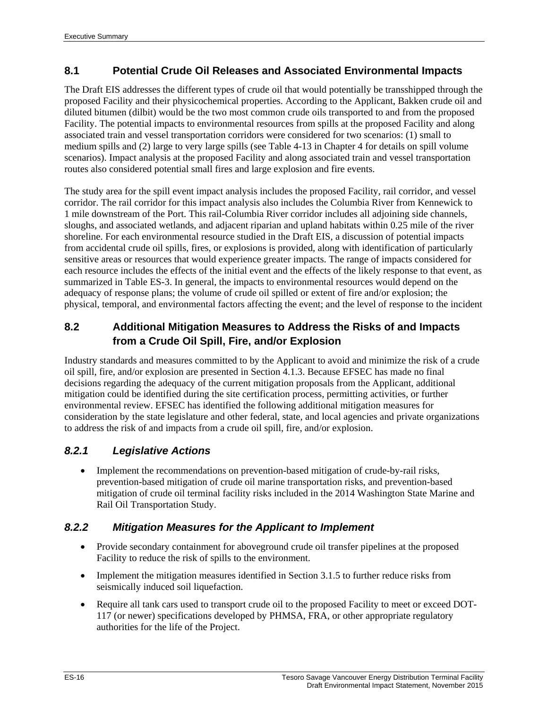## **8.1 Potential Crude Oil Releases and Associated Environmental Impacts**

The Draft EIS addresses the different types of crude oil that would potentially be transshipped through the proposed Facility and their physicochemical properties. According to the Applicant, Bakken crude oil and diluted bitumen (dilbit) would be the two most common crude oils transported to and from the proposed Facility. The potential impacts to environmental resources from spills at the proposed Facility and along associated train and vessel transportation corridors were considered for two scenarios: (1) small to medium spills and (2) large to very large spills (see Table 4-13 in Chapter 4 for details on spill volume scenarios). Impact analysis at the proposed Facility and along associated train and vessel transportation routes also considered potential small fires and large explosion and fire events.

The study area for the spill event impact analysis includes the proposed Facility, rail corridor, and vessel corridor. The rail corridor for this impact analysis also includes the Columbia River from Kennewick to 1 mile downstream of the Port. This rail-Columbia River corridor includes all adjoining side channels, sloughs, and associated wetlands, and adjacent riparian and upland habitats within 0.25 mile of the river shoreline. For each environmental resource studied in the Draft EIS, a discussion of potential impacts from accidental crude oil spills, fires, or explosions is provided, along with identification of particularly sensitive areas or resources that would experience greater impacts. The range of impacts considered for each resource includes the effects of the initial event and the effects of the likely response to that event, as summarized in Table ES-3. In general, the impacts to environmental resources would depend on the adequacy of response plans; the volume of crude oil spilled or extent of fire and/or explosion; the physical, temporal, and environmental factors affecting the event; and the level of response to the incident

## **8.2 Additional Mitigation Measures to Address the Risks of and Impacts from a Crude Oil Spill, Fire, and/or Explosion**

Industry standards and measures committed to by the Applicant to avoid and minimize the risk of a crude oil spill, fire, and/or explosion are presented in Section 4.1.3. Because EFSEC has made no final decisions regarding the adequacy of the current mitigation proposals from the Applicant, additional mitigation could be identified during the site certification process, permitting activities, or further environmental review. EFSEC has identified the following additional mitigation measures for consideration by the state legislature and other federal, state, and local agencies and private organizations to address the risk of and impacts from a crude oil spill, fire, and/or explosion.

## *8.2.1 Legislative Actions*

• Implement the recommendations on prevention-based mitigation of crude-by-rail risks, prevention-based mitigation of crude oil marine transportation risks, and prevention-based mitigation of crude oil terminal facility risks included in the 2014 Washington State Marine and Rail Oil Transportation Study.

#### *8.2.2 Mitigation Measures for the Applicant to Implement*

- Provide secondary containment for aboveground crude oil transfer pipelines at the proposed Facility to reduce the risk of spills to the environment.
- Implement the mitigation measures identified in Section 3.1.5 to further reduce risks from seismically induced soil liquefaction.
- Require all tank cars used to transport crude oil to the proposed Facility to meet or exceed DOT-117 (or newer) specifications developed by PHMSA, FRA, or other appropriate regulatory authorities for the life of the Project.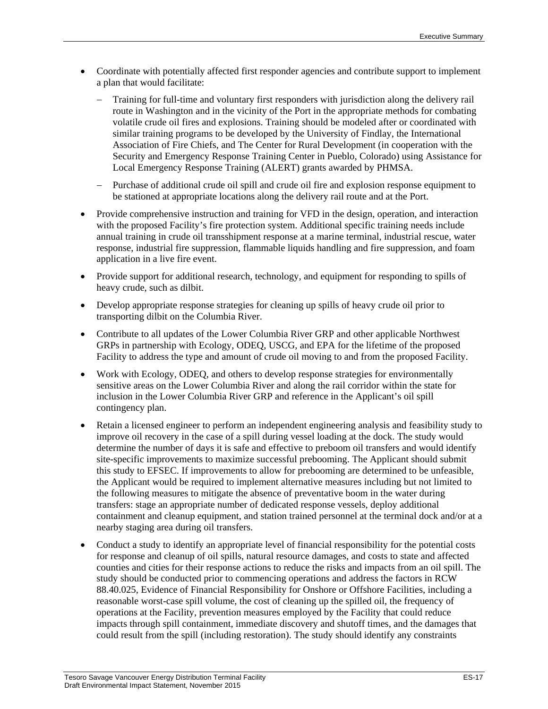- Coordinate with potentially affected first responder agencies and contribute support to implement a plan that would facilitate:
	- − Training for full-time and voluntary first responders with jurisdiction along the delivery rail route in Washington and in the vicinity of the Port in the appropriate methods for combating volatile crude oil fires and explosions. Training should be modeled after or coordinated with similar training programs to be developed by the University of Findlay, the International Association of Fire Chiefs, and The Center for Rural Development (in cooperation with the Security and Emergency Response Training Center in Pueblo, Colorado) using Assistance for Local Emergency Response Training (ALERT) grants awarded by PHMSA.
	- − Purchase of additional crude oil spill and crude oil fire and explosion response equipment to be stationed at appropriate locations along the delivery rail route and at the Port.
- Provide comprehensive instruction and training for VFD in the design, operation, and interaction with the proposed Facility's fire protection system. Additional specific training needs include annual training in crude oil transshipment response at a marine terminal, industrial rescue, water response, industrial fire suppression, flammable liquids handling and fire suppression, and foam application in a live fire event.
- Provide support for additional research, technology, and equipment for responding to spills of heavy crude, such as dilbit.
- Develop appropriate response strategies for cleaning up spills of heavy crude oil prior to transporting dilbit on the Columbia River.
- Contribute to all updates of the Lower Columbia River GRP and other applicable Northwest GRPs in partnership with Ecology, ODEQ, USCG, and EPA for the lifetime of the proposed Facility to address the type and amount of crude oil moving to and from the proposed Facility.
- Work with Ecology, ODEQ, and others to develop response strategies for environmentally sensitive areas on the Lower Columbia River and along the rail corridor within the state for inclusion in the Lower Columbia River GRP and reference in the Applicant's oil spill contingency plan.
- Retain a licensed engineer to perform an independent engineering analysis and feasibility study to improve oil recovery in the case of a spill during vessel loading at the dock. The study would determine the number of days it is safe and effective to preboom oil transfers and would identify site-specific improvements to maximize successful prebooming. The Applicant should submit this study to EFSEC. If improvements to allow for prebooming are determined to be unfeasible, the Applicant would be required to implement alternative measures including but not limited to the following measures to mitigate the absence of preventative boom in the water during transfers: stage an appropriate number of dedicated response vessels, deploy additional containment and cleanup equipment, and station trained personnel at the terminal dock and/or at a nearby staging area during oil transfers.
- Conduct a study to identify an appropriate level of financial responsibility for the potential costs for response and cleanup of oil spills, natural resource damages, and costs to state and affected counties and cities for their response actions to reduce the risks and impacts from an oil spill. The study should be conducted prior to commencing operations and address the factors in RCW 88.40.025, Evidence of Financial Responsibility for Onshore or Offshore Facilities, including a reasonable worst-case spill volume, the cost of cleaning up the spilled oil, the frequency of operations at the Facility, prevention measures employed by the Facility that could reduce impacts through spill containment, immediate discovery and shutoff times, and the damages that could result from the spill (including restoration). The study should identify any constraints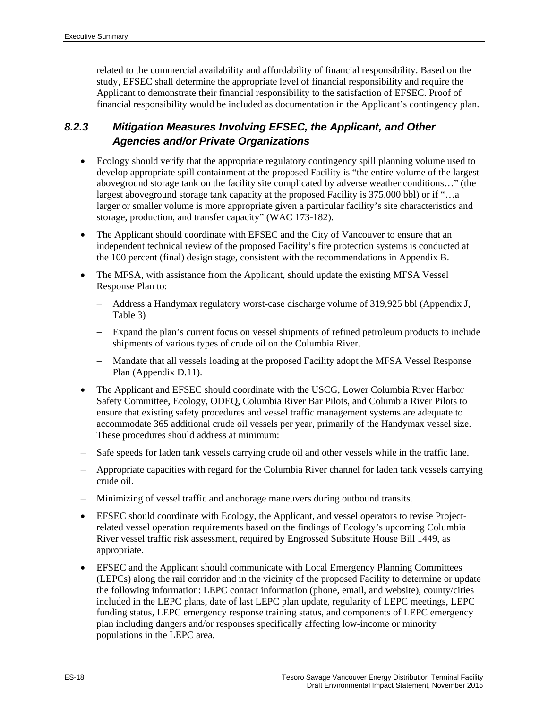related to the commercial availability and affordability of financial responsibility. Based on the study, EFSEC shall determine the appropriate level of financial responsibility and require the Applicant to demonstrate their financial responsibility to the satisfaction of EFSEC. Proof of financial responsibility would be included as documentation in the Applicant's contingency plan.

# *8.2.3 Mitigation Measures Involving EFSEC, the Applicant, and Other Agencies and/or Private Organizations*

- Ecology should verify that the appropriate regulatory contingency spill planning volume used to develop appropriate spill containment at the proposed Facility is "the entire volume of the largest aboveground storage tank on the facility site complicated by adverse weather conditions…" (the largest aboveground storage tank capacity at the proposed Facility is 375,000 bbl) or if "…a larger or smaller volume is more appropriate given a particular facility's site characteristics and storage, production, and transfer capacity" (WAC 173-182).
- The Applicant should coordinate with EFSEC and the City of Vancouver to ensure that an independent technical review of the proposed Facility's fire protection systems is conducted at the 100 percent (final) design stage, consistent with the recommendations in Appendix B.
- The MFSA, with assistance from the Applicant, should update the existing MFSA Vessel Response Plan to:
	- − Address a Handymax regulatory worst-case discharge volume of 319,925 bbl (Appendix J, Table 3)
	- − Expand the plan's current focus on vessel shipments of refined petroleum products to include shipments of various types of crude oil on the Columbia River.
	- − Mandate that all vessels loading at the proposed Facility adopt the MFSA Vessel Response Plan (Appendix D.11).
- The Applicant and EFSEC should coordinate with the USCG, Lower Columbia River Harbor Safety Committee, Ecology, ODEQ, Columbia River Bar Pilots, and Columbia River Pilots to ensure that existing safety procedures and vessel traffic management systems are adequate to accommodate 365 additional crude oil vessels per year, primarily of the Handymax vessel size. These procedures should address at minimum:
- Safe speeds for laden tank vessels carrying crude oil and other vessels while in the traffic lane.
- − Appropriate capacities with regard for the Columbia River channel for laden tank vessels carrying crude oil.
- − Minimizing of vessel traffic and anchorage maneuvers during outbound transits.
- EFSEC should coordinate with Ecology, the Applicant, and vessel operators to revise Projectrelated vessel operation requirements based on the findings of Ecology's upcoming Columbia River vessel traffic risk assessment, required by Engrossed Substitute House Bill 1449, as appropriate.
- EFSEC and the Applicant should communicate with Local Emergency Planning Committees (LEPCs) along the rail corridor and in the vicinity of the proposed Facility to determine or update the following information: LEPC contact information (phone, email, and website), county/cities included in the LEPC plans, date of last LEPC plan update, regularity of LEPC meetings, LEPC funding status, LEPC emergency response training status, and components of LEPC emergency plan including dangers and/or responses specifically affecting low-income or minority populations in the LEPC area.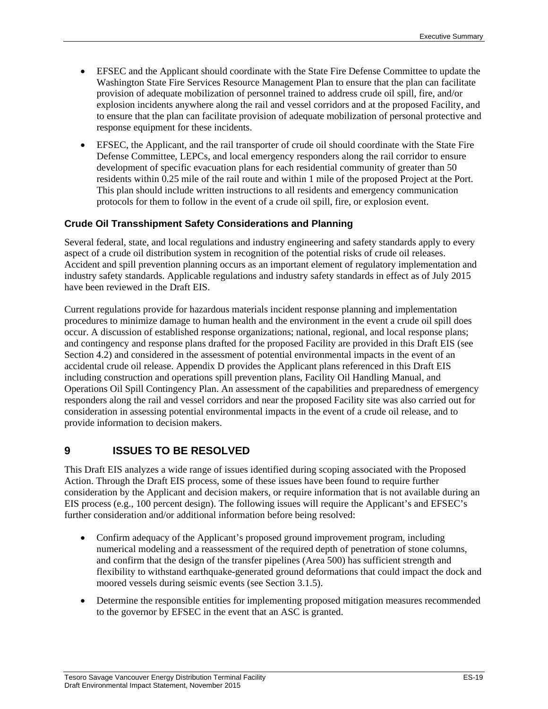- EFSEC and the Applicant should coordinate with the State Fire Defense Committee to update the Washington State Fire Services Resource Management Plan to ensure that the plan can facilitate provision of adequate mobilization of personnel trained to address crude oil spill, fire, and/or explosion incidents anywhere along the rail and vessel corridors and at the proposed Facility, and to ensure that the plan can facilitate provision of adequate mobilization of personal protective and response equipment for these incidents.
- EFSEC, the Applicant, and the rail transporter of crude oil should coordinate with the State Fire Defense Committee, LEPCs, and local emergency responders along the rail corridor to ensure development of specific evacuation plans for each residential community of greater than 50 residents within 0.25 mile of the rail route and within 1 mile of the proposed Project at the Port. This plan should include written instructions to all residents and emergency communication protocols for them to follow in the event of a crude oil spill, fire, or explosion event.

## **Crude Oil Transshipment Safety Considerations and Planning**

Several federal, state, and local regulations and industry engineering and safety standards apply to every aspect of a crude oil distribution system in recognition of the potential risks of crude oil releases. Accident and spill prevention planning occurs as an important element of regulatory implementation and industry safety standards. Applicable regulations and industry safety standards in effect as of July 2015 have been reviewed in the Draft EIS.

Current regulations provide for hazardous materials incident response planning and implementation procedures to minimize damage to human health and the environment in the event a crude oil spill does occur. A discussion of established response organizations; national, regional, and local response plans; and contingency and response plans drafted for the proposed Facility are provided in this Draft EIS (see Section 4.2) and considered in the assessment of potential environmental impacts in the event of an accidental crude oil release. Appendix D provides the Applicant plans referenced in this Draft EIS including construction and operations spill prevention plans, Facility Oil Handling Manual, and Operations Oil Spill Contingency Plan. An assessment of the capabilities and preparedness of emergency responders along the rail and vessel corridors and near the proposed Facility site was also carried out for consideration in assessing potential environmental impacts in the event of a crude oil release, and to provide information to decision makers.

## **9 ISSUES TO BE RESOLVED**

This Draft EIS analyzes a wide range of issues identified during scoping associated with the Proposed Action. Through the Draft EIS process, some of these issues have been found to require further consideration by the Applicant and decision makers, or require information that is not available during an EIS process (e.g., 100 percent design). The following issues will require the Applicant's and EFSEC's further consideration and/or additional information before being resolved:

- Confirm adequacy of the Applicant's proposed ground improvement program, including numerical modeling and a reassessment of the required depth of penetration of stone columns, and confirm that the design of the transfer pipelines (Area 500) has sufficient strength and flexibility to withstand earthquake-generated ground deformations that could impact the dock and moored vessels during seismic events (see Section 3.1.5).
- Determine the responsible entities for implementing proposed mitigation measures recommended to the governor by EFSEC in the event that an ASC is granted.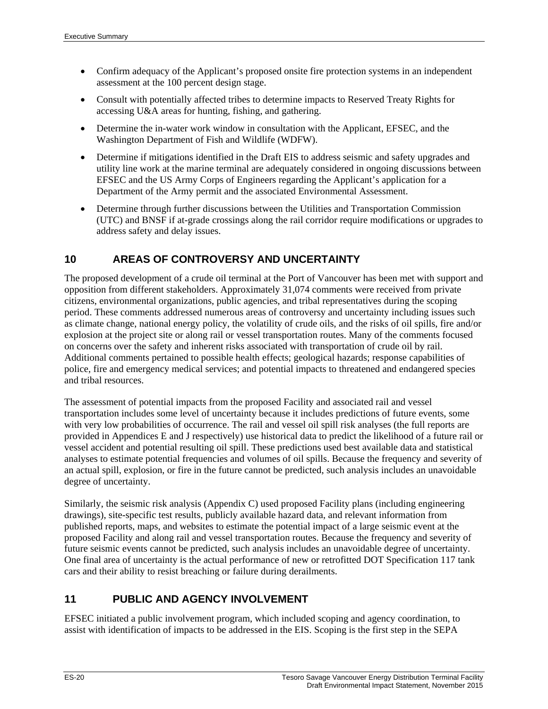- Confirm adequacy of the Applicant's proposed onsite fire protection systems in an independent assessment at the 100 percent design stage.
- Consult with potentially affected tribes to determine impacts to Reserved Treaty Rights for accessing U&A areas for hunting, fishing, and gathering.
- Determine the in-water work window in consultation with the Applicant, EFSEC, and the Washington Department of Fish and Wildlife (WDFW).
- Determine if mitigations identified in the Draft EIS to address seismic and safety upgrades and utility line work at the marine terminal are adequately considered in ongoing discussions between EFSEC and the US Army Corps of Engineers regarding the Applicant's application for a Department of the Army permit and the associated Environmental Assessment.
- Determine through further discussions between the Utilities and Transportation Commission (UTC) and BNSF if at-grade crossings along the rail corridor require modifications or upgrades to address safety and delay issues.

## **10 AREAS OF CONTROVERSY AND UNCERTAINTY**

The proposed development of a crude oil terminal at the Port of Vancouver has been met with support and opposition from different stakeholders. Approximately 31,074 comments were received from private citizens, environmental organizations, public agencies, and tribal representatives during the scoping period. These comments addressed numerous areas of controversy and uncertainty including issues such as climate change, national energy policy, the volatility of crude oils, and the risks of oil spills, fire and/or explosion at the project site or along rail or vessel transportation routes. Many of the comments focused on concerns over the safety and inherent risks associated with transportation of crude oil by rail. Additional comments pertained to possible health effects; geological hazards; response capabilities of police, fire and emergency medical services; and potential impacts to threatened and endangered species and tribal resources.

The assessment of potential impacts from the proposed Facility and associated rail and vessel transportation includes some level of uncertainty because it includes predictions of future events, some with very low probabilities of occurrence. The rail and vessel oil spill risk analyses (the full reports are provided in Appendices E and J respectively) use historical data to predict the likelihood of a future rail or vessel accident and potential resulting oil spill. These predictions used best available data and statistical analyses to estimate potential frequencies and volumes of oil spills. Because the frequency and severity of an actual spill, explosion, or fire in the future cannot be predicted, such analysis includes an unavoidable degree of uncertainty.

Similarly, the seismic risk analysis (Appendix C) used proposed Facility plans (including engineering drawings), site-specific test results, publicly available hazard data, and relevant information from published reports, maps, and websites to estimate the potential impact of a large seismic event at the proposed Facility and along rail and vessel transportation routes. Because the frequency and severity of future seismic events cannot be predicted, such analysis includes an unavoidable degree of uncertainty. One final area of uncertainty is the actual performance of new or retrofitted DOT Specification 117 tank cars and their ability to resist breaching or failure during derailments.

## **11 PUBLIC AND AGENCY INVOLVEMENT**

EFSEC initiated a public involvement program, which included scoping and agency coordination, to assist with identification of impacts to be addressed in the EIS. Scoping is the first step in the SEPA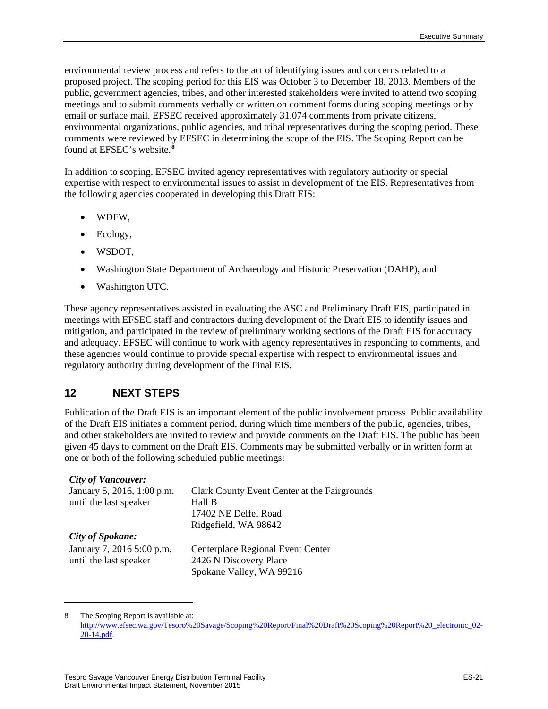environmental review process and refers to the act of identifying issues and concerns related to a proposed project. The scoping period for this EIS was October 3 to December 18, 2013. Members of the public, government agencies, tribes, and other interested stakeholders were invited to attend two scoping meetings and to submit comments verbally or written on comment forms during scoping meetings or by email or surface mail. EFSEC received approximately 31,074 comments from private citizens, environmental organizations, public agencies, and tribal representatives during the scoping period. These comments were reviewed by EFSEC in determining the scope of the EIS. The Scoping Report can be found at EFSEC's website.**[8](#page-22-0)**

In addition to scoping, EFSEC invited agency representatives with regulatory authority or special expertise with respect to environmental issues to assist in development of the EIS. Representatives from the following agencies cooperated in developing this Draft EIS:

- WDFW,
- Ecology,
- WSDOT,
- Washington State Department of Archaeology and Historic Preservation (DAHP), and
- Washington UTC.

These agency representatives assisted in evaluating the ASC and Preliminary Draft EIS, participated in meetings with EFSEC staff and contractors during development of the Draft EIS to identify issues and mitigation, and participated in the review of preliminary working sections of the Draft EIS for accuracy and adequacy. EFSEC will continue to work with agency representatives in responding to comments, and these agencies would continue to provide special expertise with respect to environmental issues and regulatory authority during development of the Final EIS.

## **12 NEXT STEPS**

Publication of the Draft EIS is an important element of the public involvement process. Public availability of the Draft EIS initiates a comment period, during which time members of the public, agencies, tribes, and other stakeholders are invited to review and provide comments on the Draft EIS. The public has been given 45 days to comment on the Draft EIS. Comments may be submitted verbally or in written form at one or both of the following scheduled public meetings:

#### *City of Vancouver:*

 $\overline{a}$ 

| January 5, 2016, 1:00 p.m. | Clark County Event Center at the Fairgrounds |
|----------------------------|----------------------------------------------|
| until the last speaker     | Hall B<br>17402 NE Delfel Road               |
|                            | Ridgefield, WA 98642                         |
| <b>City of Spokane:</b>    |                                              |
| January 7, 2016 5:00 p.m.  | Centerplace Regional Event Center            |
| until the last speaker     | 2426 N Discovery Place                       |
|                            | Spokane Valley, WA 99216                     |

<span id="page-22-0"></span><sup>8</sup> The Scoping Report is available at: [http://www.efsec.wa.gov/Tesoro%20Savage/Scoping%20Report/Final%20Draft%20Scoping%20Report%20\\_electronic\\_02-](http://www.efsec.wa.gov/Tesoro%20Savage/Scoping%20Report/Final%20Draft%20Scoping%20Report%20_electronic_02-20-14.pdf) [20-14.pdf.](http://www.efsec.wa.gov/Tesoro%20Savage/Scoping%20Report/Final%20Draft%20Scoping%20Report%20_electronic_02-20-14.pdf)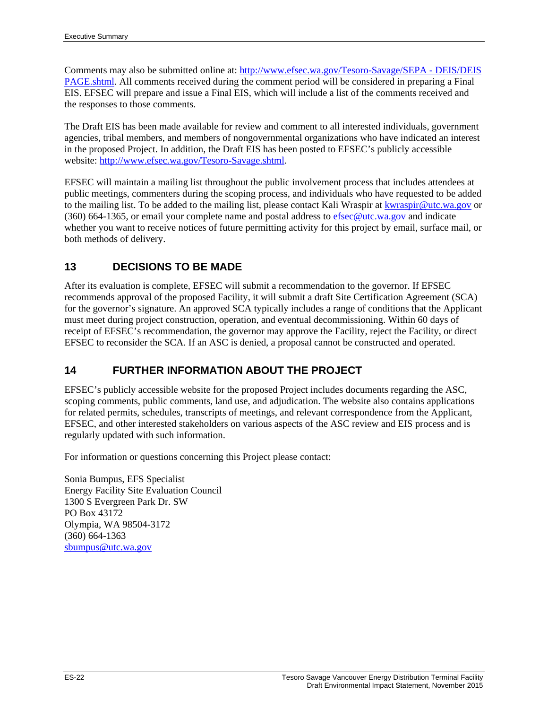Comments may also be submitted online at: [http://www.efsec.wa.gov/Tesoro-Savage/SEPA -](http://www.efsec.wa.gov/Tesoro-Savage/SEPA%20-%20DEIS/DEIS%20PAGE.shtml) DEIS/DEIS [PAGE.shtml.](http://www.efsec.wa.gov/Tesoro-Savage/SEPA%20-%20DEIS/DEIS%20PAGE.shtml) All comments received during the comment period will be considered in preparing a Final EIS. EFSEC will prepare and issue a Final EIS, which will include a list of the comments received and the responses to those comments.

The Draft EIS has been made available for review and comment to all interested individuals, government agencies, tribal members, and members of nongovernmental organizations who have indicated an interest in the proposed Project. In addition, the Draft EIS has been posted to EFSEC's publicly accessible website: [http://www.efsec.wa.gov/Tesoro-Savage.shtml.](http://www.efsec.wa.gov/Tesoro-Savage.shtml)

EFSEC will maintain a mailing list throughout the public involvement process that includes attendees at public meetings, commenters during the scoping process, and individuals who have requested to be added to the mailing list. To be added to the mailing list, please contact Kali Wraspir at [kwraspir@utc.wa.gov](mailto:kwraspir@utc.wa.gov) or (360) 664-1365, or email your complete name and postal address to  $\frac{\text{efsec@utc.wa.gov}}{\text{etc@utc.wa.gov}}$  and indicate whether you want to receive notices of future permitting activity for this project by email, surface mail, or both methods of delivery.

## **13 DECISIONS TO BE MADE**

After its evaluation is complete, EFSEC will submit a recommendation to the governor. If EFSEC recommends approval of the proposed Facility, it will submit a draft Site Certification Agreement (SCA) for the governor's signature. An approved SCA typically includes a range of conditions that the Applicant must meet during project construction, operation, and eventual decommissioning. Within 60 days of receipt of EFSEC's recommendation, the governor may approve the Facility, reject the Facility, or direct EFSEC to reconsider the SCA. If an ASC is denied, a proposal cannot be constructed and operated.

## **14 FURTHER INFORMATION ABOUT THE PROJECT**

EFSEC's publicly accessible website for the proposed Project includes documents regarding the ASC, scoping comments, public comments, land use, and adjudication. The website also contains applications for related permits, schedules, transcripts of meetings, and relevant correspondence from the Applicant, EFSEC, and other interested stakeholders on various aspects of the ASC review and EIS process and is regularly updated with such information.

For information or questions concerning this Project please contact:

Sonia Bumpus, EFS Specialist Energy Facility Site Evaluation Council 1300 S Evergreen Park Dr. SW PO Box 43172 Olympia, WA 98504-3172 (360) 664-1363 [sbumpus@utc.wa.gov](mailto:sbumpus@utc.wa.gov)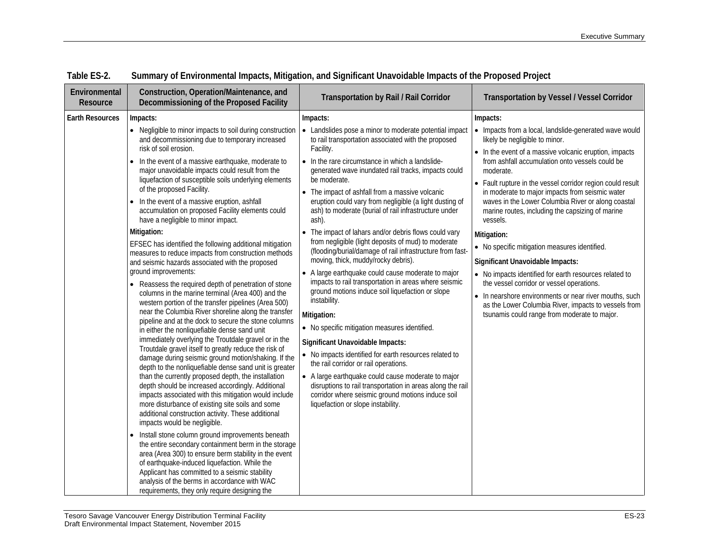| Environmental<br>Resource | Construction, Operation/Maintenance, and<br>Decommissioning of the Proposed Facility                                                                                                                                                                                                                                                                                                                                                                                                                                                                                                                                                                                                                                                                                                                                                                                                                                                                                                                                                                                                                                                                                                                                                                                                                                                                                                                                                                                                                                                                                                                                                                                                                                                                                                                                                                                                                            | <b>Transportation by Rail / Rail Corridor</b>                                                                                                                                                                                                                                                                                                                                                                                                                                                                                                                                                                                                                                                                                                                                                                                                                                                                                                                                                                                                                                                                                                                                                                                                                                                                                              | <b>Transportation by Vessel / Vessel Corridor</b>                                                                                                                                                                                                                                                                                                                                                                                                                                                                                                                                                                                                                                                                                                                                                                                                  |
|---------------------------|-----------------------------------------------------------------------------------------------------------------------------------------------------------------------------------------------------------------------------------------------------------------------------------------------------------------------------------------------------------------------------------------------------------------------------------------------------------------------------------------------------------------------------------------------------------------------------------------------------------------------------------------------------------------------------------------------------------------------------------------------------------------------------------------------------------------------------------------------------------------------------------------------------------------------------------------------------------------------------------------------------------------------------------------------------------------------------------------------------------------------------------------------------------------------------------------------------------------------------------------------------------------------------------------------------------------------------------------------------------------------------------------------------------------------------------------------------------------------------------------------------------------------------------------------------------------------------------------------------------------------------------------------------------------------------------------------------------------------------------------------------------------------------------------------------------------------------------------------------------------------------------------------------------------|--------------------------------------------------------------------------------------------------------------------------------------------------------------------------------------------------------------------------------------------------------------------------------------------------------------------------------------------------------------------------------------------------------------------------------------------------------------------------------------------------------------------------------------------------------------------------------------------------------------------------------------------------------------------------------------------------------------------------------------------------------------------------------------------------------------------------------------------------------------------------------------------------------------------------------------------------------------------------------------------------------------------------------------------------------------------------------------------------------------------------------------------------------------------------------------------------------------------------------------------------------------------------------------------------------------------------------------------|----------------------------------------------------------------------------------------------------------------------------------------------------------------------------------------------------------------------------------------------------------------------------------------------------------------------------------------------------------------------------------------------------------------------------------------------------------------------------------------------------------------------------------------------------------------------------------------------------------------------------------------------------------------------------------------------------------------------------------------------------------------------------------------------------------------------------------------------------|
| <b>Earth Resources</b>    | Impacts:<br>and decommissioning due to temporary increased<br>risk of soil erosion.<br>• In the event of a massive earthquake, moderate to<br>major unavoidable impacts could result from the<br>liquefaction of susceptible soils underlying elements<br>of the proposed Facility.<br>• In the event of a massive eruption, ashfall<br>accumulation on proposed Facility elements could<br>have a negligible to minor impact.<br>Mitigation:<br>EFSEC has identified the following additional mitigation<br>measures to reduce impacts from construction methods<br>and seismic hazards associated with the proposed<br>ground improvements:<br>• Reassess the required depth of penetration of stone<br>columns in the marine terminal (Area 400) and the<br>western portion of the transfer pipelines (Area 500)<br>near the Columbia River shoreline along the transfer<br>pipeline and at the dock to secure the stone columns<br>in either the nonliquefiable dense sand unit<br>immediately overlying the Troutdale gravel or in the<br>Troutdale gravel itself to greatly reduce the risk of<br>damage during seismic ground motion/shaking. If the<br>depth to the nonliquefiable dense sand unit is greater<br>than the currently proposed depth, the installation<br>depth should be increased accordingly. Additional<br>impacts associated with this mitigation would include<br>more disturbance of existing site soils and some<br>additional construction activity. These additional<br>impacts would be negligible.<br>• Install stone column ground improvements beneath<br>the entire secondary containment berm in the storage<br>area (Area 300) to ensure berm stability in the event<br>of earthquake-induced liquefaction. While the<br>Applicant has committed to a seismic stability<br>analysis of the berms in accordance with WAC<br>requirements, they only require designing the | Impacts:<br>• Negligible to minor impacts to soil during construction   • Landslides pose a minor to moderate potential impact<br>to rail transportation associated with the proposed<br>Facility.<br>• In the rare circumstance in which a landslide-<br>generated wave inundated rail tracks, impacts could<br>be moderate.<br>• The impact of ashfall from a massive volcanic<br>eruption could vary from negligible (a light dusting of<br>ash) to moderate (burial of rail infrastructure under<br>ash).<br>• The impact of lahars and/or debris flows could vary<br>from negligible (light deposits of mud) to moderate<br>(flooding/burial/damage of rail infrastructure from fast-<br>moving, thick, muddy/rocky debris).<br>• A large earthquake could cause moderate to major<br>impacts to rail transportation in areas where seismic<br>ground motions induce soil liquefaction or slope<br>instability.<br>Mitigation:<br>• No specific mitigation measures identified.<br>Significant Unavoidable Impacts:<br>• No impacts identified for earth resources related to<br>the rail corridor or rail operations.<br>• A large earthquake could cause moderate to major<br>disruptions to rail transportation in areas along the rail<br>corridor where seismic ground motions induce soil<br>liquefaction or slope instability. | Impacts:<br>• Impacts from a local, landslide-generated wave would<br>likely be negligible to minor.<br>• In the event of a massive volcanic eruption, impacts<br>from ashfall accumulation onto vessels could be<br>moderate.<br>• Fault rupture in the vessel corridor region could result<br>in moderate to major impacts from seismic water<br>waves in the Lower Columbia River or along coastal<br>marine routes, including the capsizing of marine<br>vessels.<br>Mitigation:<br>• No specific mitigation measures identified.<br>Significant Unavoidable Impacts:<br>• No impacts identified for earth resources related to<br>the vessel corridor or vessel operations.<br>• In nearshore environments or near river mouths, such<br>as the Lower Columbia River, impacts to vessels from<br>tsunamis could range from moderate to major. |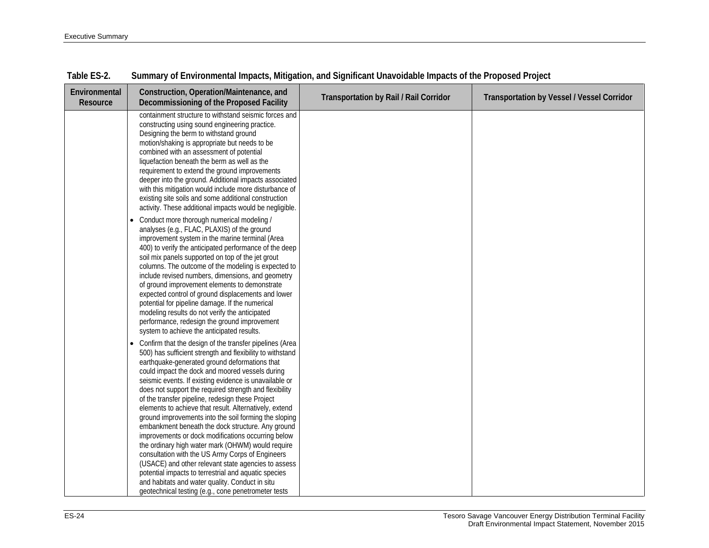| Environmental<br>Resource | Construction, Operation/Maintenance, and<br>Decommissioning of the Proposed Facility                                                                                                                                                                                                                                                                                                                                                                                                                                                                                                                                                                                                                                                                                                                                                                                                                                                                                          | Transportation by Rail / Rail Corridor | <b>Transportation by Vessel / Vessel Corridor</b> |
|---------------------------|-------------------------------------------------------------------------------------------------------------------------------------------------------------------------------------------------------------------------------------------------------------------------------------------------------------------------------------------------------------------------------------------------------------------------------------------------------------------------------------------------------------------------------------------------------------------------------------------------------------------------------------------------------------------------------------------------------------------------------------------------------------------------------------------------------------------------------------------------------------------------------------------------------------------------------------------------------------------------------|----------------------------------------|---------------------------------------------------|
|                           | containment structure to withstand seismic forces and<br>constructing using sound engineering practice.<br>Designing the berm to withstand ground<br>motion/shaking is appropriate but needs to be<br>combined with an assessment of potential<br>liquefaction beneath the berm as well as the<br>requirement to extend the ground improvements<br>deeper into the ground. Additional impacts associated<br>with this mitigation would include more disturbance of<br>existing site soils and some additional construction<br>activity. These additional impacts would be negligible.                                                                                                                                                                                                                                                                                                                                                                                         |                                        |                                                   |
|                           | Conduct more thorough numerical modeling /<br>analyses (e.g., FLAC, PLAXIS) of the ground<br>improvement system in the marine terminal (Area<br>400) to verify the anticipated performance of the deep<br>soil mix panels supported on top of the jet grout<br>columns. The outcome of the modeling is expected to<br>include revised numbers, dimensions, and geometry<br>of ground improvement elements to demonstrate<br>expected control of ground displacements and lower<br>potential for pipeline damage. If the numerical<br>modeling results do not verify the anticipated<br>performance, redesign the ground improvement<br>system to achieve the anticipated results.                                                                                                                                                                                                                                                                                             |                                        |                                                   |
|                           | Confirm that the design of the transfer pipelines (Area<br>$\bullet$<br>500) has sufficient strength and flexibility to withstand<br>earthquake-generated ground deformations that<br>could impact the dock and moored vessels during<br>seismic events. If existing evidence is unavailable or<br>does not support the required strength and flexibility<br>of the transfer pipeline, redesign these Project<br>elements to achieve that result. Alternatively, extend<br>ground improvements into the soil forming the sloping<br>embankment beneath the dock structure. Any ground<br>improvements or dock modifications occurring below<br>the ordinary high water mark (OHWM) would require<br>consultation with the US Army Corps of Engineers<br>(USACE) and other relevant state agencies to assess<br>potential impacts to terrestrial and aquatic species<br>and habitats and water quality. Conduct in situ<br>geotechnical testing (e.g., cone penetrometer tests |                                        |                                                   |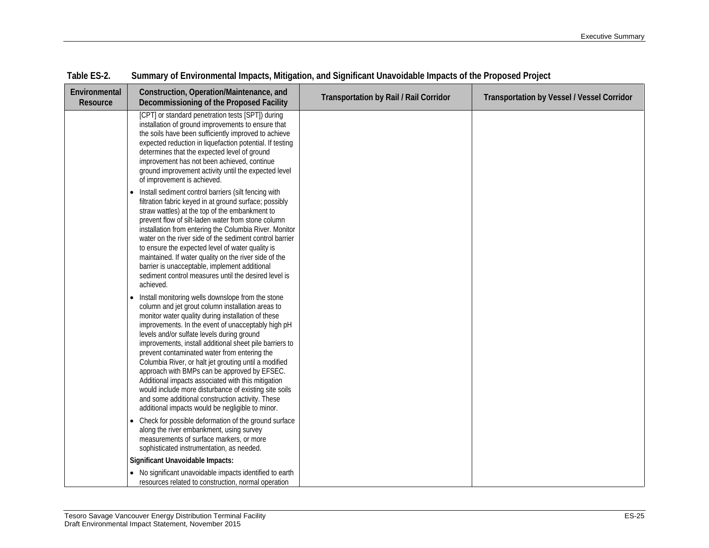| Environmental<br>Resource | Construction, Operation/Maintenance, and<br>Decommissioning of the Proposed Facility                                                                                                                                                                                                                                                                                                                                                                                                                                                                                                                                                                                                                        | <b>Transportation by Rail / Rail Corridor</b> | <b>Transportation by Vessel / Vessel Corridor</b> |
|---------------------------|-------------------------------------------------------------------------------------------------------------------------------------------------------------------------------------------------------------------------------------------------------------------------------------------------------------------------------------------------------------------------------------------------------------------------------------------------------------------------------------------------------------------------------------------------------------------------------------------------------------------------------------------------------------------------------------------------------------|-----------------------------------------------|---------------------------------------------------|
|                           | [CPT] or standard penetration tests [SPT]) during<br>installation of ground improvements to ensure that<br>the soils have been sufficiently improved to achieve<br>expected reduction in liquefaction potential. If testing<br>determines that the expected level of ground<br>improvement has not been achieved, continue<br>ground improvement activity until the expected level<br>of improvement is achieved.                                                                                                                                                                                                                                                                                           |                                               |                                                   |
|                           | Install sediment control barriers (silt fencing with<br>filtration fabric keyed in at ground surface; possibly<br>straw wattles) at the top of the embankment to<br>prevent flow of silt-laden water from stone column<br>installation from entering the Columbia River. Monitor<br>water on the river side of the sediment control barrier<br>to ensure the expected level of water quality is<br>maintained. If water quality on the river side of the<br>barrier is unacceptable, implement additional<br>sediment control measures until the desired level is<br>achieved.                                                                                                                              |                                               |                                                   |
|                           | Install monitoring wells downslope from the stone<br>column and jet grout column installation areas to<br>monitor water quality during installation of these<br>improvements. In the event of unacceptably high pH<br>levels and/or sulfate levels during ground<br>improvements, install additional sheet pile barriers to<br>prevent contaminated water from entering the<br>Columbia River, or halt jet grouting until a modified<br>approach with BMPs can be approved by EFSEC.<br>Additional impacts associated with this mitigation<br>would include more disturbance of existing site soils<br>and some additional construction activity. These<br>additional impacts would be negligible to minor. |                                               |                                                   |
|                           | Check for possible deformation of the ground surface<br>along the river embankment, using survey<br>measurements of surface markers, or more<br>sophisticated instrumentation, as needed.                                                                                                                                                                                                                                                                                                                                                                                                                                                                                                                   |                                               |                                                   |
|                           | Significant Unavoidable Impacts:                                                                                                                                                                                                                                                                                                                                                                                                                                                                                                                                                                                                                                                                            |                                               |                                                   |
|                           | • No significant unavoidable impacts identified to earth<br>resources related to construction, normal operation                                                                                                                                                                                                                                                                                                                                                                                                                                                                                                                                                                                             |                                               |                                                   |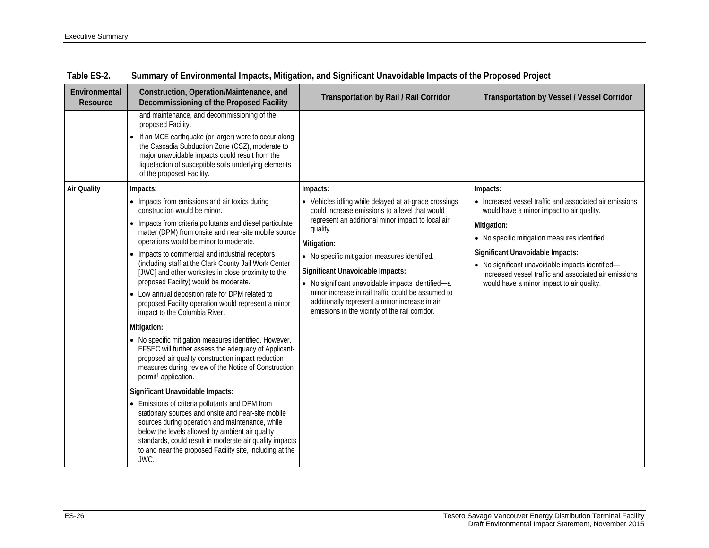| Environmental<br>Resource | Construction, Operation/Maintenance, and<br>Decommissioning of the Proposed Facility                                                                                                                                                                                                                                                                                                                                                                                                                                                                                                                                                                                                                                                                                                                                                                                                                                                                                                                                                                                                                                                                                                                                                                                                            | <b>Transportation by Rail / Rail Corridor</b>                                                                                                                                                                                                                                                                                                                                                                                                                                                            | <b>Transportation by Vessel / Vessel Corridor</b>                                                                                                                                                                                                                                                                                                                              |  |  |
|---------------------------|-------------------------------------------------------------------------------------------------------------------------------------------------------------------------------------------------------------------------------------------------------------------------------------------------------------------------------------------------------------------------------------------------------------------------------------------------------------------------------------------------------------------------------------------------------------------------------------------------------------------------------------------------------------------------------------------------------------------------------------------------------------------------------------------------------------------------------------------------------------------------------------------------------------------------------------------------------------------------------------------------------------------------------------------------------------------------------------------------------------------------------------------------------------------------------------------------------------------------------------------------------------------------------------------------|----------------------------------------------------------------------------------------------------------------------------------------------------------------------------------------------------------------------------------------------------------------------------------------------------------------------------------------------------------------------------------------------------------------------------------------------------------------------------------------------------------|--------------------------------------------------------------------------------------------------------------------------------------------------------------------------------------------------------------------------------------------------------------------------------------------------------------------------------------------------------------------------------|--|--|
|                           | and maintenance, and decommissioning of the<br>proposed Facility.<br>If an MCE earthquake (or larger) were to occur along<br>$\bullet$<br>the Cascadia Subduction Zone (CSZ), moderate to<br>major unavoidable impacts could result from the<br>liquefaction of susceptible soils underlying elements<br>of the proposed Facility.                                                                                                                                                                                                                                                                                                                                                                                                                                                                                                                                                                                                                                                                                                                                                                                                                                                                                                                                                              |                                                                                                                                                                                                                                                                                                                                                                                                                                                                                                          |                                                                                                                                                                                                                                                                                                                                                                                |  |  |
| <b>Air Quality</b>        | Impacts:<br>• Impacts from emissions and air toxics during<br>construction would be minor.<br>Impacts from criteria pollutants and diesel particulate<br>matter (DPM) from onsite and near-site mobile source<br>operations would be minor to moderate.<br>Impacts to commercial and industrial receptors<br>$\bullet$<br>(including staff at the Clark County Jail Work Center<br>[JWC] and other worksites in close proximity to the<br>proposed Facility) would be moderate.<br>• Low annual deposition rate for DPM related to<br>proposed Facility operation would represent a minor<br>impact to the Columbia River.<br>Mitigation:<br>• No specific mitigation measures identified. However,<br>EFSEC will further assess the adequacy of Applicant-<br>proposed air quality construction impact reduction<br>measures during review of the Notice of Construction<br>permit <sup>1</sup> application.<br>Significant Unavoidable Impacts:<br>• Emissions of criteria pollutants and DPM from<br>stationary sources and onsite and near-site mobile<br>sources during operation and maintenance, while<br>below the levels allowed by ambient air quality<br>standards, could result in moderate air quality impacts<br>to and near the proposed Facility site, including at the<br>JWC. | Impacts:<br>• Vehicles idling while delayed at at-grade crossings<br>could increase emissions to a level that would<br>represent an additional minor impact to local air<br>quality.<br>Mitigation:<br>• No specific mitigation measures identified.<br>Significant Unavoidable Impacts:<br>• No significant unavoidable impacts identified-a<br>minor increase in rail traffic could be assumed to<br>additionally represent a minor increase in air<br>emissions in the vicinity of the rail corridor. | Impacts:<br>• Increased vessel traffic and associated air emissions<br>would have a minor impact to air quality.<br>Mitigation:<br>• No specific mitigation measures identified.<br>Significant Unavoidable Impacts:<br>• No significant unavoidable impacts identified-<br>Increased vessel traffic and associated air emissions<br>would have a minor impact to air quality. |  |  |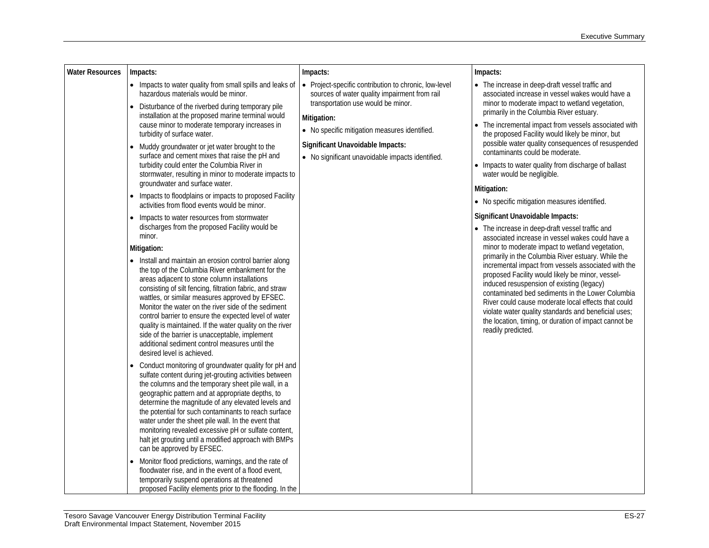| <b>Water Resources</b> | Impacts:                                                                                                                                                                                                                                                                                                                                                                                                                                                                                                                                                                                 | Impacts:                                                                                                                                     | Impacts:                                                                                                                                                                                                                                                                                                                                                                                                                                                                                                  |  |  |  |  |
|------------------------|------------------------------------------------------------------------------------------------------------------------------------------------------------------------------------------------------------------------------------------------------------------------------------------------------------------------------------------------------------------------------------------------------------------------------------------------------------------------------------------------------------------------------------------------------------------------------------------|----------------------------------------------------------------------------------------------------------------------------------------------|-----------------------------------------------------------------------------------------------------------------------------------------------------------------------------------------------------------------------------------------------------------------------------------------------------------------------------------------------------------------------------------------------------------------------------------------------------------------------------------------------------------|--|--|--|--|
|                        | • Impacts to water quality from small spills and leaks of<br>hazardous materials would be minor.<br>Disturbance of the riverbed during temporary pile                                                                                                                                                                                                                                                                                                                                                                                                                                    | • Project-specific contribution to chronic, low-level<br>sources of water quality impairment from rail<br>transportation use would be minor. | • The increase in deep-draft vessel traffic and<br>associated increase in vessel wakes would have a<br>minor to moderate impact to wetland vegetation,                                                                                                                                                                                                                                                                                                                                                    |  |  |  |  |
|                        | installation at the proposed marine terminal would<br>cause minor to moderate temporary increases in<br>turbidity of surface water.<br>Muddy groundwater or jet water brought to the<br>surface and cement mixes that raise the pH and<br>turbidity could enter the Columbia River in<br>stormwater, resulting in minor to moderate impacts to<br>groundwater and surface water.                                                                                                                                                                                                         |                                                                                                                                              | primarily in the Columbia River estuary.<br>Mitigation:<br>The incremental impact from vessels associated with<br>· No specific mitigation measures identified.<br>the proposed Facility would likely be minor, but<br>possible water quality consequences of resuspended<br>Significant Unavoidable Impacts:<br>contaminants could be moderate.<br>• No significant unavoidable impacts identified.<br>• Impacts to water quality from discharge of ballast<br>water would be negligible.<br>Mitigation: |  |  |  |  |
|                        | Impacts to floodplains or impacts to proposed Facility<br>activities from flood events would be minor.                                                                                                                                                                                                                                                                                                                                                                                                                                                                                   |                                                                                                                                              | • No specific mitigation measures identified.                                                                                                                                                                                                                                                                                                                                                                                                                                                             |  |  |  |  |
|                        | Impacts to water resources from stormwater                                                                                                                                                                                                                                                                                                                                                                                                                                                                                                                                               |                                                                                                                                              | Significant Unavoidable Impacts:                                                                                                                                                                                                                                                                                                                                                                                                                                                                          |  |  |  |  |
|                        | discharges from the proposed Facility would be<br>minor.                                                                                                                                                                                                                                                                                                                                                                                                                                                                                                                                 |                                                                                                                                              | • The increase in deep-draft vessel traffic and<br>associated increase in vessel wakes could have a                                                                                                                                                                                                                                                                                                                                                                                                       |  |  |  |  |
|                        | Mitigation:                                                                                                                                                                                                                                                                                                                                                                                                                                                                                                                                                                              |                                                                                                                                              | minor to moderate impact to wetland vegetation,<br>primarily in the Columbia River estuary. While the                                                                                                                                                                                                                                                                                                                                                                                                     |  |  |  |  |
|                        | • Install and maintain an erosion control barrier along<br>the top of the Columbia River embankment for the<br>areas adjacent to stone column installations<br>consisting of silt fencing, filtration fabric, and straw<br>wattles, or similar measures approved by EFSEC.<br>Monitor the water on the river side of the sediment<br>control barrier to ensure the expected level of water<br>quality is maintained. If the water quality on the river<br>side of the barrier is unacceptable, implement<br>additional sediment control measures until the<br>desired level is achieved. |                                                                                                                                              | incremental impact from vessels associated with the<br>proposed Facility would likely be minor, vessel-<br>induced resuspension of existing (legacy)<br>contaminated bed sediments in the Lower Columbia<br>River could cause moderate local effects that could<br>violate water quality standards and beneficial uses;<br>the location, timing, or duration of impact cannot be<br>readily predicted.                                                                                                    |  |  |  |  |
|                        | Conduct monitoring of groundwater quality for pH and<br>sulfate content during jet-grouting activities between<br>the columns and the temporary sheet pile wall, in a<br>geographic pattern and at appropriate depths, to<br>determine the magnitude of any elevated levels and<br>the potential for such contaminants to reach surface<br>water under the sheet pile wall. In the event that<br>monitoring revealed excessive pH or sulfate content,<br>halt jet grouting until a modified approach with BMPs<br>can be approved by EFSEC.                                              |                                                                                                                                              |                                                                                                                                                                                                                                                                                                                                                                                                                                                                                                           |  |  |  |  |
|                        | Monitor flood predictions, warnings, and the rate of<br>floodwater rise, and in the event of a flood event,<br>temporarily suspend operations at threatened<br>proposed Facility elements prior to the flooding. In the                                                                                                                                                                                                                                                                                                                                                                  |                                                                                                                                              |                                                                                                                                                                                                                                                                                                                                                                                                                                                                                                           |  |  |  |  |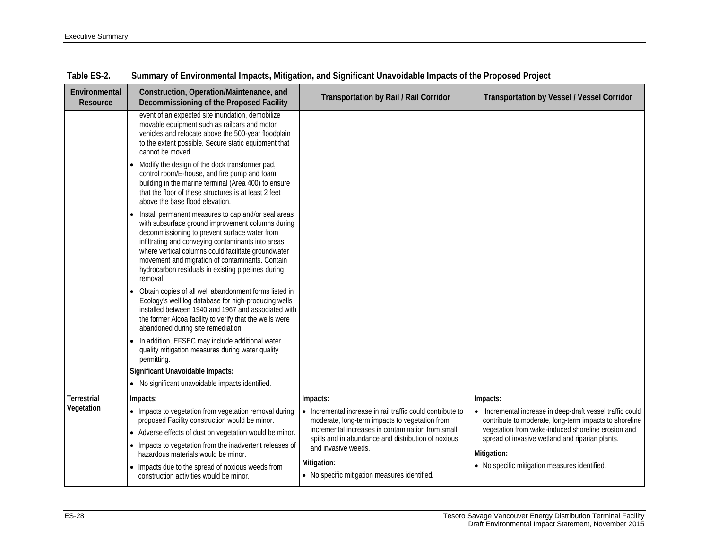| Environmental<br>Resource | Construction, Operation/Maintenance, and<br>Decommissioning of the Proposed Facility                                                                                                                                                                                                                                                                                                        | <b>Transportation by Rail / Rail Corridor</b>                                                                                                                                                                                                                              | <b>Transportation by Vessel / Vessel Corridor</b>                                                                                                                                                                                                                                                        |
|---------------------------|---------------------------------------------------------------------------------------------------------------------------------------------------------------------------------------------------------------------------------------------------------------------------------------------------------------------------------------------------------------------------------------------|----------------------------------------------------------------------------------------------------------------------------------------------------------------------------------------------------------------------------------------------------------------------------|----------------------------------------------------------------------------------------------------------------------------------------------------------------------------------------------------------------------------------------------------------------------------------------------------------|
|                           | event of an expected site inundation, demobilize<br>movable equipment such as railcars and motor<br>vehicles and relocate above the 500-year floodplain<br>to the extent possible. Secure static equipment that<br>cannot be moved.                                                                                                                                                         |                                                                                                                                                                                                                                                                            |                                                                                                                                                                                                                                                                                                          |
|                           | Modify the design of the dock transformer pad,<br>control room/E-house, and fire pump and foam<br>building in the marine terminal (Area 400) to ensure<br>that the floor of these structures is at least 2 feet<br>above the base flood elevation.                                                                                                                                          |                                                                                                                                                                                                                                                                            |                                                                                                                                                                                                                                                                                                          |
|                           | Install permanent measures to cap and/or seal areas<br>with subsurface ground improvement columns during<br>decommissioning to prevent surface water from<br>infiltrating and conveying contaminants into areas<br>where vertical columns could facilitate groundwater<br>movement and migration of contaminants. Contain<br>hydrocarbon residuals in existing pipelines during<br>removal. |                                                                                                                                                                                                                                                                            |                                                                                                                                                                                                                                                                                                          |
|                           | Obtain copies of all well abandonment forms listed in<br>Ecology's well log database for high-producing wells<br>installed between 1940 and 1967 and associated with<br>the former Alcoa facility to verify that the wells were<br>abandoned during site remediation.                                                                                                                       |                                                                                                                                                                                                                                                                            |                                                                                                                                                                                                                                                                                                          |
|                           | In addition, EFSEC may include additional water<br>quality mitigation measures during water quality<br>permitting.                                                                                                                                                                                                                                                                          |                                                                                                                                                                                                                                                                            |                                                                                                                                                                                                                                                                                                          |
|                           | Significant Unavoidable Impacts:                                                                                                                                                                                                                                                                                                                                                            |                                                                                                                                                                                                                                                                            |                                                                                                                                                                                                                                                                                                          |
| <b>Terrestrial</b>        | • No significant unavoidable impacts identified.                                                                                                                                                                                                                                                                                                                                            |                                                                                                                                                                                                                                                                            |                                                                                                                                                                                                                                                                                                          |
| Vegetation                | Impacts:<br>• Impacts to vegetation from vegetation removal during<br>proposed Facility construction would be minor.<br>Adverse effects of dust on vegetation would be minor.<br>$\bullet$<br>• Impacts to vegetation from the inadvertent releases of<br>hazardous materials would be minor.<br>• Impacts due to the spread of noxious weeds from                                          | Impacts:<br>• Incremental increase in rail traffic could contribute to<br>moderate, long-term impacts to vegetation from<br>incremental increases in contamination from small<br>spills and in abundance and distribution of noxious<br>and invasive weeds.<br>Mitigation: | Impacts:<br>• Incremental increase in deep-draft vessel traffic could<br>contribute to moderate, long-term impacts to shoreline<br>vegetation from wake-induced shoreline erosion and<br>spread of invasive wetland and riparian plants.<br>Mitigation:<br>• No specific mitigation measures identified. |
|                           | construction activities would be minor.                                                                                                                                                                                                                                                                                                                                                     | • No specific mitigation measures identified.                                                                                                                                                                                                                              |                                                                                                                                                                                                                                                                                                          |

| Table ES-2. | Summary of Environmental Impacts, Mitigation, and Significant Unavoidable Impacts of the Proposed Project |  |  |  |  |
|-------------|-----------------------------------------------------------------------------------------------------------|--|--|--|--|
|-------------|-----------------------------------------------------------------------------------------------------------|--|--|--|--|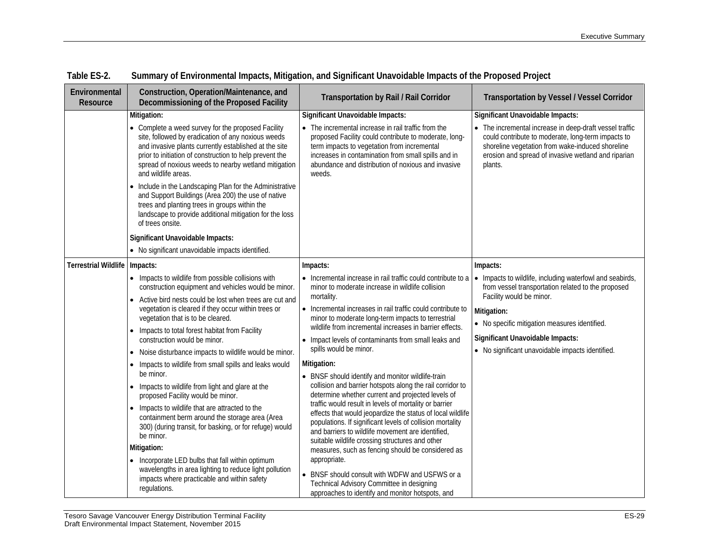| Environmental<br>Resource   | Construction, Operation/Maintenance, and<br>Decommissioning of the Proposed Facility                                                                                                                                                                                                                        | <b>Transportation by Rail / Rail Corridor</b>                                                                                                                                                                                                                                             | <b>Transportation by Vessel / Vessel Corridor</b>                                                                                                                                                                                   |
|-----------------------------|-------------------------------------------------------------------------------------------------------------------------------------------------------------------------------------------------------------------------------------------------------------------------------------------------------------|-------------------------------------------------------------------------------------------------------------------------------------------------------------------------------------------------------------------------------------------------------------------------------------------|-------------------------------------------------------------------------------------------------------------------------------------------------------------------------------------------------------------------------------------|
|                             | Mitigation:                                                                                                                                                                                                                                                                                                 | Significant Unavoidable Impacts:                                                                                                                                                                                                                                                          | Significant Unavoidable Impacts:                                                                                                                                                                                                    |
|                             | • Complete a weed survey for the proposed Facility<br>site, followed by eradication of any noxious weeds<br>and invasive plants currently established at the site<br>prior to initiation of construction to help prevent the<br>spread of noxious weeds to nearby wetland mitigation<br>and wildlife areas. | • The incremental increase in rail traffic from the<br>proposed Facility could contribute to moderate, long-<br>term impacts to vegetation from incremental<br>increases in contamination from small spills and in<br>abundance and distribution of noxious and invasive<br>weeds.        | • The incremental increase in deep-draft vessel traffic<br>could contribute to moderate, long-term impacts to<br>shoreline vegetation from wake-induced shoreline<br>erosion and spread of invasive wetland and riparian<br>plants. |
|                             | Include in the Landscaping Plan for the Administrative<br>and Support Buildings (Area 200) the use of native<br>trees and planting trees in groups within the<br>landscape to provide additional mitigation for the loss<br>of trees onsite.                                                                |                                                                                                                                                                                                                                                                                           |                                                                                                                                                                                                                                     |
|                             | Significant Unavoidable Impacts:                                                                                                                                                                                                                                                                            |                                                                                                                                                                                                                                                                                           |                                                                                                                                                                                                                                     |
|                             | • No significant unavoidable impacts identified.                                                                                                                                                                                                                                                            |                                                                                                                                                                                                                                                                                           |                                                                                                                                                                                                                                     |
| <b>Terrestrial Wildlife</b> | Impacts:                                                                                                                                                                                                                                                                                                    | Impacts:                                                                                                                                                                                                                                                                                  | Impacts:                                                                                                                                                                                                                            |
|                             | • Impacts to wildlife from possible collisions with<br>construction equipment and vehicles would be minor.<br>Active bird nests could be lost when trees are cut and<br>$\bullet$<br>vegetation is cleared if they occur within trees or<br>vegetation that is to be cleared.<br>$\bullet$                  | • Incremental increase in rail traffic could contribute to a<br>minor to moderate increase in wildlife collision                                                                                                                                                                          | • Impacts to wildlife, including waterfowl and seabirds,<br>from vessel transportation related to the proposed                                                                                                                      |
|                             |                                                                                                                                                                                                                                                                                                             | mortality.<br>• Incremental increases in rail traffic could contribute to<br>minor to moderate long-term impacts to terrestrial                                                                                                                                                           | Facility would be minor.<br>Mitigation:<br>• No specific mitigation measures identified.                                                                                                                                            |
|                             | wildlife from incremental increases in barrier effects.<br>Impacts to total forest habitat from Facility<br>construction would be minor.<br>• Impact levels of contaminants from small leaks and<br>spills would be minor.                                                                                  |                                                                                                                                                                                                                                                                                           | Significant Unavoidable Impacts:                                                                                                                                                                                                    |
|                             | • Noise disturbance impacts to wildlife would be minor.                                                                                                                                                                                                                                                     |                                                                                                                                                                                                                                                                                           | • No significant unavoidable impacts identified.                                                                                                                                                                                    |
|                             | Impacts to wildlife from small spills and leaks would<br>$\bullet$<br>be minor.                                                                                                                                                                                                                             | Mitigation:<br>• BNSF should identify and monitor wildlife-train                                                                                                                                                                                                                          |                                                                                                                                                                                                                                     |
|                             | Impacts to wildlife from light and glare at the<br>$\bullet$<br>proposed Facility would be minor.                                                                                                                                                                                                           | collision and barrier hotspots along the rail corridor to<br>determine whether current and projected levels of                                                                                                                                                                            |                                                                                                                                                                                                                                     |
|                             | Impacts to wildlife that are attracted to the<br>$\bullet$<br>containment berm around the storage area (Area<br>300) (during transit, for basking, or for refuge) would<br>be minor.                                                                                                                        | traffic would result in levels of mortality or barrier<br>effects that would jeopardize the status of local wildlife<br>populations. If significant levels of collision mortality<br>and barriers to wildlife movement are identified,<br>suitable wildlife crossing structures and other |                                                                                                                                                                                                                                     |
|                             | Mitigation:                                                                                                                                                                                                                                                                                                 | measures, such as fencing should be considered as                                                                                                                                                                                                                                         |                                                                                                                                                                                                                                     |
|                             | • Incorporate LED bulbs that fall within optimum<br>wavelengths in area lighting to reduce light pollution<br>impacts where practicable and within safety<br>regulations.                                                                                                                                   | appropriate.<br>• BNSF should consult with WDFW and USFWS or a<br>Technical Advisory Committee in designing<br>approaches to identify and monitor hotspots, and                                                                                                                           |                                                                                                                                                                                                                                     |

| Table ES-2. | Summary of Environmental Impacts, Mitigation, and Significant Unavoidable Impacts of the Proposed Project |  |  |  |  |
|-------------|-----------------------------------------------------------------------------------------------------------|--|--|--|--|
|             |                                                                                                           |  |  |  |  |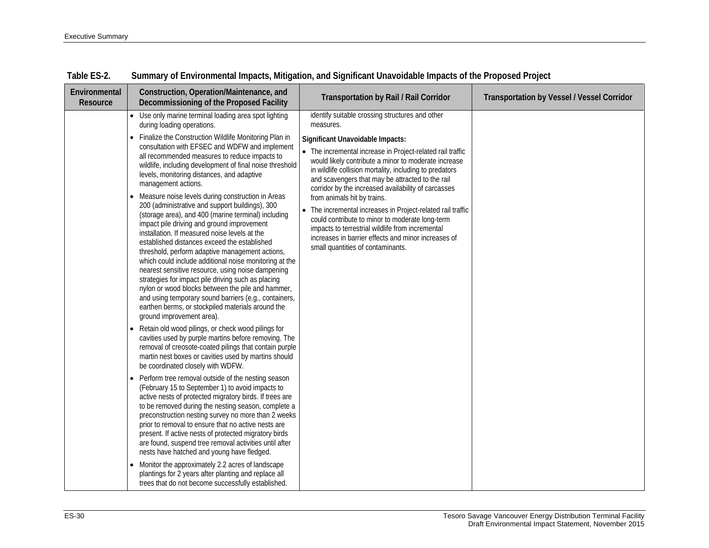| Environmental<br>Resource |           | Construction, Operation/Maintenance, and<br>Decommissioning of the Proposed Facility                                                                                                                                                                                                                                                                                                                                                                                                                                                                                                                                                                                                                                               | <b>Transportation by Rail / Rail Corridor</b>                                                                                                                                                                                                                                                                                | <b>Transportation by Vessel / Vessel Corridor</b> |
|---------------------------|-----------|------------------------------------------------------------------------------------------------------------------------------------------------------------------------------------------------------------------------------------------------------------------------------------------------------------------------------------------------------------------------------------------------------------------------------------------------------------------------------------------------------------------------------------------------------------------------------------------------------------------------------------------------------------------------------------------------------------------------------------|------------------------------------------------------------------------------------------------------------------------------------------------------------------------------------------------------------------------------------------------------------------------------------------------------------------------------|---------------------------------------------------|
|                           | $\bullet$ | Use only marine terminal loading area spot lighting<br>during loading operations.                                                                                                                                                                                                                                                                                                                                                                                                                                                                                                                                                                                                                                                  | identify suitable crossing structures and other<br>measures.                                                                                                                                                                                                                                                                 |                                                   |
|                           | $\bullet$ | Finalize the Construction Wildlife Monitoring Plan in<br>consultation with EFSEC and WDFW and implement<br>all recommended measures to reduce impacts to<br>wildlife, including development of final noise threshold<br>levels, monitoring distances, and adaptive<br>management actions.                                                                                                                                                                                                                                                                                                                                                                                                                                          | Significant Unavoidable Impacts:<br>• The incremental increase in Project-related rail traffic<br>would likely contribute a minor to moderate increase<br>in wildlife collision mortality, including to predators<br>and scavengers that may be attracted to the rail<br>corridor by the increased availability of carcasses |                                                   |
|                           | $\bullet$ | Measure noise levels during construction in Areas<br>200 (administrative and support buildings), 300<br>(storage area), and 400 (marine terminal) including<br>impact pile driving and ground improvement<br>installation. If measured noise levels at the<br>established distances exceed the established<br>threshold, perform adaptive management actions,<br>which could include additional noise monitoring at the<br>nearest sensitive resource, using noise dampening<br>strategies for impact pile driving such as placing<br>nylon or wood blocks between the pile and hammer,<br>and using temporary sound barriers (e.g., containers,<br>earthen berms, or stockpiled materials around the<br>ground improvement area). | from animals hit by trains.<br>• The incremental increases in Project-related rail traffic<br>could contribute to minor to moderate long-term<br>impacts to terrestrial wildlife from incremental<br>increases in barrier effects and minor increases of<br>small quantities of contaminants.                                |                                                   |
|                           |           | Retain old wood pilings, or check wood pilings for<br>cavities used by purple martins before removing. The<br>removal of creosote-coated pilings that contain purple<br>martin nest boxes or cavities used by martins should<br>be coordinated closely with WDFW.                                                                                                                                                                                                                                                                                                                                                                                                                                                                  |                                                                                                                                                                                                                                                                                                                              |                                                   |
|                           | $\bullet$ | Perform tree removal outside of the nesting season<br>(February 15 to September 1) to avoid impacts to<br>active nests of protected migratory birds. If trees are<br>to be removed during the nesting season, complete a<br>preconstruction nesting survey no more than 2 weeks<br>prior to removal to ensure that no active nests are<br>present. If active nests of protected migratory birds<br>are found, suspend tree removal activities until after<br>nests have hatched and young have fledged.                                                                                                                                                                                                                            |                                                                                                                                                                                                                                                                                                                              |                                                   |
|                           | $\bullet$ | Monitor the approximately 2.2 acres of landscape<br>plantings for 2 years after planting and replace all<br>trees that do not become successfully established.                                                                                                                                                                                                                                                                                                                                                                                                                                                                                                                                                                     |                                                                                                                                                                                                                                                                                                                              |                                                   |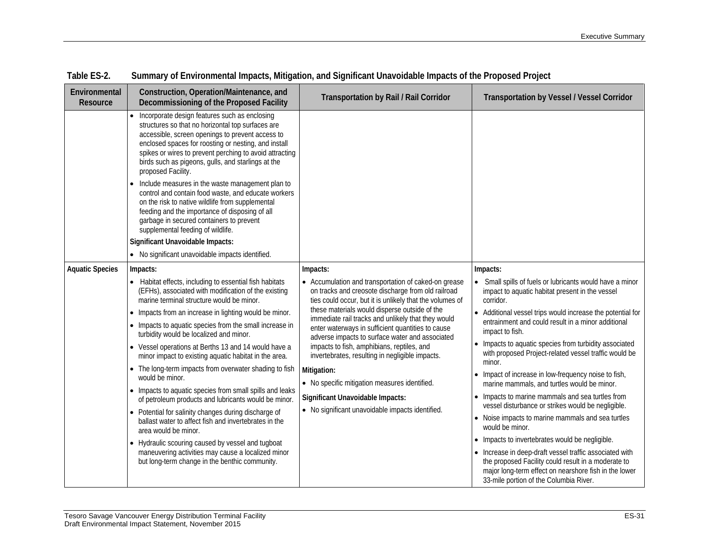| Environmental<br>Resource | Construction, Operation/Maintenance, and<br>Decommissioning of the Proposed Facility                                                                                                                                                                                                                                                                    | <b>Transportation by Rail / Rail Corridor</b>                                                                                                                          | <b>Transportation by Vessel / Vessel Corridor</b>                                                                                                                                                                                                                    |
|---------------------------|---------------------------------------------------------------------------------------------------------------------------------------------------------------------------------------------------------------------------------------------------------------------------------------------------------------------------------------------------------|------------------------------------------------------------------------------------------------------------------------------------------------------------------------|----------------------------------------------------------------------------------------------------------------------------------------------------------------------------------------------------------------------------------------------------------------------|
|                           | • Incorporate design features such as enclosing<br>structures so that no horizontal top surfaces are<br>accessible, screen openings to prevent access to<br>enclosed spaces for roosting or nesting, and install<br>spikes or wires to prevent perching to avoid attracting<br>birds such as pigeons, gulls, and starlings at the<br>proposed Facility. |                                                                                                                                                                        |                                                                                                                                                                                                                                                                      |
|                           | Include measures in the waste management plan to<br>control and contain food waste, and educate workers<br>on the risk to native wildlife from supplemental<br>feeding and the importance of disposing of all<br>garbage in secured containers to prevent<br>supplemental feeding of wildlife.                                                          |                                                                                                                                                                        |                                                                                                                                                                                                                                                                      |
|                           | Significant Unavoidable Impacts:                                                                                                                                                                                                                                                                                                                        |                                                                                                                                                                        |                                                                                                                                                                                                                                                                      |
|                           | • No significant unavoidable impacts identified.                                                                                                                                                                                                                                                                                                        |                                                                                                                                                                        |                                                                                                                                                                                                                                                                      |
| <b>Aquatic Species</b>    | Impacts:                                                                                                                                                                                                                                                                                                                                                | Impacts:                                                                                                                                                               | Impacts:                                                                                                                                                                                                                                                             |
|                           | • Habitat effects, including to essential fish habitats<br>(EFHs), associated with modification of the existing<br>marine terminal structure would be minor.                                                                                                                                                                                            | • Accumulation and transportation of caked-on grease<br>on tracks and creosote discharge from old railroad<br>ties could occur, but it is unlikely that the volumes of | • Small spills of fuels or lubricants would have a minor<br>impact to aquatic habitat present in the vessel<br>corridor.                                                                                                                                             |
|                           | • Impacts from an increase in lighting would be minor.                                                                                                                                                                                                                                                                                                  | these materials would disperse outside of the<br>immediate rail tracks and unlikely that they would                                                                    | • Additional vessel trips would increase the potential for                                                                                                                                                                                                           |
|                           | • Impacts to aquatic species from the small increase in<br>turbidity would be localized and minor.                                                                                                                                                                                                                                                      | enter waterways in sufficient quantities to cause<br>adverse impacts to surface water and associated                                                                   | entrainment and could result in a minor additional<br>impact to fish.                                                                                                                                                                                                |
|                           | • Vessel operations at Berths 13 and 14 would have a<br>minor impact to existing aquatic habitat in the area.                                                                                                                                                                                                                                           | impacts to fish, amphibians, reptiles, and<br>invertebrates, resulting in negligible impacts.                                                                          | • Impacts to aquatic species from turbidity associated<br>with proposed Project-related vessel traffic would be<br>minor.                                                                                                                                            |
|                           | • The long-term impacts from overwater shading to fish<br>Mitigation:<br>would be minor.<br>• No specific mitigation measures identified.                                                                                                                                                                                                               | • Impact of increase in low-frequency noise to fish,<br>marine mammals, and turtles would be minor.                                                                    |                                                                                                                                                                                                                                                                      |
|                           | • Impacts to aquatic species from small spills and leaks<br>of petroleum products and lubricants would be minor.                                                                                                                                                                                                                                        | Significant Unavoidable Impacts:                                                                                                                                       | • Impacts to marine mammals and sea turtles from                                                                                                                                                                                                                     |
|                           | • Potential for salinity changes during discharge of<br>ballast water to affect fish and invertebrates in the<br>area would be minor.                                                                                                                                                                                                                   | • No significant unavoidable impacts identified.                                                                                                                       | vessel disturbance or strikes would be negligible.<br>• Noise impacts to marine mammals and sea turtles<br>would be minor.                                                                                                                                           |
|                           | • Hydraulic scouring caused by vessel and tugboat<br>maneuvering activities may cause a localized minor<br>but long-term change in the benthic community.                                                                                                                                                                                               |                                                                                                                                                                        | • Impacts to invertebrates would be negligible.<br>• Increase in deep-draft vessel traffic associated with<br>the proposed Facility could result in a moderate to<br>major long-term effect on nearshore fish in the lower<br>33-mile portion of the Columbia River. |

| Table ES-2. | Summary of Environmental Impacts, Mitigation, and Significant Unavoidable Impacts of the Proposed Project |  |  |  |  |
|-------------|-----------------------------------------------------------------------------------------------------------|--|--|--|--|
|             |                                                                                                           |  |  |  |  |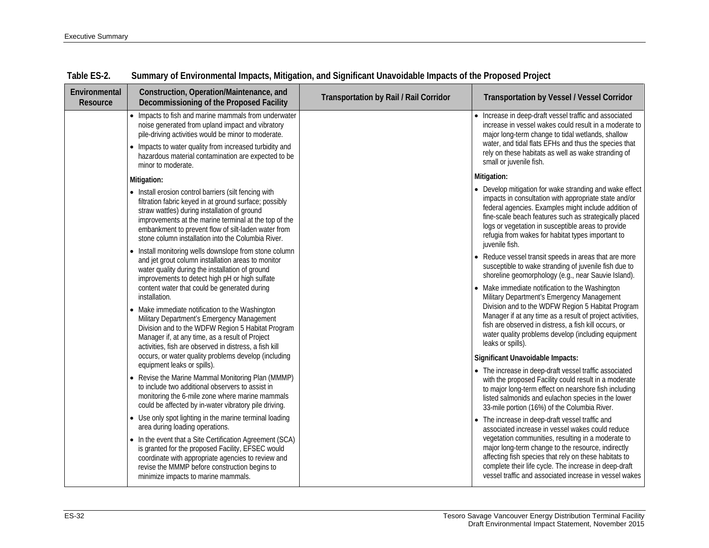| Environmental<br>Resource | Construction, Operation/Maintenance, and<br>Decommissioning of the Proposed Facility                                                                                                                                                                                                                                                  | Transportation by Rail / Rail Corridor | <b>Transportation by Vessel / Vessel Corridor</b>                                                                                                                                                                                                                                                                                                               |
|---------------------------|---------------------------------------------------------------------------------------------------------------------------------------------------------------------------------------------------------------------------------------------------------------------------------------------------------------------------------------|----------------------------------------|-----------------------------------------------------------------------------------------------------------------------------------------------------------------------------------------------------------------------------------------------------------------------------------------------------------------------------------------------------------------|
|                           | • Impacts to fish and marine mammals from underwater<br>noise generated from upland impact and vibratory<br>pile-driving activities would be minor to moderate.                                                                                                                                                                       |                                        | • Increase in deep-draft vessel traffic and associated<br>increase in vessel wakes could result in a moderate to<br>major long-term change to tidal wetlands, shallow                                                                                                                                                                                           |
|                           | • Impacts to water quality from increased turbidity and<br>hazardous material contamination are expected to be<br>minor to moderate.                                                                                                                                                                                                  |                                        | water, and tidal flats EFHs and thus the species that<br>rely on these habitats as well as wake stranding of<br>small or juvenile fish.                                                                                                                                                                                                                         |
|                           | Mitigation:                                                                                                                                                                                                                                                                                                                           |                                        | Mitigation:                                                                                                                                                                                                                                                                                                                                                     |
|                           | • Install erosion control barriers (silt fencing with<br>filtration fabric keyed in at ground surface; possibly<br>straw wattles) during installation of ground<br>improvements at the marine terminal at the top of the<br>embankment to prevent flow of silt-laden water from<br>stone column installation into the Columbia River. |                                        | • Develop mitigation for wake stranding and wake effect<br>impacts in consultation with appropriate state and/or<br>federal agencies. Examples might include addition of<br>fine-scale beach features such as strategically placed<br>logs or vegetation in susceptible areas to provide<br>refugia from wakes for habitat types important to<br>juvenile fish. |
|                           | Install monitoring wells downslope from stone column<br>and jet grout column installation areas to monitor<br>water quality during the installation of ground<br>improvements to detect high pH or high sulfate                                                                                                                       |                                        | • Reduce vessel transit speeds in areas that are more<br>susceptible to wake stranding of juvenile fish due to<br>shoreline geomorphology (e.g., near Sauvie Island).                                                                                                                                                                                           |
|                           | content water that could be generated during<br>installation.                                                                                                                                                                                                                                                                         |                                        | • Make immediate notification to the Washington<br>Military Department's Emergency Management                                                                                                                                                                                                                                                                   |
|                           | Make immediate notification to the Washington<br>Military Department's Emergency Management<br>Division and to the WDFW Region 5 Habitat Program<br>Manager if, at any time, as a result of Project<br>activities, fish are observed in distress, a fish kill                                                                         |                                        | Division and to the WDFW Region 5 Habitat Program<br>Manager if at any time as a result of project activities,<br>fish are observed in distress, a fish kill occurs, or<br>water quality problems develop (including equipment<br>leaks or spills).                                                                                                             |
|                           | occurs, or water quality problems develop (including                                                                                                                                                                                                                                                                                  |                                        | Significant Unavoidable Impacts:                                                                                                                                                                                                                                                                                                                                |
|                           | equipment leaks or spills).<br>• Revise the Marine Mammal Monitoring Plan (MMMP)<br>to include two additional observers to assist in<br>monitoring the 6-mile zone where marine mammals<br>could be affected by in-water vibratory pile driving.                                                                                      |                                        | • The increase in deep-draft vessel traffic associated<br>with the proposed Facility could result in a moderate<br>to major long-term effect on nearshore fish including<br>listed salmonids and eulachon species in the lower<br>33-mile portion (16%) of the Columbia River.                                                                                  |
|                           | • Use only spot lighting in the marine terminal loading<br>area during loading operations.                                                                                                                                                                                                                                            |                                        | • The increase in deep-draft vessel traffic and<br>associated increase in vessel wakes could reduce                                                                                                                                                                                                                                                             |
|                           | • In the event that a Site Certification Agreement (SCA)<br>is granted for the proposed Facility, EFSEC would<br>coordinate with appropriate agencies to review and<br>revise the MMMP before construction begins to<br>minimize impacts to marine mammals.                                                                           |                                        | vegetation communities, resulting in a moderate to<br>major long-term change to the resource, indirectly<br>affecting fish species that rely on these habitats to<br>complete their life cycle. The increase in deep-draft<br>vessel traffic and associated increase in vessel wakes                                                                            |

| Table ES-2. | Summary of Environmental Impacts, Mitigation, and Significant Unavoidable Impacts of the Proposed Project |  |  |  |  |
|-------------|-----------------------------------------------------------------------------------------------------------|--|--|--|--|
|-------------|-----------------------------------------------------------------------------------------------------------|--|--|--|--|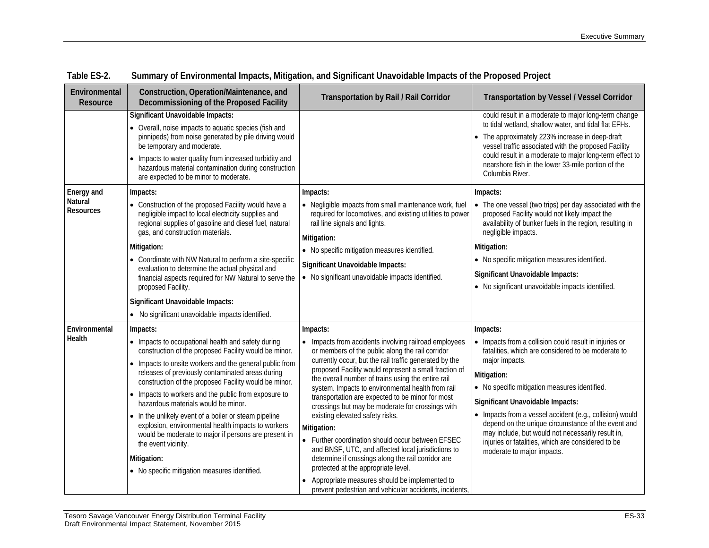| Environmental<br>Resource                 | Construction, Operation/Maintenance, and<br>Decommissioning of the Proposed Facility                                                                                                                                                                                                                                                                                                                                                                                                                                                                                                                                                                         | Transportation by Rail / Rail Corridor                                                                                                                                                                                                                                                                                                                                                                                                                                                                                                                                                                                                                                                                                                                                                                                           | <b>Transportation by Vessel / Vessel Corridor</b>                                                                                                                                                                                                                                                                                                                                                                                                                                                         |
|-------------------------------------------|--------------------------------------------------------------------------------------------------------------------------------------------------------------------------------------------------------------------------------------------------------------------------------------------------------------------------------------------------------------------------------------------------------------------------------------------------------------------------------------------------------------------------------------------------------------------------------------------------------------------------------------------------------------|----------------------------------------------------------------------------------------------------------------------------------------------------------------------------------------------------------------------------------------------------------------------------------------------------------------------------------------------------------------------------------------------------------------------------------------------------------------------------------------------------------------------------------------------------------------------------------------------------------------------------------------------------------------------------------------------------------------------------------------------------------------------------------------------------------------------------------|-----------------------------------------------------------------------------------------------------------------------------------------------------------------------------------------------------------------------------------------------------------------------------------------------------------------------------------------------------------------------------------------------------------------------------------------------------------------------------------------------------------|
|                                           | Significant Unavoidable Impacts:<br>• Overall, noise impacts to aquatic species (fish and<br>pinnipeds) from noise generated by pile driving would<br>be temporary and moderate.<br>• Impacts to water quality from increased turbidity and<br>hazardous material contamination during construction<br>are expected to be minor to moderate.                                                                                                                                                                                                                                                                                                                 |                                                                                                                                                                                                                                                                                                                                                                                                                                                                                                                                                                                                                                                                                                                                                                                                                                  | could result in a moderate to major long-term change<br>to tidal wetland, shallow water, and tidal flat EFHs.<br>• The approximately 223% increase in deep-draft<br>vessel traffic associated with the proposed Facility<br>could result in a moderate to major long-term effect to<br>nearshore fish in the lower 33-mile portion of the<br>Columbia River.                                                                                                                                              |
| Energy and<br>Natural<br><b>Resources</b> | Impacts:<br>• Construction of the proposed Facility would have a<br>negligible impact to local electricity supplies and<br>regional supplies of gasoline and diesel fuel, natural<br>gas, and construction materials.<br>Mitigation:<br>• Coordinate with NW Natural to perform a site-specific<br>evaluation to determine the actual physical and<br>financial aspects required for NW Natural to serve the<br>proposed Facility.<br>Significant Unavoidable Impacts:<br>• No significant unavoidable impacts identified.                                                                                                                                   | Impacts:<br>• Negligible impacts from small maintenance work, fuel<br>required for locomotives, and existing utilities to power<br>rail line signals and lights.<br>Mitigation:<br>• No specific mitigation measures identified.<br>Significant Unavoidable Impacts:<br>• No significant unavoidable impacts identified.                                                                                                                                                                                                                                                                                                                                                                                                                                                                                                         | Impacts:<br>• The one vessel (two trips) per day associated with the<br>proposed Facility would not likely impact the<br>availability of bunker fuels in the region, resulting in<br>negligible impacts.<br>Mitigation:<br>• No specific mitigation measures identified.<br>Significant Unavoidable Impacts:<br>• No significant unavoidable impacts identified.                                                                                                                                          |
| Environmental<br>Health                   | Impacts:<br>• Impacts to occupational health and safety during<br>construction of the proposed Facility would be minor.<br>• Impacts to onsite workers and the general public from<br>releases of previously contaminated areas during<br>construction of the proposed Facility would be minor.<br>• Impacts to workers and the public from exposure to<br>hazardous materials would be minor.<br>• In the unlikely event of a boiler or steam pipeline<br>explosion, environmental health impacts to workers<br>would be moderate to major if persons are present in<br>the event vicinity.<br>Mitigation:<br>• No specific mitigation measures identified. | Impacts:<br>• Impacts from accidents involving railroad employees<br>or members of the public along the rail corridor<br>currently occur, but the rail traffic generated by the<br>proposed Facility would represent a small fraction of<br>the overall number of trains using the entire rail<br>system. Impacts to environmental health from rail<br>transportation are expected to be minor for most<br>crossings but may be moderate for crossings with<br>existing elevated safety risks.<br>Mitigation:<br>• Further coordination should occur between EFSEC<br>and BNSF, UTC, and affected local jurisdictions to<br>determine if crossings along the rail corridor are<br>protected at the appropriate level.<br>Appropriate measures should be implemented to<br>prevent pedestrian and vehicular accidents, incidents, | Impacts:<br>• Impacts from a collision could result in injuries or<br>fatalities, which are considered to be moderate to<br>major impacts.<br>Mitigation:<br>• No specific mitigation measures identified.<br>Significant Unavoidable Impacts:<br>• Impacts from a vessel accident (e.g., collision) would<br>depend on the unique circumstance of the event and<br>may include, but would not necessarily result in,<br>injuries or fatalities, which are considered to be<br>moderate to major impacts. |

| Table ES-2. | Summary of Environmental Impacts, Mitigation, and Significant Unavoidable Impacts of the Proposed Project |  |  |  |  |
|-------------|-----------------------------------------------------------------------------------------------------------|--|--|--|--|
|             |                                                                                                           |  |  |  |  |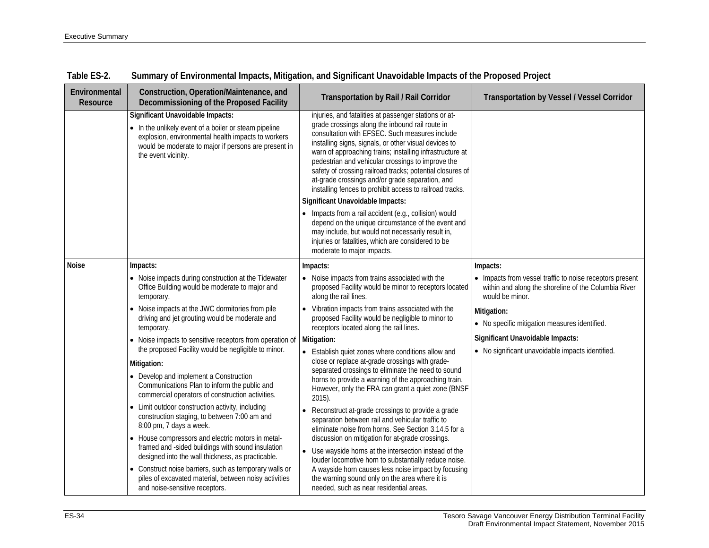| Environmental<br>Resource | Construction, Operation/Maintenance, and<br>Decommissioning of the Proposed Facility                                                                                                                                                  | <b>Transportation by Rail / Rail Corridor</b>                                                                                                                                                                                                                                                                                                                                                                                                                                                                                                                                                                                                                        | <b>Transportation by Vessel / Vessel Corridor</b>                                                                                   |
|---------------------------|---------------------------------------------------------------------------------------------------------------------------------------------------------------------------------------------------------------------------------------|----------------------------------------------------------------------------------------------------------------------------------------------------------------------------------------------------------------------------------------------------------------------------------------------------------------------------------------------------------------------------------------------------------------------------------------------------------------------------------------------------------------------------------------------------------------------------------------------------------------------------------------------------------------------|-------------------------------------------------------------------------------------------------------------------------------------|
|                           | <b>Significant Unavoidable Impacts:</b><br>• In the unlikely event of a boiler or steam pipeline<br>explosion, environmental health impacts to workers<br>would be moderate to major if persons are present in<br>the event vicinity. | injuries, and fatalities at passenger stations or at-<br>grade crossings along the inbound rail route in<br>consultation with EFSEC. Such measures include<br>installing signs, signals, or other visual devices to<br>warn of approaching trains; installing infrastructure at<br>pedestrian and vehicular crossings to improve the<br>safety of crossing railroad tracks; potential closures of<br>at-grade crossings and/or grade separation, and<br>installing fences to prohibit access to railroad tracks.<br>Significant Unavoidable Impacts:<br>• Impacts from a rail accident (e.g., collision) would<br>depend on the unique circumstance of the event and |                                                                                                                                     |
|                           |                                                                                                                                                                                                                                       | may include, but would not necessarily result in,<br>injuries or fatalities, which are considered to be<br>moderate to major impacts.                                                                                                                                                                                                                                                                                                                                                                                                                                                                                                                                |                                                                                                                                     |
| <b>Noise</b>              | Impacts:                                                                                                                                                                                                                              | Impacts:                                                                                                                                                                                                                                                                                                                                                                                                                                                                                                                                                                                                                                                             | Impacts:                                                                                                                            |
|                           | • Noise impacts during construction at the Tidewater<br>Office Building would be moderate to major and<br>temporary.                                                                                                                  | • Noise impacts from trains associated with the<br>proposed Facility would be minor to receptors located<br>along the rail lines.                                                                                                                                                                                                                                                                                                                                                                                                                                                                                                                                    | • Impacts from vessel traffic to noise receptors present<br>within and along the shoreline of the Columbia River<br>would be minor. |
|                           | • Noise impacts at the JWC dormitories from pile<br>driving and jet grouting would be moderate and<br>temporary.                                                                                                                      | • Vibration impacts from trains associated with the<br>proposed Facility would be negligible to minor to<br>receptors located along the rail lines.                                                                                                                                                                                                                                                                                                                                                                                                                                                                                                                  | Mitigation:<br>• No specific mitigation measures identified.                                                                        |
|                           | • Noise impacts to sensitive receptors from operation of<br>the proposed Facility would be negligible to minor.                                                                                                                       | Mitigation:<br>• Establish quiet zones where conditions allow and                                                                                                                                                                                                                                                                                                                                                                                                                                                                                                                                                                                                    | Significant Unavoidable Impacts:<br>• No significant unavoidable impacts identified.                                                |
|                           | Mitigation:<br>• Develop and implement a Construction<br>Communications Plan to inform the public and<br>commercial operators of construction activities.                                                                             | close or replace at-grade crossings with grade-<br>separated crossings to eliminate the need to sound<br>horns to provide a warning of the approaching train.<br>However, only the FRA can grant a quiet zone (BNSF<br>$2015$ ).                                                                                                                                                                                                                                                                                                                                                                                                                                     |                                                                                                                                     |
|                           | • Limit outdoor construction activity, including<br>construction staging, to between 7:00 am and<br>8:00 pm, 7 days a week.                                                                                                           | Reconstruct at-grade crossings to provide a grade<br>separation between rail and vehicular traffic to<br>eliminate noise from horns. See Section 3.14.5 for a                                                                                                                                                                                                                                                                                                                                                                                                                                                                                                        |                                                                                                                                     |
|                           | • House compressors and electric motors in metal-<br>framed and -sided buildings with sound insulation<br>designed into the wall thickness, as practicable.                                                                           | discussion on mitigation for at-grade crossings.<br>• Use wayside horns at the intersection instead of the<br>louder locomotive horn to substantially reduce noise.                                                                                                                                                                                                                                                                                                                                                                                                                                                                                                  |                                                                                                                                     |
|                           | • Construct noise barriers, such as temporary walls or<br>piles of excavated material, between noisy activities<br>and noise-sensitive receptors.                                                                                     | A wayside horn causes less noise impact by focusing<br>the warning sound only on the area where it is<br>needed, such as near residential areas.                                                                                                                                                                                                                                                                                                                                                                                                                                                                                                                     |                                                                                                                                     |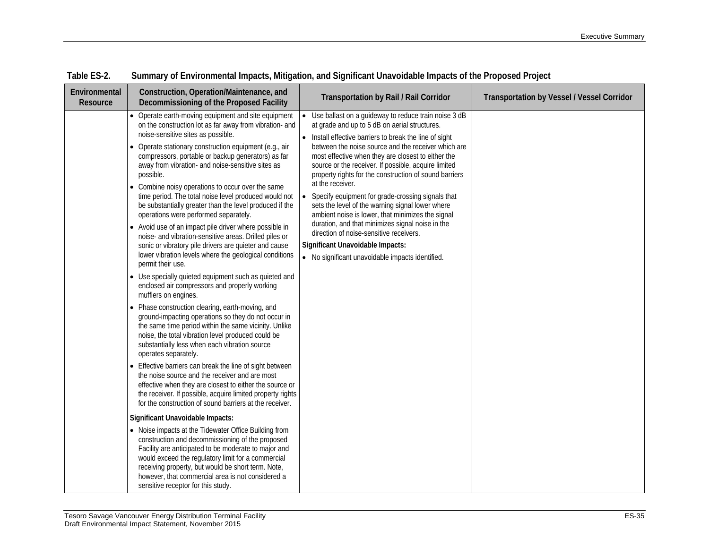| Environmental<br>Resource | Construction, Operation/Maintenance, and<br>Decommissioning of the Proposed Facility                                                                                                                                                                                                                                                                                                                                                                                                                                                                                                                                                                                                                                                                                                                                                                                          | <b>Transportation by Rail / Rail Corridor</b>                                                                                                                                                                                                                                                                                                                                                                                                                                                                                                                                                                                                                                                                                                                                           | Transportation by Vessel / Vessel Corridor |
|---------------------------|-------------------------------------------------------------------------------------------------------------------------------------------------------------------------------------------------------------------------------------------------------------------------------------------------------------------------------------------------------------------------------------------------------------------------------------------------------------------------------------------------------------------------------------------------------------------------------------------------------------------------------------------------------------------------------------------------------------------------------------------------------------------------------------------------------------------------------------------------------------------------------|-----------------------------------------------------------------------------------------------------------------------------------------------------------------------------------------------------------------------------------------------------------------------------------------------------------------------------------------------------------------------------------------------------------------------------------------------------------------------------------------------------------------------------------------------------------------------------------------------------------------------------------------------------------------------------------------------------------------------------------------------------------------------------------------|--------------------------------------------|
|                           | • Operate earth-moving equipment and site equipment<br>on the construction lot as far away from vibration- and<br>noise-sensitive sites as possible.<br>• Operate stationary construction equipment (e.g., air<br>compressors, portable or backup generators) as far<br>away from vibration- and noise-sensitive sites as<br>possible.<br>• Combine noisy operations to occur over the same<br>time period. The total noise level produced would not<br>be substantially greater than the level produced if the<br>operations were performed separately.<br>• Avoid use of an impact pile driver where possible in<br>noise- and vibration-sensitive areas. Drilled piles or<br>sonic or vibratory pile drivers are quieter and cause<br>lower vibration levels where the geological conditions<br>permit their use.<br>• Use specially quieted equipment such as quieted and | • Use ballast on a guideway to reduce train noise 3 dB<br>at grade and up to 5 dB on aerial structures.<br>• Install effective barriers to break the line of sight<br>between the noise source and the receiver which are<br>most effective when they are closest to either the<br>source or the receiver. If possible, acquire limited<br>property rights for the construction of sound barriers<br>at the receiver.<br>Specify equipment for grade-crossing signals that<br>$\bullet$<br>sets the level of the warning signal lower where<br>ambient noise is lower, that minimizes the signal<br>duration, and that minimizes signal noise in the<br>direction of noise-sensitive receivers.<br>Significant Unavoidable Impacts:<br>• No significant unavoidable impacts identified. |                                            |
|                           | enclosed air compressors and properly working<br>mufflers on engines.<br>• Phase construction clearing, earth-moving, and<br>ground-impacting operations so they do not occur in<br>the same time period within the same vicinity. Unlike<br>noise, the total vibration level produced could be<br>substantially less when each vibration source<br>operates separately.<br>• Effective barriers can break the line of sight between<br>the noise source and the receiver and are most<br>effective when they are closest to either the source or<br>the receiver. If possible, acquire limited property rights<br>for the construction of sound barriers at the receiver.                                                                                                                                                                                                    |                                                                                                                                                                                                                                                                                                                                                                                                                                                                                                                                                                                                                                                                                                                                                                                         |                                            |
|                           | Significant Unavoidable Impacts:<br>• Noise impacts at the Tidewater Office Building from<br>construction and decommissioning of the proposed<br>Facility are anticipated to be moderate to major and<br>would exceed the regulatory limit for a commercial<br>receiving property, but would be short term. Note,<br>however, that commercial area is not considered a<br>sensitive receptor for this study.                                                                                                                                                                                                                                                                                                                                                                                                                                                                  |                                                                                                                                                                                                                                                                                                                                                                                                                                                                                                                                                                                                                                                                                                                                                                                         |                                            |

**Table ES-2. Summary of Environmental Impacts, Mitigation, and Significant Unavoidable Impacts of the Proposed Project**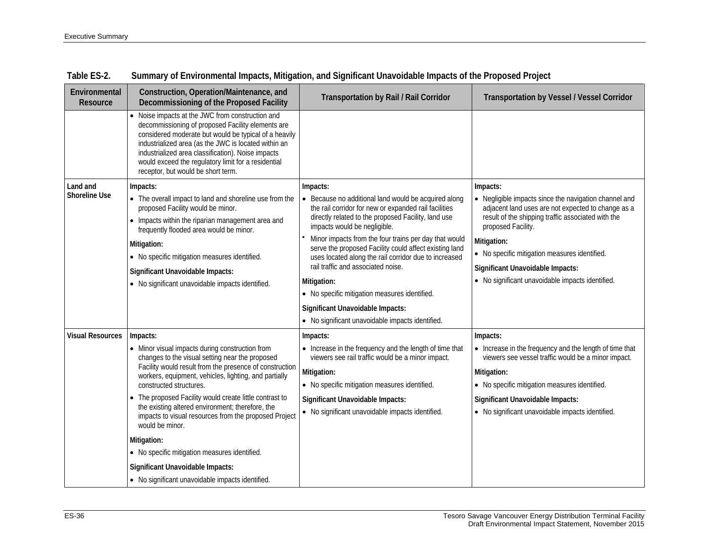| Environmental<br>Resource | Construction, Operation/Maintenance, and<br>Decommissioning of the Proposed Facility                                                                                                                                                                                                                                                                                    | Transportation by Rail / Rail Corridor                                                                          | <b>Transportation by Vessel / Vessel Corridor</b>                                                              |
|---------------------------|-------------------------------------------------------------------------------------------------------------------------------------------------------------------------------------------------------------------------------------------------------------------------------------------------------------------------------------------------------------------------|-----------------------------------------------------------------------------------------------------------------|----------------------------------------------------------------------------------------------------------------|
|                           | Noise impacts at the JWC from construction and<br>decommissioning of proposed Facility elements are<br>considered moderate but would be typical of a heavily<br>industrialized area (as the JWC is located within an<br>industrialized area classification). Noise impacts<br>would exceed the regulatory limit for a residential<br>receptor, but would be short term. |                                                                                                                 |                                                                                                                |
| Land and                  | Impacts:                                                                                                                                                                                                                                                                                                                                                                | Impacts:                                                                                                        | Impacts:                                                                                                       |
| <b>Shoreline Use</b>      | • The overall impact to land and shoreline use from the<br>proposed Facility would be minor.                                                                                                                                                                                                                                                                            | • Because no additional land would be acquired along<br>the rail corridor for new or expanded rail facilities   | • Negligible impacts since the navigation channel and<br>adjacent land uses are not expected to change as a    |
|                           | • Impacts within the riparian management area and<br>frequently flooded area would be minor.                                                                                                                                                                                                                                                                            | directly related to the proposed Facility, land use<br>impacts would be negligible.                             | result of the shipping traffic associated with the<br>proposed Facility.                                       |
|                           | Mitigation:                                                                                                                                                                                                                                                                                                                                                             | Minor impacts from the four trains per day that would<br>serve the proposed Facility could affect existing land | Mitigation:                                                                                                    |
|                           | • No specific mitigation measures identified.                                                                                                                                                                                                                                                                                                                           | uses located along the rail corridor due to increased                                                           | • No specific mitigation measures identified.                                                                  |
|                           | Significant Unavoidable Impacts:                                                                                                                                                                                                                                                                                                                                        | rail traffic and associated noise.                                                                              | Significant Unavoidable Impacts:                                                                               |
|                           | • No significant unavoidable impacts identified.                                                                                                                                                                                                                                                                                                                        | Mitigation:                                                                                                     | • No significant unavoidable impacts identified.                                                               |
|                           |                                                                                                                                                                                                                                                                                                                                                                         | • No specific mitigation measures identified.                                                                   |                                                                                                                |
|                           |                                                                                                                                                                                                                                                                                                                                                                         | Significant Unavoidable Impacts:                                                                                |                                                                                                                |
|                           |                                                                                                                                                                                                                                                                                                                                                                         | • No significant unavoidable impacts identified.                                                                |                                                                                                                |
| <b>Visual Resources</b>   | Impacts:                                                                                                                                                                                                                                                                                                                                                                | Impacts:                                                                                                        | Impacts:                                                                                                       |
|                           | • Minor visual impacts during construction from<br>changes to the visual setting near the proposed                                                                                                                                                                                                                                                                      | • Increase in the frequency and the length of time that<br>viewers see rail traffic would be a minor impact.    | • Increase in the frequency and the length of time that<br>viewers see vessel traffic would be a minor impact. |
|                           | Facility would result from the presence of construction<br>workers, equipment, vehicles, lighting, and partially                                                                                                                                                                                                                                                        | Mitigation:                                                                                                     | Mitigation:                                                                                                    |
|                           | constructed structures.                                                                                                                                                                                                                                                                                                                                                 | • No specific mitigation measures identified.                                                                   | • No specific mitigation measures identified.                                                                  |
|                           | The proposed Facility would create little contrast to                                                                                                                                                                                                                                                                                                                   | Significant Unavoidable Impacts:                                                                                | Significant Unavoidable Impacts:                                                                               |
|                           | the existing altered environment; therefore, the<br>impacts to visual resources from the proposed Project<br>would be minor.                                                                                                                                                                                                                                            | • No significant unavoidable impacts identified.                                                                | • No significant unavoidable impacts identified.                                                               |
|                           | Mitigation:                                                                                                                                                                                                                                                                                                                                                             |                                                                                                                 |                                                                                                                |
|                           | • No specific mitigation measures identified.                                                                                                                                                                                                                                                                                                                           |                                                                                                                 |                                                                                                                |
|                           | Significant Unavoidable Impacts:                                                                                                                                                                                                                                                                                                                                        |                                                                                                                 |                                                                                                                |
|                           | • No significant unavoidable impacts identified.                                                                                                                                                                                                                                                                                                                        |                                                                                                                 |                                                                                                                |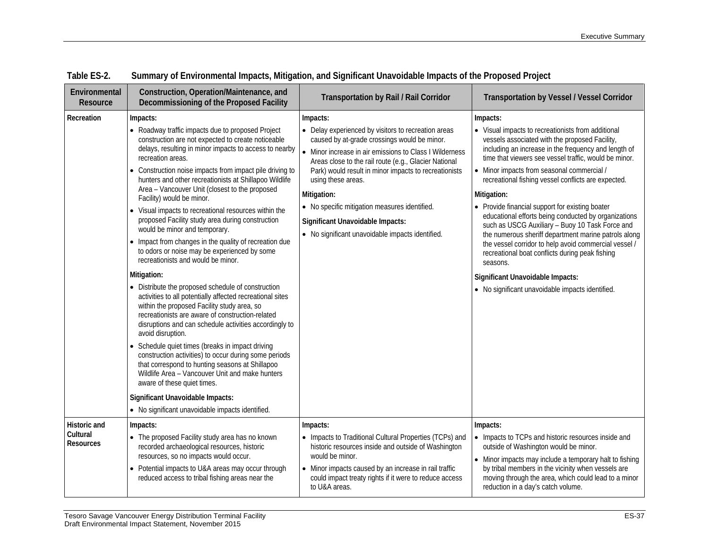| Environmental<br>Resource                    | Construction, Operation/Maintenance, and<br>Decommissioning of the Proposed Facility                                                                                                                                                                                                                                                                                                                                                                                                                                                                                                                                                                                                                                                                                                                                                                                                                                                                                                                                                                                                                                                                                                                                                                                                                                                                                | <b>Transportation by Rail / Rail Corridor</b>                                                                                                                                                                                                                                                                                                                                                                                                                              | <b>Transportation by Vessel / Vessel Corridor</b>                                                                                                                                                                                                                                                                                                                                                                                                                                                                                                                                                                                                                                                                                                                                           |
|----------------------------------------------|---------------------------------------------------------------------------------------------------------------------------------------------------------------------------------------------------------------------------------------------------------------------------------------------------------------------------------------------------------------------------------------------------------------------------------------------------------------------------------------------------------------------------------------------------------------------------------------------------------------------------------------------------------------------------------------------------------------------------------------------------------------------------------------------------------------------------------------------------------------------------------------------------------------------------------------------------------------------------------------------------------------------------------------------------------------------------------------------------------------------------------------------------------------------------------------------------------------------------------------------------------------------------------------------------------------------------------------------------------------------|----------------------------------------------------------------------------------------------------------------------------------------------------------------------------------------------------------------------------------------------------------------------------------------------------------------------------------------------------------------------------------------------------------------------------------------------------------------------------|---------------------------------------------------------------------------------------------------------------------------------------------------------------------------------------------------------------------------------------------------------------------------------------------------------------------------------------------------------------------------------------------------------------------------------------------------------------------------------------------------------------------------------------------------------------------------------------------------------------------------------------------------------------------------------------------------------------------------------------------------------------------------------------------|
| Recreation                                   | Impacts:<br>• Roadway traffic impacts due to proposed Project<br>construction are not expected to create noticeable<br>delays, resulting in minor impacts to access to nearby<br>recreation areas.<br>• Construction noise impacts from impact pile driving to<br>hunters and other recreationists at Shillapoo Wildlife<br>Area - Vancouver Unit (closest to the proposed<br>Facility) would be minor.<br>• Visual impacts to recreational resources within the<br>proposed Facility study area during construction<br>would be minor and temporary.<br>• Impact from changes in the quality of recreation due<br>to odors or noise may be experienced by some<br>recreationists and would be minor.<br>Mitigation:<br>• Distribute the proposed schedule of construction<br>activities to all potentially affected recreational sites<br>within the proposed Facility study area, so<br>recreationists are aware of construction-related<br>disruptions and can schedule activities accordingly to<br>avoid disruption.<br>• Schedule quiet times (breaks in impact driving<br>construction activities) to occur during some periods<br>that correspond to hunting seasons at Shillapoo<br>Wildlife Area - Vancouver Unit and make hunters<br>aware of these quiet times.<br>Significant Unavoidable Impacts:<br>• No significant unavoidable impacts identified. | Impacts:<br>• Delay experienced by visitors to recreation areas<br>caused by at-grade crossings would be minor.<br>• Minor increase in air emissions to Class I Wilderness<br>Areas close to the rail route (e.g., Glacier National<br>Park) would result in minor impacts to recreationists<br>using these areas.<br>Mitigation:<br>• No specific mitigation measures identified.<br>Significant Unavoidable Impacts:<br>• No significant unavoidable impacts identified. | Impacts:<br>• Visual impacts to recreationists from additional<br>vessels associated with the proposed Facility,<br>including an increase in the frequency and length of<br>time that viewers see vessel traffic, would be minor.<br>• Minor impacts from seasonal commercial /<br>recreational fishing vessel conflicts are expected.<br>Mitigation:<br>• Provide financial support for existing boater<br>educational efforts being conducted by organizations<br>such as USCG Auxiliary - Buoy 10 Task Force and<br>the numerous sheriff department marine patrols along<br>the vessel corridor to help avoid commercial vessel /<br>recreational boat conflicts during peak fishing<br>seasons.<br>Significant Unavoidable Impacts:<br>• No significant unavoidable impacts identified. |
| Historic and<br>Cultural<br><b>Resources</b> | Impacts:<br>• The proposed Facility study area has no known<br>recorded archaeological resources, historic<br>resources, so no impacts would occur.<br>• Potential impacts to U&A areas may occur through<br>reduced access to tribal fishing areas near the                                                                                                                                                                                                                                                                                                                                                                                                                                                                                                                                                                                                                                                                                                                                                                                                                                                                                                                                                                                                                                                                                                        | Impacts:<br>• Impacts to Traditional Cultural Properties (TCPs) and<br>historic resources inside and outside of Washington<br>would be minor.<br>• Minor impacts caused by an increase in rail traffic<br>could impact treaty rights if it were to reduce access<br>to U&A areas.                                                                                                                                                                                          | Impacts:<br>• Impacts to TCPs and historic resources inside and<br>outside of Washington would be minor.<br>• Minor impacts may include a temporary halt to fishing<br>by tribal members in the vicinity when vessels are<br>moving through the area, which could lead to a minor<br>reduction in a day's catch volume.                                                                                                                                                                                                                                                                                                                                                                                                                                                                     |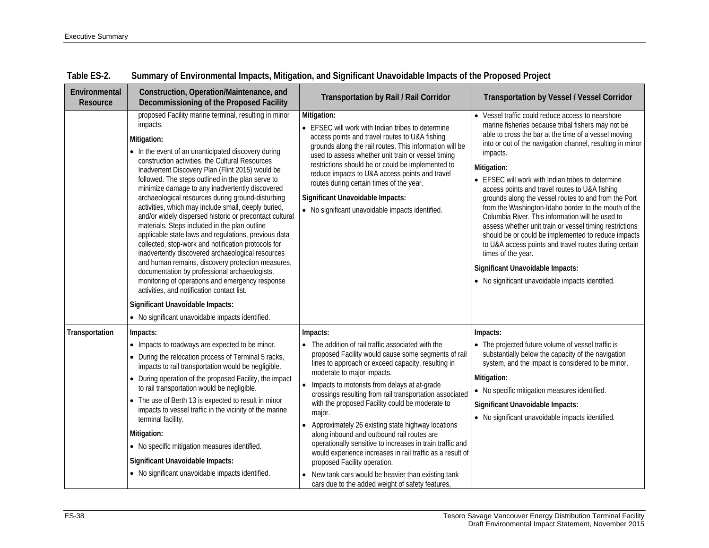| Environmental<br>Resource | Construction, Operation/Maintenance, and<br>Decommissioning of the Proposed Facility                                                                                                                                                                                                                                                                                                                                                                                                                                                                                                                                                                                                                                                                                                                                                                                                                                                                                                          | <b>Transportation by Rail / Rail Corridor</b>                                                                                                                                                                                                                                                                                                                                                                                                                                                                                                                                                                                                                                                                                                               | <b>Transportation by Vessel / Vessel Corridor</b>                                                                                                                                                                                                                                                                                                                                                                                                                                                                                                                                                                                                                                                                                                                                                                           |
|---------------------------|-----------------------------------------------------------------------------------------------------------------------------------------------------------------------------------------------------------------------------------------------------------------------------------------------------------------------------------------------------------------------------------------------------------------------------------------------------------------------------------------------------------------------------------------------------------------------------------------------------------------------------------------------------------------------------------------------------------------------------------------------------------------------------------------------------------------------------------------------------------------------------------------------------------------------------------------------------------------------------------------------|-------------------------------------------------------------------------------------------------------------------------------------------------------------------------------------------------------------------------------------------------------------------------------------------------------------------------------------------------------------------------------------------------------------------------------------------------------------------------------------------------------------------------------------------------------------------------------------------------------------------------------------------------------------------------------------------------------------------------------------------------------------|-----------------------------------------------------------------------------------------------------------------------------------------------------------------------------------------------------------------------------------------------------------------------------------------------------------------------------------------------------------------------------------------------------------------------------------------------------------------------------------------------------------------------------------------------------------------------------------------------------------------------------------------------------------------------------------------------------------------------------------------------------------------------------------------------------------------------------|
|                           | proposed Facility marine terminal, resulting in minor<br>impacts.<br>Mitigation:<br>• In the event of an unanticipated discovery during<br>construction activities, the Cultural Resources<br>Inadvertent Discovery Plan (Flint 2015) would be<br>followed. The steps outlined in the plan serve to<br>minimize damage to any inadvertently discovered<br>archaeological resources during ground-disturbing<br>activities, which may include small, deeply buried,<br>and/or widely dispersed historic or precontact cultural<br>materials. Steps included in the plan outline<br>applicable state laws and regulations, previous data<br>collected, stop-work and notification protocols for<br>inadvertently discovered archaeological resources<br>and human remains, discovery protection measures,<br>documentation by professional archaeologists,<br>monitoring of operations and emergency response<br>activities, and notification contact list.<br>Significant Unavoidable Impacts: | Mitigation:<br>• EFSEC will work with Indian tribes to determine<br>access points and travel routes to U&A fishing<br>grounds along the rail routes. This information will be<br>used to assess whether unit train or vessel timing<br>restrictions should be or could be implemented to<br>reduce impacts to U&A access points and travel<br>routes during certain times of the year.<br>Significant Unavoidable Impacts:<br>• No significant unavoidable impacts identified.                                                                                                                                                                                                                                                                              | • Vessel traffic could reduce access to nearshore<br>marine fisheries because tribal fishers may not be<br>able to cross the bar at the time of a vessel moving<br>into or out of the navigation channel, resulting in minor<br>impacts.<br>Mitigation:<br>• EFSEC will work with Indian tribes to determine<br>access points and travel routes to U&A fishing<br>grounds along the vessel routes to and from the Port<br>from the Washington-Idaho border to the mouth of the<br>Columbia River. This information will be used to<br>assess whether unit train or vessel timing restrictions<br>should be or could be implemented to reduce impacts<br>to U&A access points and travel routes during certain<br>times of the year.<br>Significant Unavoidable Impacts:<br>• No significant unavoidable impacts identified. |
|                           | • No significant unavoidable impacts identified.                                                                                                                                                                                                                                                                                                                                                                                                                                                                                                                                                                                                                                                                                                                                                                                                                                                                                                                                              |                                                                                                                                                                                                                                                                                                                                                                                                                                                                                                                                                                                                                                                                                                                                                             |                                                                                                                                                                                                                                                                                                                                                                                                                                                                                                                                                                                                                                                                                                                                                                                                                             |
| Transportation            | Impacts:<br>• Impacts to roadways are expected to be minor.<br>• During the relocation process of Terminal 5 racks,<br>impacts to rail transportation would be negligible.<br>• During operation of the proposed Facility, the impact<br>to rail transportation would be negligible.<br>• The use of Berth 13 is expected to result in minor<br>impacts to vessel traffic in the vicinity of the marine<br>terminal facility.<br>Mitigation:<br>• No specific mitigation measures identified.<br>Significant Unavoidable Impacts:<br>• No significant unavoidable impacts identified.                                                                                                                                                                                                                                                                                                                                                                                                         | Impacts:<br>• The addition of rail traffic associated with the<br>proposed Facility would cause some segments of rail<br>lines to approach or exceed capacity, resulting in<br>moderate to major impacts.<br>• Impacts to motorists from delays at at-grade<br>crossings resulting from rail transportation associated<br>with the proposed Facility could be moderate to<br>major.<br>Approximately 26 existing state highway locations<br>along inbound and outbound rail routes are<br>operationally sensitive to increases in train traffic and<br>would experience increases in rail traffic as a result of<br>proposed Facility operation.<br>• New tank cars would be heavier than existing tank<br>cars due to the added weight of safety features, | Impacts:<br>• The projected future volume of vessel traffic is<br>substantially below the capacity of the navigation<br>system, and the impact is considered to be minor.<br>Mitigation:<br>• No specific mitigation measures identified.<br>Significant Unavoidable Impacts:<br>• No significant unavoidable impacts identified.                                                                                                                                                                                                                                                                                                                                                                                                                                                                                           |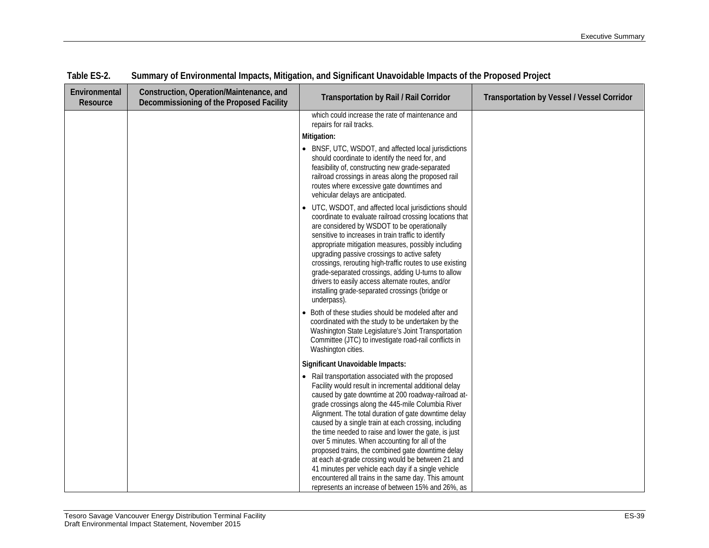| Environmental<br>Resource | Construction, Operation/Maintenance, and<br>Decommissioning of the Proposed Facility | <b>Transportation by Rail / Rail Corridor</b>                                                                                                                                                                                                                                                                                                                                                                                                                                                                                                                                                                                                                                                                                                                      | <b>Transportation by Vessel / Vessel Corridor</b> |
|---------------------------|--------------------------------------------------------------------------------------|--------------------------------------------------------------------------------------------------------------------------------------------------------------------------------------------------------------------------------------------------------------------------------------------------------------------------------------------------------------------------------------------------------------------------------------------------------------------------------------------------------------------------------------------------------------------------------------------------------------------------------------------------------------------------------------------------------------------------------------------------------------------|---------------------------------------------------|
|                           |                                                                                      | which could increase the rate of maintenance and<br>repairs for rail tracks.<br>Mitigation:<br>• BNSF, UTC, WSDOT, and affected local jurisdictions<br>should coordinate to identify the need for, and<br>feasibility of, constructing new grade-separated<br>railroad crossings in areas along the proposed rail<br>routes where excessive gate downtimes and                                                                                                                                                                                                                                                                                                                                                                                                     |                                                   |
|                           |                                                                                      | vehicular delays are anticipated.<br>• UTC, WSDOT, and affected local jurisdictions should<br>coordinate to evaluate railroad crossing locations that<br>are considered by WSDOT to be operationally<br>sensitive to increases in train traffic to identify<br>appropriate mitigation measures, possibly including<br>upgrading passive crossings to active safety<br>crossings, rerouting high-traffic routes to use existing<br>grade-separated crossings, adding U-turns to allow<br>drivers to easily access alternate routes, and/or<br>installing grade-separated crossings (bridge or<br>underpass).<br>• Both of these studies should be modeled after and                                                                                                 |                                                   |
|                           |                                                                                      | coordinated with the study to be undertaken by the<br>Washington State Legislature's Joint Transportation<br>Committee (JTC) to investigate road-rail conflicts in<br>Washington cities.                                                                                                                                                                                                                                                                                                                                                                                                                                                                                                                                                                           |                                                   |
|                           |                                                                                      | Significant Unavoidable Impacts:<br>• Rail transportation associated with the proposed<br>Facility would result in incremental additional delay<br>caused by gate downtime at 200 roadway-railroad at-<br>grade crossings along the 445-mile Columbia River<br>Alignment. The total duration of gate downtime delay<br>caused by a single train at each crossing, including<br>the time needed to raise and lower the gate, is just<br>over 5 minutes. When accounting for all of the<br>proposed trains, the combined gate downtime delay<br>at each at-grade crossing would be between 21 and<br>41 minutes per vehicle each day if a single vehicle<br>encountered all trains in the same day. This amount<br>represents an increase of between 15% and 26%, as |                                                   |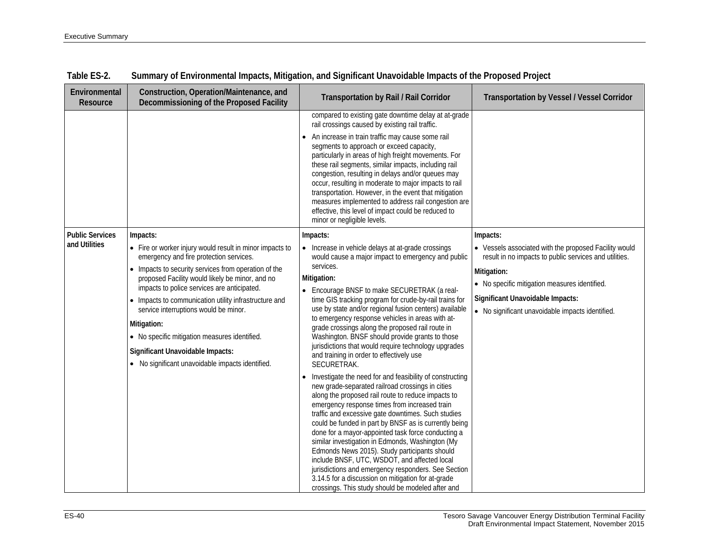| Environmental<br>Resource               | Construction, Operation/Maintenance, and<br>Decommissioning of the Proposed Facility                                                                                                                                                                                                                                                                                                                                                                                                                                                | <b>Transportation by Rail / Rail Corridor</b>                                                                                                                                                                                                                                                                                                                                                                                                                                                                                                                                                                                                                                                                                                                                                                                                                                                                                                                                                                                                                                                                                                                                                                                                                                                                         | <b>Transportation by Vessel / Vessel Corridor</b>                                                                                                                                                                                                                                   |
|-----------------------------------------|-------------------------------------------------------------------------------------------------------------------------------------------------------------------------------------------------------------------------------------------------------------------------------------------------------------------------------------------------------------------------------------------------------------------------------------------------------------------------------------------------------------------------------------|-----------------------------------------------------------------------------------------------------------------------------------------------------------------------------------------------------------------------------------------------------------------------------------------------------------------------------------------------------------------------------------------------------------------------------------------------------------------------------------------------------------------------------------------------------------------------------------------------------------------------------------------------------------------------------------------------------------------------------------------------------------------------------------------------------------------------------------------------------------------------------------------------------------------------------------------------------------------------------------------------------------------------------------------------------------------------------------------------------------------------------------------------------------------------------------------------------------------------------------------------------------------------------------------------------------------------|-------------------------------------------------------------------------------------------------------------------------------------------------------------------------------------------------------------------------------------------------------------------------------------|
|                                         |                                                                                                                                                                                                                                                                                                                                                                                                                                                                                                                                     | compared to existing gate downtime delay at at-grade<br>rail crossings caused by existing rail traffic.<br>An increase in train traffic may cause some rail<br>segments to approach or exceed capacity,<br>particularly in areas of high freight movements. For<br>these rail segments, similar impacts, including rail<br>congestion, resulting in delays and/or queues may<br>occur, resulting in moderate to major impacts to rail<br>transportation. However, in the event that mitigation<br>measures implemented to address rail congestion are<br>effective, this level of impact could be reduced to<br>minor or negligible levels.                                                                                                                                                                                                                                                                                                                                                                                                                                                                                                                                                                                                                                                                           |                                                                                                                                                                                                                                                                                     |
| <b>Public Services</b><br>and Utilities | Impacts:<br>• Fire or worker injury would result in minor impacts to<br>emergency and fire protection services.<br>• Impacts to security services from operation of the<br>proposed Facility would likely be minor, and no<br>impacts to police services are anticipated.<br>• Impacts to communication utility infrastructure and<br>service interruptions would be minor.<br>Mitigation:<br>• No specific mitigation measures identified.<br>Significant Unavoidable Impacts:<br>• No significant unavoidable impacts identified. | Impacts:<br>• Increase in vehicle delays at at-grade crossings<br>would cause a major impact to emergency and public<br>services.<br>Mitigation:<br>• Encourage BNSF to make SECURETRAK (a real-<br>time GIS tracking program for crude-by-rail trains for<br>use by state and/or regional fusion centers) available<br>to emergency response vehicles in areas with at-<br>grade crossings along the proposed rail route in<br>Washington. BNSF should provide grants to those<br>jurisdictions that would require technology upgrades<br>and training in order to effectively use<br>SECURETRAK.<br>Investigate the need for and feasibility of constructing<br>new grade-separated railroad crossings in cities<br>along the proposed rail route to reduce impacts to<br>emergency response times from increased train<br>traffic and excessive gate downtimes. Such studies<br>could be funded in part by BNSF as is currently being<br>done for a mayor-appointed task force conducting a<br>similar investigation in Edmonds, Washington (My<br>Edmonds News 2015). Study participants should<br>include BNSF, UTC, WSDOT, and affected local<br>jurisdictions and emergency responders. See Section<br>3.14.5 for a discussion on mitigation for at-grade<br>crossings. This study should be modeled after and | Impacts:<br>• Vessels associated with the proposed Facility would<br>result in no impacts to public services and utilities.<br>Mitigation:<br>• No specific mitigation measures identified.<br>Significant Unavoidable Impacts:<br>• No significant unavoidable impacts identified. |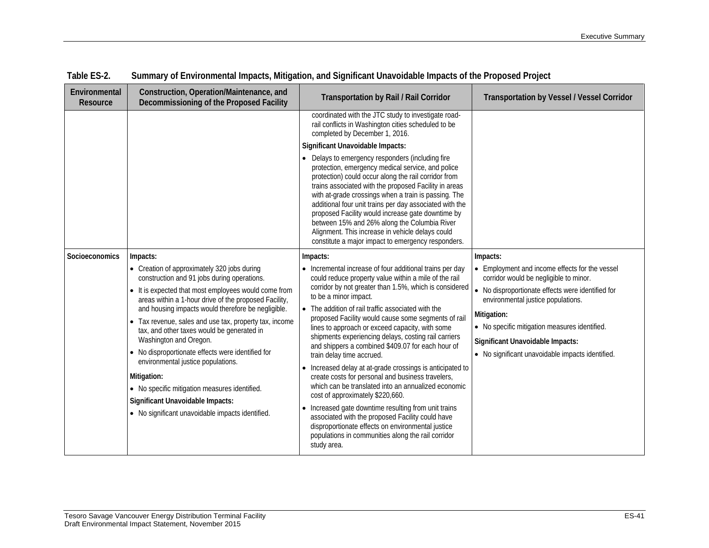| Environmental<br>Resource | Construction, Operation/Maintenance, and<br>Decommissioning of the Proposed Facility                                                                                                                                                                                                                                                                                                                                                                                                                                                                                                                                                                               | Transportation by Rail / Rail Corridor                                                                                                                                                                                                                                                                                                                                                                                                                                                                                                                                                                                                                                                                                                                                                                                                                                                                                                                                    | <b>Transportation by Vessel / Vessel Corridor</b>                                                                                                                                                                                                                                                                                                       |
|---------------------------|--------------------------------------------------------------------------------------------------------------------------------------------------------------------------------------------------------------------------------------------------------------------------------------------------------------------------------------------------------------------------------------------------------------------------------------------------------------------------------------------------------------------------------------------------------------------------------------------------------------------------------------------------------------------|---------------------------------------------------------------------------------------------------------------------------------------------------------------------------------------------------------------------------------------------------------------------------------------------------------------------------------------------------------------------------------------------------------------------------------------------------------------------------------------------------------------------------------------------------------------------------------------------------------------------------------------------------------------------------------------------------------------------------------------------------------------------------------------------------------------------------------------------------------------------------------------------------------------------------------------------------------------------------|---------------------------------------------------------------------------------------------------------------------------------------------------------------------------------------------------------------------------------------------------------------------------------------------------------------------------------------------------------|
|                           |                                                                                                                                                                                                                                                                                                                                                                                                                                                                                                                                                                                                                                                                    | coordinated with the JTC study to investigate road-<br>rail conflicts in Washington cities scheduled to be<br>completed by December 1, 2016.<br>Significant Unavoidable Impacts:<br>Delays to emergency responders (including fire<br>protection, emergency medical service, and police<br>protection) could occur along the rail corridor from<br>trains associated with the proposed Facility in areas<br>with at-grade crossings when a train is passing. The<br>additional four unit trains per day associated with the<br>proposed Facility would increase gate downtime by<br>between 15% and 26% along the Columbia River<br>Alignment. This increase in vehicle delays could<br>constitute a major impact to emergency responders.                                                                                                                                                                                                                                |                                                                                                                                                                                                                                                                                                                                                         |
| Socioeconomics            | Impacts:<br>• Creation of approximately 320 jobs during<br>construction and 91 jobs during operations.<br>• It is expected that most employees would come from<br>areas within a 1-hour drive of the proposed Facility,<br>and housing impacts would therefore be negligible.<br>• Tax revenue, sales and use tax, property tax, income<br>tax, and other taxes would be generated in<br>Washington and Oregon.<br>• No disproportionate effects were identified for<br>environmental justice populations.<br>Mitigation:<br>• No specific mitigation measures identified.<br>Significant Unavoidable Impacts:<br>• No significant unavoidable impacts identified. | Impacts:<br>• Incremental increase of four additional trains per day<br>could reduce property value within a mile of the rail<br>corridor by not greater than 1.5%, which is considered<br>to be a minor impact.<br>• The addition of rail traffic associated with the<br>proposed Facility would cause some segments of rail<br>lines to approach or exceed capacity, with some<br>shipments experiencing delays, costing rail carriers<br>and shippers a combined \$409.07 for each hour of<br>train delay time accrued.<br>Increased delay at at-grade crossings is anticipated to<br>create costs for personal and business travelers,<br>which can be translated into an annualized economic<br>cost of approximately \$220,660.<br>Increased gate downtime resulting from unit trains<br>associated with the proposed Facility could have<br>disproportionate effects on environmental justice<br>populations in communities along the rail corridor<br>study area. | Impacts:<br>• Employment and income effects for the vessel<br>corridor would be negligible to minor.<br>• No disproportionate effects were identified for<br>environmental justice populations.<br>Mitigation:<br>• No specific mitigation measures identified.<br>Significant Unavoidable Impacts:<br>• No significant unavoidable impacts identified. |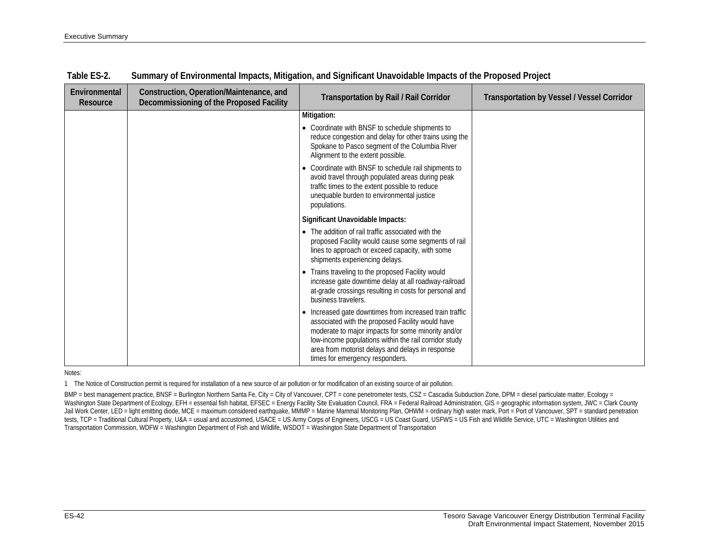| Environmental<br>Resource | Construction, Operation/Maintenance, and<br>Decommissioning of the Proposed Facility | <b>Transportation by Rail / Rail Corridor</b>                                                                                                                                                                                                                                                                     | <b>Transportation by Vessel / Vessel Corridor</b> |
|---------------------------|--------------------------------------------------------------------------------------|-------------------------------------------------------------------------------------------------------------------------------------------------------------------------------------------------------------------------------------------------------------------------------------------------------------------|---------------------------------------------------|
|                           |                                                                                      | Mitigation:                                                                                                                                                                                                                                                                                                       |                                                   |
|                           |                                                                                      | • Coordinate with BNSF to schedule shipments to<br>reduce congestion and delay for other trains using the<br>Spokane to Pasco segment of the Columbia River<br>Alignment to the extent possible.                                                                                                                  |                                                   |
|                           |                                                                                      | • Coordinate with BNSF to schedule rail shipments to<br>avoid travel through populated areas during peak<br>traffic times to the extent possible to reduce<br>unequable burden to environmental justice<br>populations.                                                                                           |                                                   |
|                           |                                                                                      | Significant Unavoidable Impacts:                                                                                                                                                                                                                                                                                  |                                                   |
|                           |                                                                                      | • The addition of rail traffic associated with the<br>proposed Facility would cause some segments of rail<br>lines to approach or exceed capacity, with some<br>shipments experiencing delays.                                                                                                                    |                                                   |
|                           |                                                                                      | • Trains traveling to the proposed Facility would<br>increase gate downtime delay at all roadway-railroad<br>at-grade crossings resulting in costs for personal and<br>business travelers.                                                                                                                        |                                                   |
|                           |                                                                                      | • Increased gate downtimes from increased train traffic<br>associated with the proposed Facility would have<br>moderate to major impacts for some minority and/or<br>low-income populations within the rail corridor study<br>area from motorist delays and delays in response<br>times for emergency responders. |                                                   |

Notes:

1 The Notice of Construction permit is required for installation of a new source of air pollution or for modification of an existing source of air pollution.

BMP = best management practice, BNSF = Burlington Northern Santa Fe, City = City of Vancouver, CPT = cone penetrometer tests, CSZ = Cascadia Subduction Zone, DPM = diesel particulate matter, Ecology = Washington State Department of Ecology, EFH = essential fish habitat, EFSEC = Energy Facility Site Evaluation Council, FRA = Federal Railroad Administration, GIS = geographic information system, JWC = Clark County Jail Work Center, LED = light emitting diode, MCE = maximum considered earthquake, MMMP = Marine Mammal Monitoring Plan, OHWM = ordinary high water mark, Port = Port of Vancouver, SPT = standard penetration tests, TCP = Traditional Cultural Property, U&A = usual and accustomed, USACE = US Army Corps of Engineers, USCG = US Coast Guard, USFWS = US Fish and Wildlife Service, UTC = Washington Utilities and Transportation Commission, WDFW = Washington Department of Fish and Wildlife, WSDOT = Washington State Department of Transportation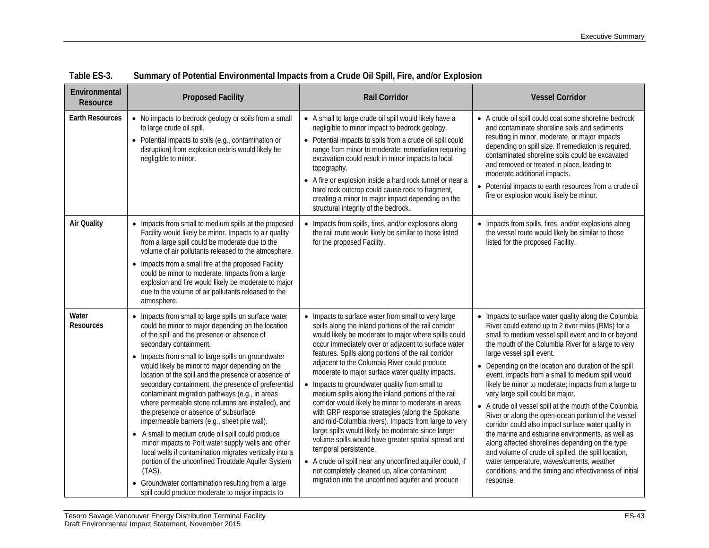| Environmental<br>Resource | <b>Proposed Facility</b>                                                                                                                                                                                                                                                                                                                                                                                                                                                                                                                                                                                                                                                                                                                                                                                                                                                                                                                                         | <b>Rail Corridor</b>                                                                                                                                                                                                                                                                                                                                                                                                                                                                                                                                                                                                                                                                                                                                                                                                                                                                                                                                                       | <b>Vessel Corridor</b>                                                                                                                                                                                                                                                                                                                                                                                                                                                                                                                                                                                                                                                                                                                                                                                                                                                                                                          |
|---------------------------|------------------------------------------------------------------------------------------------------------------------------------------------------------------------------------------------------------------------------------------------------------------------------------------------------------------------------------------------------------------------------------------------------------------------------------------------------------------------------------------------------------------------------------------------------------------------------------------------------------------------------------------------------------------------------------------------------------------------------------------------------------------------------------------------------------------------------------------------------------------------------------------------------------------------------------------------------------------|----------------------------------------------------------------------------------------------------------------------------------------------------------------------------------------------------------------------------------------------------------------------------------------------------------------------------------------------------------------------------------------------------------------------------------------------------------------------------------------------------------------------------------------------------------------------------------------------------------------------------------------------------------------------------------------------------------------------------------------------------------------------------------------------------------------------------------------------------------------------------------------------------------------------------------------------------------------------------|---------------------------------------------------------------------------------------------------------------------------------------------------------------------------------------------------------------------------------------------------------------------------------------------------------------------------------------------------------------------------------------------------------------------------------------------------------------------------------------------------------------------------------------------------------------------------------------------------------------------------------------------------------------------------------------------------------------------------------------------------------------------------------------------------------------------------------------------------------------------------------------------------------------------------------|
| <b>Earth Resources</b>    | • No impacts to bedrock geology or soils from a small<br>to large crude oil spill.<br>• Potential impacts to soils (e.g., contamination or<br>disruption) from explosion debris would likely be<br>negligible to minor.                                                                                                                                                                                                                                                                                                                                                                                                                                                                                                                                                                                                                                                                                                                                          | • A small to large crude oil spill would likely have a<br>negligible to minor impact to bedrock geology.<br>• Potential impacts to soils from a crude oil spill could<br>range from minor to moderate; remediation requiring<br>excavation could result in minor impacts to local<br>topography.<br>• A fire or explosion inside a hard rock tunnel or near a<br>hard rock outcrop could cause rock to fragment,<br>creating a minor to major impact depending on the<br>structural integrity of the bedrock.                                                                                                                                                                                                                                                                                                                                                                                                                                                              | • A crude oil spill could coat some shoreline bedrock<br>and contaminate shoreline soils and sediments<br>resulting in minor, moderate, or major impacts<br>depending on spill size. If remediation is required,<br>contaminated shoreline soils could be excavated<br>and removed or treated in place, leading to<br>moderate additional impacts.<br>• Potential impacts to earth resources from a crude oil<br>fire or explosion would likely be minor.                                                                                                                                                                                                                                                                                                                                                                                                                                                                       |
| <b>Air Quality</b>        | • Impacts from small to medium spills at the proposed<br>Facility would likely be minor. Impacts to air quality<br>from a large spill could be moderate due to the<br>volume of air pollutants released to the atmosphere.<br>• Impacts from a small fire at the proposed Facility<br>could be minor to moderate. Impacts from a large<br>explosion and fire would likely be moderate to major<br>due to the volume of air pollutants released to the<br>atmosphere.                                                                                                                                                                                                                                                                                                                                                                                                                                                                                             | • Impacts from spills, fires, and/or explosions along<br>the rail route would likely be similar to those listed<br>for the proposed Facility.                                                                                                                                                                                                                                                                                                                                                                                                                                                                                                                                                                                                                                                                                                                                                                                                                              | Impacts from spills, fires, and/or explosions along<br>the vessel route would likely be similar to those<br>listed for the proposed Facility.                                                                                                                                                                                                                                                                                                                                                                                                                                                                                                                                                                                                                                                                                                                                                                                   |
| Water<br><b>Resources</b> | • Impacts from small to large spills on surface water<br>could be minor to major depending on the location<br>of the spill and the presence or absence of<br>secondary containment.<br>• Impacts from small to large spills on groundwater<br>would likely be minor to major depending on the<br>location of the spill and the presence or absence of<br>secondary containment, the presence of preferential<br>contaminant migration pathways (e.g., in areas<br>where permeable stone columns are installed), and<br>the presence or absence of subsurface<br>impermeable barriers (e.g., sheet pile wall).<br>• A small to medium crude oil spill could produce<br>minor impacts to Port water supply wells and other<br>local wells if contamination migrates vertically into a<br>portion of the unconfined Troutdale Aquifer System<br>$(TAS)$ .<br>• Groundwater contamination resulting from a large<br>spill could produce moderate to major impacts to | • Impacts to surface water from small to very large<br>spills along the inland portions of the rail corridor<br>would likely be moderate to major where spills could<br>occur immediately over or adjacent to surface water<br>features. Spills along portions of the rail corridor<br>adjacent to the Columbia River could produce<br>moderate to major surface water quality impacts.<br>• Impacts to groundwater quality from small to<br>medium spills along the inland portions of the rail<br>corridor would likely be minor to moderate in areas<br>with GRP response strategies (along the Spokane<br>and mid-Columbia rivers). Impacts from large to very<br>large spills would likely be moderate since larger<br>volume spills would have greater spatial spread and<br>temporal persistence.<br>• A crude oil spill near any unconfined aquifer could, if<br>not completely cleaned up, allow contaminant<br>migration into the unconfined aquifer and produce | • Impacts to surface water quality along the Columbia<br>River could extend up to 2 river miles (RMs) for a<br>small to medium vessel spill event and to or beyond<br>the mouth of the Columbia River for a large to very<br>large vessel spill event.<br>• Depending on the location and duration of the spill<br>event, impacts from a small to medium spill would<br>likely be minor to moderate; impacts from a large to<br>very large spill could be major.<br>• A crude oil vessel spill at the mouth of the Columbia<br>River or along the open-ocean portion of the vessel<br>corridor could also impact surface water quality in<br>the marine and estuarine environments, as well as<br>along affected shorelines depending on the type<br>and volume of crude oil spilled, the spill location,<br>water temperature, waves/currents, weather<br>conditions, and the timing and effectiveness of initial<br>response. |

**Table ES-3. Summary of Potential Environmental Impacts from a Crude Oil Spill, Fire, and/or Explosion**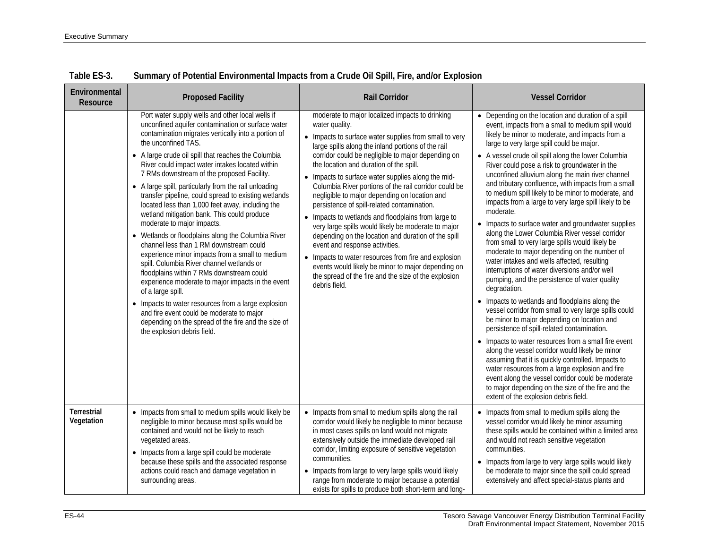| Environmental<br>Resource        | <b>Proposed Facility</b>                                                                                                                                                                                                                                                                                                                                                                                                                                                                                                                                                                                                                                                                                                                                                                                                                                                                                                                                                                                                                                                                                        | <b>Rail Corridor</b>                                                                                                                                                                                                                                                                                                                                                                                                                                                                                                                                                                                                                                                                                                                                                                                                                                                                            | <b>Vessel Corridor</b>                                                                                                                                                                                                                                                                                                                                                                                                                                                                                                                                                                                                                                                                                                                                                                                                                                                                                                                                                                                                                                                                                                                                                                                                                                                                                                                                                                                                                                                                                              |
|----------------------------------|-----------------------------------------------------------------------------------------------------------------------------------------------------------------------------------------------------------------------------------------------------------------------------------------------------------------------------------------------------------------------------------------------------------------------------------------------------------------------------------------------------------------------------------------------------------------------------------------------------------------------------------------------------------------------------------------------------------------------------------------------------------------------------------------------------------------------------------------------------------------------------------------------------------------------------------------------------------------------------------------------------------------------------------------------------------------------------------------------------------------|-------------------------------------------------------------------------------------------------------------------------------------------------------------------------------------------------------------------------------------------------------------------------------------------------------------------------------------------------------------------------------------------------------------------------------------------------------------------------------------------------------------------------------------------------------------------------------------------------------------------------------------------------------------------------------------------------------------------------------------------------------------------------------------------------------------------------------------------------------------------------------------------------|---------------------------------------------------------------------------------------------------------------------------------------------------------------------------------------------------------------------------------------------------------------------------------------------------------------------------------------------------------------------------------------------------------------------------------------------------------------------------------------------------------------------------------------------------------------------------------------------------------------------------------------------------------------------------------------------------------------------------------------------------------------------------------------------------------------------------------------------------------------------------------------------------------------------------------------------------------------------------------------------------------------------------------------------------------------------------------------------------------------------------------------------------------------------------------------------------------------------------------------------------------------------------------------------------------------------------------------------------------------------------------------------------------------------------------------------------------------------------------------------------------------------|
|                                  | Port water supply wells and other local wells if<br>unconfined aquifer contamination or surface water<br>contamination migrates vertically into a portion of<br>the unconfined TAS.<br>• A large crude oil spill that reaches the Columbia<br>River could impact water intakes located within<br>7 RMs downstream of the proposed Facility.<br>• A large spill, particularly from the rail unloading<br>transfer pipeline, could spread to existing wetlands<br>located less than 1,000 feet away, including the<br>wetland mitigation bank. This could produce<br>moderate to major impacts.<br>• Wetlands or floodplains along the Columbia River<br>channel less than 1 RM downstream could<br>experience minor impacts from a small to medium<br>spill. Columbia River channel wetlands or<br>floodplains within 7 RMs downstream could<br>experience moderate to major impacts in the event<br>of a large spill.<br>• Impacts to water resources from a large explosion<br>and fire event could be moderate to major<br>depending on the spread of the fire and the size of<br>the explosion debris field. | moderate to major localized impacts to drinking<br>water quality.<br>• Impacts to surface water supplies from small to very<br>large spills along the inland portions of the rail<br>corridor could be negligible to major depending on<br>the location and duration of the spill.<br>• Impacts to surface water supplies along the mid-<br>Columbia River portions of the rail corridor could be<br>negligible to major depending on location and<br>persistence of spill-related contamination.<br>• Impacts to wetlands and floodplains from large to<br>very large spills would likely be moderate to major<br>depending on the location and duration of the spill<br>event and response activities.<br>• Impacts to water resources from fire and explosion<br>events would likely be minor to major depending on<br>the spread of the fire and the size of the explosion<br>debris field. | • Depending on the location and duration of a spill<br>event, impacts from a small to medium spill would<br>likely be minor to moderate, and impacts from a<br>large to very large spill could be major.<br>• A vessel crude oil spill along the lower Columbia<br>River could pose a risk to groundwater in the<br>unconfined alluvium along the main river channel<br>and tributary confluence, with impacts from a small<br>to medium spill likely to be minor to moderate, and<br>impacts from a large to very large spill likely to be<br>moderate.<br>Impacts to surface water and groundwater supplies<br>along the Lower Columbia River vessel corridor<br>from small to very large spills would likely be<br>moderate to major depending on the number of<br>water intakes and wells affected, resulting<br>interruptions of water diversions and/or well<br>pumping, and the persistence of water quality<br>degradation.<br>• Impacts to wetlands and floodplains along the<br>vessel corridor from small to very large spills could<br>be minor to major depending on location and<br>persistence of spill-related contamination.<br>Impacts to water resources from a small fire event<br>along the vessel corridor would likely be minor<br>assuming that it is quickly controlled. Impacts to<br>water resources from a large explosion and fire<br>event along the vessel corridor could be moderate<br>to major depending on the size of the fire and the<br>extent of the explosion debris field. |
| <b>Terrestrial</b><br>Vegetation | • Impacts from small to medium spills would likely be<br>negligible to minor because most spills would be<br>contained and would not be likely to reach<br>vegetated areas.<br>• Impacts from a large spill could be moderate<br>because these spills and the associated response<br>actions could reach and damage vegetation in<br>surrounding areas.                                                                                                                                                                                                                                                                                                                                                                                                                                                                                                                                                                                                                                                                                                                                                         | • Impacts from small to medium spills along the rail<br>corridor would likely be negligible to minor because<br>in most cases spills on land would not migrate<br>extensively outside the immediate developed rail<br>corridor, limiting exposure of sensitive vegetation<br>communities.<br>• Impacts from large to very large spills would likely<br>range from moderate to major because a potential<br>exists for spills to produce both short-term and long-                                                                                                                                                                                                                                                                                                                                                                                                                               | • Impacts from small to medium spills along the<br>vessel corridor would likely be minor assuming<br>these spills would be contained within a limited area<br>and would not reach sensitive vegetation<br>communities.<br>• Impacts from large to very large spills would likely<br>be moderate to major since the spill could spread<br>extensively and affect special-status plants and                                                                                                                                                                                                                                                                                                                                                                                                                                                                                                                                                                                                                                                                                                                                                                                                                                                                                                                                                                                                                                                                                                                           |

**Table ES-3. Summary of Potential Environmental Impacts from a Crude Oil Spill, Fire, and/or Explosion**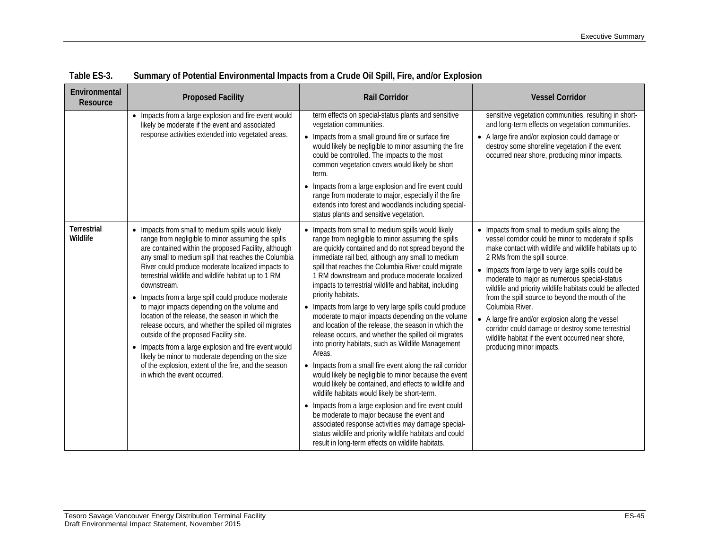| Environmental<br>Resource      | <b>Proposed Facility</b>                                                                                                                                                                                                                                                                                                                                                                                                                                                                                                                                                                                                                                                                                                                                                                                               | <b>Rail Corridor</b>                                                                                                                                                                                                                                                                                                                                                                                                                                                                                                                                                                                                                                                                                                                                                                                                                                                                                                                                                                                                                                                                                                                                                                                                        | <b>Vessel Corridor</b>                                                                                                                                                                                                                                                                                                                                                                                                                                                                                                                                                                                                                 |
|--------------------------------|------------------------------------------------------------------------------------------------------------------------------------------------------------------------------------------------------------------------------------------------------------------------------------------------------------------------------------------------------------------------------------------------------------------------------------------------------------------------------------------------------------------------------------------------------------------------------------------------------------------------------------------------------------------------------------------------------------------------------------------------------------------------------------------------------------------------|-----------------------------------------------------------------------------------------------------------------------------------------------------------------------------------------------------------------------------------------------------------------------------------------------------------------------------------------------------------------------------------------------------------------------------------------------------------------------------------------------------------------------------------------------------------------------------------------------------------------------------------------------------------------------------------------------------------------------------------------------------------------------------------------------------------------------------------------------------------------------------------------------------------------------------------------------------------------------------------------------------------------------------------------------------------------------------------------------------------------------------------------------------------------------------------------------------------------------------|----------------------------------------------------------------------------------------------------------------------------------------------------------------------------------------------------------------------------------------------------------------------------------------------------------------------------------------------------------------------------------------------------------------------------------------------------------------------------------------------------------------------------------------------------------------------------------------------------------------------------------------|
|                                | • Impacts from a large explosion and fire event would<br>likely be moderate if the event and associated<br>response activities extended into vegetated areas.                                                                                                                                                                                                                                                                                                                                                                                                                                                                                                                                                                                                                                                          | term effects on special-status plants and sensitive<br>vegetation communities.<br>• Impacts from a small ground fire or surface fire<br>would likely be negligible to minor assuming the fire<br>could be controlled. The impacts to the most<br>common vegetation covers would likely be short<br>term.<br>• Impacts from a large explosion and fire event could<br>range from moderate to major, especially if the fire<br>extends into forest and woodlands including special-<br>status plants and sensitive vegetation.                                                                                                                                                                                                                                                                                                                                                                                                                                                                                                                                                                                                                                                                                                | sensitive vegetation communities, resulting in short-<br>and long-term effects on vegetation communities.<br>• A large fire and/or explosion could damage or<br>destroy some shoreline vegetation if the event<br>occurred near shore, producing minor impacts.                                                                                                                                                                                                                                                                                                                                                                        |
| <b>Terrestrial</b><br>Wildlife | • Impacts from small to medium spills would likely<br>range from negligible to minor assuming the spills<br>are contained within the proposed Facility, although<br>any small to medium spill that reaches the Columbia<br>River could produce moderate localized impacts to<br>terrestrial wildlife and wildlife habitat up to 1 RM<br>downstream.<br>• Impacts from a large spill could produce moderate<br>to major impacts depending on the volume and<br>location of the release, the season in which the<br>release occurs, and whether the spilled oil migrates<br>outside of the proposed Facility site.<br>• Impacts from a large explosion and fire event would<br>likely be minor to moderate depending on the size<br>of the explosion, extent of the fire, and the season<br>in which the event occurred. | • Impacts from small to medium spills would likely<br>range from negligible to minor assuming the spills<br>are quickly contained and do not spread beyond the<br>immediate rail bed, although any small to medium<br>spill that reaches the Columbia River could migrate<br>1 RM downstream and produce moderate localized<br>impacts to terrestrial wildlife and habitat, including<br>priority habitats.<br>• Impacts from large to very large spills could produce<br>moderate to major impacts depending on the volume<br>and location of the release, the season in which the<br>release occurs, and whether the spilled oil migrates<br>into priority habitats, such as Wildlife Management<br>Areas.<br>• Impacts from a small fire event along the rail corridor<br>would likely be negligible to minor because the event<br>would likely be contained, and effects to wildlife and<br>wildlife habitats would likely be short-term.<br>• Impacts from a large explosion and fire event could<br>be moderate to major because the event and<br>associated response activities may damage special-<br>status wildlife and priority wildlife habitats and could<br>result in long-term effects on wildlife habitats. | • Impacts from small to medium spills along the<br>vessel corridor could be minor to moderate if spills<br>make contact with wildlife and wildlife habitats up to<br>2 RMs from the spill source.<br>• Impacts from large to very large spills could be<br>moderate to major as numerous special-status<br>wildlife and priority wildlife habitats could be affected<br>from the spill source to beyond the mouth of the<br>Columbia River.<br>• A large fire and/or explosion along the vessel<br>corridor could damage or destroy some terrestrial<br>wildlife habitat if the event occurred near shore,<br>producing minor impacts. |

**Table ES-3. Summary of Potential Environmental Impacts from a Crude Oil Spill, Fire, and/or Explosion**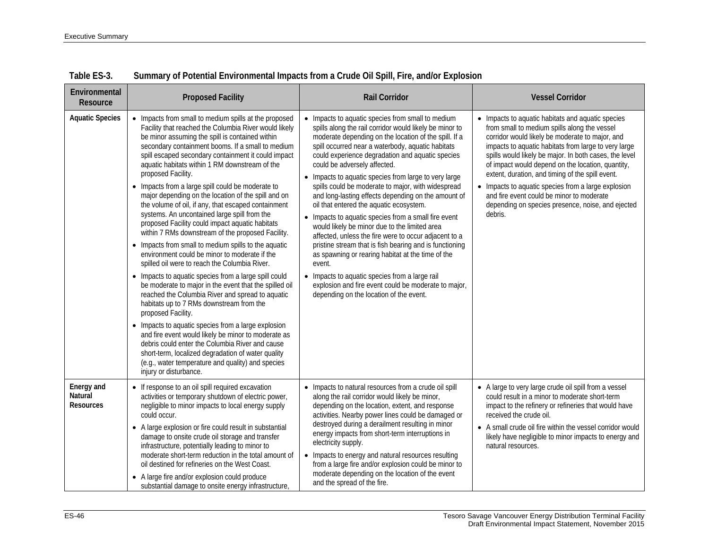| Environmental<br>Resource                 | <b>Proposed Facility</b>                                                                                                                                                                                                                                                                                                                                                                                                                                                                                                                                                                                                                                                                                                                                                                                                                                                                                                                                                                                                                                                                                                                                                                                                                                                                                                                                                                  | <b>Rail Corridor</b>                                                                                                                                                                                                                                                                                                                                                                                                                                                                                                                                                                                                                                                                                                                                                                                                                                                                                                                                                             | <b>Vessel Corridor</b>                                                                                                                                                                                                                                                                                                                                                                                                                                                                                                                              |
|-------------------------------------------|-------------------------------------------------------------------------------------------------------------------------------------------------------------------------------------------------------------------------------------------------------------------------------------------------------------------------------------------------------------------------------------------------------------------------------------------------------------------------------------------------------------------------------------------------------------------------------------------------------------------------------------------------------------------------------------------------------------------------------------------------------------------------------------------------------------------------------------------------------------------------------------------------------------------------------------------------------------------------------------------------------------------------------------------------------------------------------------------------------------------------------------------------------------------------------------------------------------------------------------------------------------------------------------------------------------------------------------------------------------------------------------------|----------------------------------------------------------------------------------------------------------------------------------------------------------------------------------------------------------------------------------------------------------------------------------------------------------------------------------------------------------------------------------------------------------------------------------------------------------------------------------------------------------------------------------------------------------------------------------------------------------------------------------------------------------------------------------------------------------------------------------------------------------------------------------------------------------------------------------------------------------------------------------------------------------------------------------------------------------------------------------|-----------------------------------------------------------------------------------------------------------------------------------------------------------------------------------------------------------------------------------------------------------------------------------------------------------------------------------------------------------------------------------------------------------------------------------------------------------------------------------------------------------------------------------------------------|
| <b>Aquatic Species</b>                    | • Impacts from small to medium spills at the proposed<br>Facility that reached the Columbia River would likely<br>be minor assuming the spill is contained within<br>secondary containment booms. If a small to medium<br>spill escaped secondary containment it could impact<br>aquatic habitats within 1 RM downstream of the<br>proposed Facility.<br>• Impacts from a large spill could be moderate to<br>major depending on the location of the spill and on<br>the volume of oil, if any, that escaped containment<br>systems. An uncontained large spill from the<br>proposed Facility could impact aquatic habitats<br>within 7 RMs downstream of the proposed Facility.<br>• Impacts from small to medium spills to the aquatic<br>environment could be minor to moderate if the<br>spilled oil were to reach the Columbia River.<br>• Impacts to aquatic species from a large spill could<br>be moderate to major in the event that the spilled oil<br>reached the Columbia River and spread to aquatic<br>habitats up to 7 RMs downstream from the<br>proposed Facility.<br>• Impacts to aquatic species from a large explosion<br>and fire event would likely be minor to moderate as<br>debris could enter the Columbia River and cause<br>short-term, localized degradation of water quality<br>(e.g., water temperature and quality) and species<br>injury or disturbance. | • Impacts to aquatic species from small to medium<br>spills along the rail corridor would likely be minor to<br>moderate depending on the location of the spill. If a<br>spill occurred near a waterbody, aquatic habitats<br>could experience degradation and aquatic species<br>could be adversely affected.<br>• Impacts to aquatic species from large to very large<br>spills could be moderate to major, with widespread<br>and long-lasting effects depending on the amount of<br>oil that entered the aquatic ecosystem.<br>• Impacts to aquatic species from a small fire event<br>would likely be minor due to the limited area<br>affected, unless the fire were to occur adjacent to a<br>pristine stream that is fish bearing and is functioning<br>as spawning or rearing habitat at the time of the<br>event.<br>• Impacts to aquatic species from a large rail<br>explosion and fire event could be moderate to major,<br>depending on the location of the event. | • Impacts to aquatic habitats and aquatic species<br>from small to medium spills along the vessel<br>corridor would likely be moderate to major, and<br>impacts to aquatic habitats from large to very large<br>spills would likely be major. In both cases, the level<br>of impact would depend on the location, quantity,<br>extent, duration, and timing of the spill event.<br>• Impacts to aquatic species from a large explosion<br>and fire event could be minor to moderate<br>depending on species presence, noise, and ejected<br>debris. |
| Energy and<br>Natural<br><b>Resources</b> | • If response to an oil spill required excavation<br>activities or temporary shutdown of electric power,<br>negligible to minor impacts to local energy supply<br>could occur.<br>• A large explosion or fire could result in substantial<br>damage to onsite crude oil storage and transfer<br>infrastructure, potentially leading to minor to<br>moderate short-term reduction in the total amount of<br>oil destined for refineries on the West Coast.<br>• A large fire and/or explosion could produce<br>substantial damage to onsite energy infrastructure,                                                                                                                                                                                                                                                                                                                                                                                                                                                                                                                                                                                                                                                                                                                                                                                                                         | • Impacts to natural resources from a crude oil spill<br>along the rail corridor would likely be minor,<br>depending on the location, extent, and response<br>activities. Nearby power lines could be damaged or<br>destroyed during a derailment resulting in minor<br>energy impacts from short-term interruptions in<br>electricity supply.<br>• Impacts to energy and natural resources resulting<br>from a large fire and/or explosion could be minor to<br>moderate depending on the location of the event<br>and the spread of the fire.                                                                                                                                                                                                                                                                                                                                                                                                                                  | • A large to very large crude oil spill from a vessel<br>could result in a minor to moderate short-term<br>impact to the refinery or refineries that would have<br>received the crude oil.<br>• A small crude oil fire within the vessel corridor would<br>likely have negligible to minor impacts to energy and<br>natural resources.                                                                                                                                                                                                              |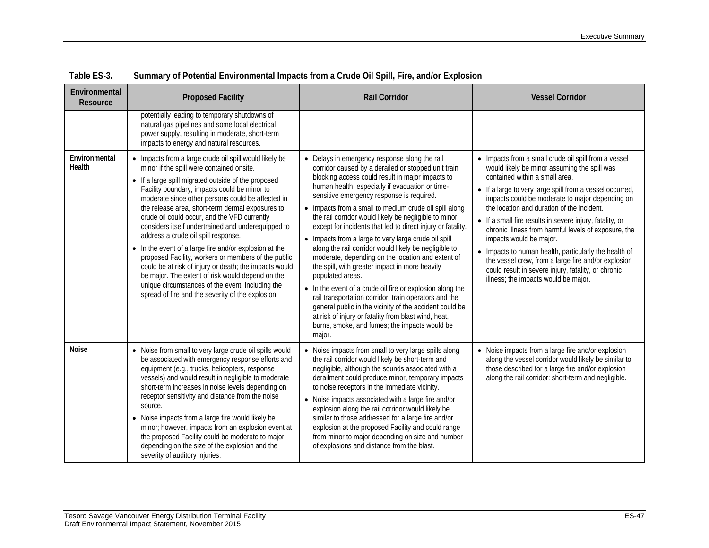| Environmental<br><b>Resource</b> | <b>Proposed Facility</b>                                                                                                                                                                                                                                                                                                                                                                                                                                                                                                                                                                                                                                                                                                                                                                                 | <b>Rail Corridor</b>                                                                                                                                                                                                                                                                                                                                                                                                                                                                                                                                                                                                                                                                                                                                                                                                                                                                                                                                                                        | <b>Vessel Corridor</b>                                                                                                                                                                                                                                                                                                                                                                                                                                                                                                                                                                                                                                            |
|----------------------------------|----------------------------------------------------------------------------------------------------------------------------------------------------------------------------------------------------------------------------------------------------------------------------------------------------------------------------------------------------------------------------------------------------------------------------------------------------------------------------------------------------------------------------------------------------------------------------------------------------------------------------------------------------------------------------------------------------------------------------------------------------------------------------------------------------------|---------------------------------------------------------------------------------------------------------------------------------------------------------------------------------------------------------------------------------------------------------------------------------------------------------------------------------------------------------------------------------------------------------------------------------------------------------------------------------------------------------------------------------------------------------------------------------------------------------------------------------------------------------------------------------------------------------------------------------------------------------------------------------------------------------------------------------------------------------------------------------------------------------------------------------------------------------------------------------------------|-------------------------------------------------------------------------------------------------------------------------------------------------------------------------------------------------------------------------------------------------------------------------------------------------------------------------------------------------------------------------------------------------------------------------------------------------------------------------------------------------------------------------------------------------------------------------------------------------------------------------------------------------------------------|
|                                  | potentially leading to temporary shutdowns of<br>natural gas pipelines and some local electrical<br>power supply, resulting in moderate, short-term<br>impacts to energy and natural resources.                                                                                                                                                                                                                                                                                                                                                                                                                                                                                                                                                                                                          |                                                                                                                                                                                                                                                                                                                                                                                                                                                                                                                                                                                                                                                                                                                                                                                                                                                                                                                                                                                             |                                                                                                                                                                                                                                                                                                                                                                                                                                                                                                                                                                                                                                                                   |
| Environmental<br>Health          | • Impacts from a large crude oil spill would likely be<br>minor if the spill were contained onsite.<br>• If a large spill migrated outside of the proposed<br>Facility boundary, impacts could be minor to<br>moderate since other persons could be affected in<br>the release area, short-term dermal exposures to<br>crude oil could occur, and the VFD currently<br>considers itself undertrained and underequipped to<br>address a crude oil spill response.<br>• In the event of a large fire and/or explosion at the<br>proposed Facility, workers or members of the public<br>could be at risk of injury or death; the impacts would<br>be major. The extent of risk would depend on the<br>unique circumstances of the event, including the<br>spread of fire and the severity of the explosion. | • Delays in emergency response along the rail<br>corridor caused by a derailed or stopped unit train<br>blocking access could result in major impacts to<br>human health, especially if evacuation or time-<br>sensitive emergency response is required.<br>• Impacts from a small to medium crude oil spill along<br>the rail corridor would likely be negligible to minor,<br>except for incidents that led to direct injury or fatality.<br>• Impacts from a large to very large crude oil spill<br>along the rail corridor would likely be negligible to<br>moderate, depending on the location and extent of<br>the spill, with greater impact in more heavily<br>populated areas.<br>• In the event of a crude oil fire or explosion along the<br>rail transportation corridor, train operators and the<br>general public in the vicinity of the accident could be<br>at risk of injury or fatality from blast wind, heat,<br>burns, smoke, and fumes; the impacts would be<br>major. | • Impacts from a small crude oil spill from a vessel<br>would likely be minor assuming the spill was<br>contained within a small area.<br>• If a large to very large spill from a vessel occurred,<br>impacts could be moderate to major depending on<br>the location and duration of the incident.<br>• If a small fire results in severe injury, fatality, or<br>chronic illness from harmful levels of exposure, the<br>impacts would be major.<br>• Impacts to human health, particularly the health of<br>the vessel crew, from a large fire and/or explosion<br>could result in severe injury, fatality, or chronic<br>illness; the impacts would be major. |
| <b>Noise</b>                     | • Noise from small to very large crude oil spills would<br>be associated with emergency response efforts and<br>equipment (e.g., trucks, helicopters, response<br>vessels) and would result in negligible to moderate<br>short-term increases in noise levels depending on<br>receptor sensitivity and distance from the noise<br>source.<br>• Noise impacts from a large fire would likely be<br>minor; however, impacts from an explosion event at<br>the proposed Facility could be moderate to major<br>depending on the size of the explosion and the<br>severity of auditory injuries.                                                                                                                                                                                                             | • Noise impacts from small to very large spills along<br>the rail corridor would likely be short-term and<br>negligible, although the sounds associated with a<br>derailment could produce minor, temporary impacts<br>to noise receptors in the immediate vicinity.<br>• Noise impacts associated with a large fire and/or<br>explosion along the rail corridor would likely be<br>similar to those addressed for a large fire and/or<br>explosion at the proposed Facility and could range<br>from minor to major depending on size and number<br>of explosions and distance from the blast.                                                                                                                                                                                                                                                                                                                                                                                              | • Noise impacts from a large fire and/or explosion<br>along the vessel corridor would likely be similar to<br>those described for a large fire and/or explosion<br>along the rail corridor: short-term and negligible.                                                                                                                                                                                                                                                                                                                                                                                                                                            |

| Table ES-3. |  | Summary of Potential Environmental Impacts from a Crude Oil Spill, Fire, and/or Explosion |  |  |
|-------------|--|-------------------------------------------------------------------------------------------|--|--|
|-------------|--|-------------------------------------------------------------------------------------------|--|--|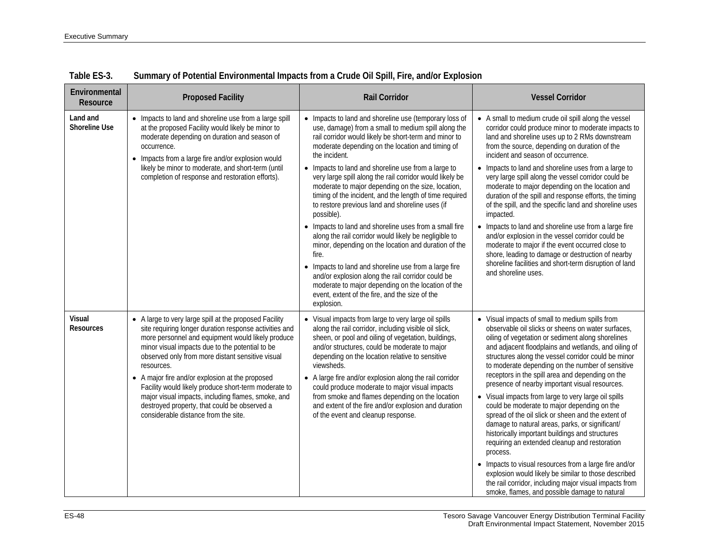| Environmental<br>Resource         | <b>Proposed Facility</b>                                                                                                                                                                                                                                                                                                                                                                                                                                                                                                                            | <b>Rail Corridor</b>                                                                                                                                                                                                                                                                                                                                                                                                                                                                                                                                                                                                                                                                                                                                                                                                                                                                                                                                                     | <b>Vessel Corridor</b>                                                                                                                                                                                                                                                                                                                                                                                                                                                                                                                                                                                                                                                                                                                                                                                                                                                                                                                                                                           |
|-----------------------------------|-----------------------------------------------------------------------------------------------------------------------------------------------------------------------------------------------------------------------------------------------------------------------------------------------------------------------------------------------------------------------------------------------------------------------------------------------------------------------------------------------------------------------------------------------------|--------------------------------------------------------------------------------------------------------------------------------------------------------------------------------------------------------------------------------------------------------------------------------------------------------------------------------------------------------------------------------------------------------------------------------------------------------------------------------------------------------------------------------------------------------------------------------------------------------------------------------------------------------------------------------------------------------------------------------------------------------------------------------------------------------------------------------------------------------------------------------------------------------------------------------------------------------------------------|--------------------------------------------------------------------------------------------------------------------------------------------------------------------------------------------------------------------------------------------------------------------------------------------------------------------------------------------------------------------------------------------------------------------------------------------------------------------------------------------------------------------------------------------------------------------------------------------------------------------------------------------------------------------------------------------------------------------------------------------------------------------------------------------------------------------------------------------------------------------------------------------------------------------------------------------------------------------------------------------------|
| Land and<br><b>Shoreline Use</b>  | • Impacts to land and shoreline use from a large spill<br>at the proposed Facility would likely be minor to<br>moderate depending on duration and season of<br>occurrence.<br>• Impacts from a large fire and/or explosion would<br>likely be minor to moderate, and short-term (until<br>completion of response and restoration efforts).                                                                                                                                                                                                          | • Impacts to land and shoreline use (temporary loss of<br>use, damage) from a small to medium spill along the<br>rail corridor would likely be short-term and minor to<br>moderate depending on the location and timing of<br>the incident.<br>• Impacts to land and shoreline use from a large to<br>very large spill along the rail corridor would likely be<br>moderate to major depending on the size, location,<br>timing of the incident, and the length of time required<br>to restore previous land and shoreline uses (if<br>possible).<br>• Impacts to land and shoreline uses from a small fire<br>along the rail corridor would likely be negligible to<br>minor, depending on the location and duration of the<br>fire.<br>• Impacts to land and shoreline use from a large fire<br>and/or explosion along the rail corridor could be<br>moderate to major depending on the location of the<br>event, extent of the fire, and the size of the<br>explosion. | • A small to medium crude oil spill along the vessel<br>corridor could produce minor to moderate impacts to<br>land and shoreline uses up to 2 RMs downstream<br>from the source, depending on duration of the<br>incident and season of occurrence.<br>• Impacts to land and shoreline uses from a large to<br>very large spill along the vessel corridor could be<br>moderate to major depending on the location and<br>duration of the spill and response efforts, the timing<br>of the spill, and the specific land and shoreline uses<br>impacted.<br>• Impacts to land and shoreline use from a large fire<br>and/or explosion in the vessel corridor could be<br>moderate to major if the event occurred close to<br>shore, leading to damage or destruction of nearby<br>shoreline facilities and short-term disruption of land<br>and shoreline uses.                                                                                                                                   |
| <b>Visual</b><br><b>Resources</b> | • A large to very large spill at the proposed Facility<br>site requiring longer duration response activities and<br>more personnel and equipment would likely produce<br>minor visual impacts due to the potential to be<br>observed only from more distant sensitive visual<br>resources.<br>• A major fire and/or explosion at the proposed<br>Facility would likely produce short-term moderate to<br>major visual impacts, including flames, smoke, and<br>destroyed property, that could be observed a<br>considerable distance from the site. | • Visual impacts from large to very large oil spills<br>along the rail corridor, including visible oil slick,<br>sheen, or pool and oiling of vegetation, buildings,<br>and/or structures, could be moderate to major<br>depending on the location relative to sensitive<br>viewsheds.<br>• A large fire and/or explosion along the rail corridor<br>could produce moderate to major visual impacts<br>from smoke and flames depending on the location<br>and extent of the fire and/or explosion and duration<br>of the event and cleanup response.                                                                                                                                                                                                                                                                                                                                                                                                                     | • Visual impacts of small to medium spills from<br>observable oil slicks or sheens on water surfaces,<br>oiling of vegetation or sediment along shorelines<br>and adjacent floodplains and wetlands, and oiling of<br>structures along the vessel corridor could be minor<br>to moderate depending on the number of sensitive<br>receptors in the spill area and depending on the<br>presence of nearby important visual resources.<br>• Visual impacts from large to very large oil spills<br>could be moderate to major depending on the<br>spread of the oil slick or sheen and the extent of<br>damage to natural areas, parks, or significant/<br>historically important buildings and structures<br>requiring an extended cleanup and restoration<br>process.<br>• Impacts to visual resources from a large fire and/or<br>explosion would likely be similar to those described<br>the rail corridor, including major visual impacts from<br>smoke, flames, and possible damage to natural |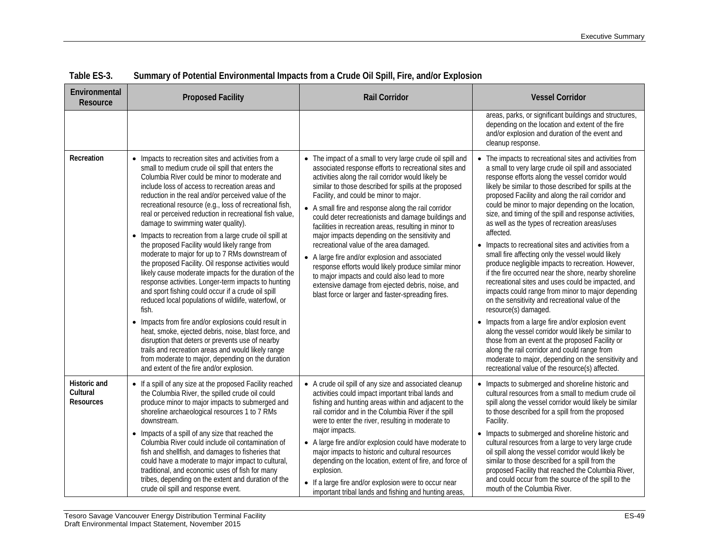| Environmental<br>Resource                           | <b>Proposed Facility</b>                                                                                                                                                                                                                                                                                                                                                                                                                                                                                                                                                                                                                                                                                                                                                                                                                                                                                                                                                                                                                                                                                                                                                                                               | <b>Rail Corridor</b>                                                                                                                                                                                                                                                                                                                                                                                                                                                                                                                                                                                                                                                                                                                                                                                              | <b>Vessel Corridor</b>                                                                                                                                                                                                                                                                                                                                                                                                                                                                                                                                                                                                                                                                                                                                                                                                                                                                                                                                                                                                                                                                                                                                                                                          |
|-----------------------------------------------------|------------------------------------------------------------------------------------------------------------------------------------------------------------------------------------------------------------------------------------------------------------------------------------------------------------------------------------------------------------------------------------------------------------------------------------------------------------------------------------------------------------------------------------------------------------------------------------------------------------------------------------------------------------------------------------------------------------------------------------------------------------------------------------------------------------------------------------------------------------------------------------------------------------------------------------------------------------------------------------------------------------------------------------------------------------------------------------------------------------------------------------------------------------------------------------------------------------------------|-------------------------------------------------------------------------------------------------------------------------------------------------------------------------------------------------------------------------------------------------------------------------------------------------------------------------------------------------------------------------------------------------------------------------------------------------------------------------------------------------------------------------------------------------------------------------------------------------------------------------------------------------------------------------------------------------------------------------------------------------------------------------------------------------------------------|-----------------------------------------------------------------------------------------------------------------------------------------------------------------------------------------------------------------------------------------------------------------------------------------------------------------------------------------------------------------------------------------------------------------------------------------------------------------------------------------------------------------------------------------------------------------------------------------------------------------------------------------------------------------------------------------------------------------------------------------------------------------------------------------------------------------------------------------------------------------------------------------------------------------------------------------------------------------------------------------------------------------------------------------------------------------------------------------------------------------------------------------------------------------------------------------------------------------|
|                                                     |                                                                                                                                                                                                                                                                                                                                                                                                                                                                                                                                                                                                                                                                                                                                                                                                                                                                                                                                                                                                                                                                                                                                                                                                                        |                                                                                                                                                                                                                                                                                                                                                                                                                                                                                                                                                                                                                                                                                                                                                                                                                   | areas, parks, or significant buildings and structures,<br>depending on the location and extent of the fire<br>and/or explosion and duration of the event and<br>cleanup response.                                                                                                                                                                                                                                                                                                                                                                                                                                                                                                                                                                                                                                                                                                                                                                                                                                                                                                                                                                                                                               |
| Recreation                                          | • Impacts to recreation sites and activities from a<br>small to medium crude oil spill that enters the<br>Columbia River could be minor to moderate and<br>include loss of access to recreation areas and<br>reduction in the real and/or perceived value of the<br>recreational resource (e.g., loss of recreational fish,<br>real or perceived reduction in recreational fish value,<br>damage to swimming water quality).<br>• Impacts to recreation from a large crude oil spill at<br>the proposed Facility would likely range from<br>moderate to major for up to 7 RMs downstream of<br>the proposed Facility. Oil response activities would<br>likely cause moderate impacts for the duration of the<br>response activities. Longer-term impacts to hunting<br>and sport fishing could occur if a crude oil spill<br>reduced local populations of wildlife, waterfowl, or<br>fish.<br>• Impacts from fire and/or explosions could result in<br>heat, smoke, ejected debris, noise, blast force, and<br>disruption that deters or prevents use of nearby<br>trails and recreation areas and would likely range<br>from moderate to major, depending on the duration<br>and extent of the fire and/or explosion. | • The impact of a small to very large crude oil spill and<br>associated response efforts to recreational sites and<br>activities along the rail corridor would likely be<br>similar to those described for spills at the proposed<br>Facility, and could be minor to major.<br>• A small fire and response along the rail corridor<br>could deter recreationists and damage buildings and<br>facilities in recreation areas, resulting in minor to<br>major impacts depending on the sensitivity and<br>recreational value of the area damaged.<br>• A large fire and/or explosion and associated<br>response efforts would likely produce similar minor<br>to major impacts and could also lead to more<br>extensive damage from ejected debris, noise, and<br>blast force or larger and faster-spreading fires. | • The impacts to recreational sites and activities from<br>a small to very large crude oil spill and associated<br>response efforts along the vessel corridor would<br>likely be similar to those described for spills at the<br>proposed Facility and along the rail corridor and<br>could be minor to major depending on the location,<br>size, and timing of the spill and response activities,<br>as well as the types of recreation areas/uses<br>affected.<br>• Impacts to recreational sites and activities from a<br>small fire affecting only the vessel would likely<br>produce negligible impacts to recreation. However,<br>if the fire occurred near the shore, nearby shoreline<br>recreational sites and uses could be impacted, and<br>impacts could range from minor to major depending<br>on the sensitivity and recreational value of the<br>resource(s) damaged.<br>• Impacts from a large fire and/or explosion event<br>along the vessel corridor would likely be similar to<br>those from an event at the proposed Facility or<br>along the rail corridor and could range from<br>moderate to major, depending on the sensitivity and<br>recreational value of the resource(s) affected. |
| <b>Historic and</b><br>Cultural<br><b>Resources</b> | • If a spill of any size at the proposed Facility reached<br>the Columbia River, the spilled crude oil could<br>produce minor to major impacts to submerged and<br>shoreline archaeological resources 1 to 7 RMs<br>downstream.<br>• Impacts of a spill of any size that reached the<br>Columbia River could include oil contamination of<br>fish and shellfish, and damages to fisheries that<br>could have a moderate to major impact to cultural,<br>traditional, and economic uses of fish for many<br>tribes, depending on the extent and duration of the<br>crude oil spill and response event.                                                                                                                                                                                                                                                                                                                                                                                                                                                                                                                                                                                                                  | • A crude oil spill of any size and associated cleanup<br>activities could impact important tribal lands and<br>fishing and hunting areas within and adjacent to the<br>rail corridor and in the Columbia River if the spill<br>were to enter the river, resulting in moderate to<br>major impacts.<br>• A large fire and/or explosion could have moderate to<br>major impacts to historic and cultural resources<br>depending on the location, extent of fire, and force of<br>explosion.<br>• If a large fire and/or explosion were to occur near<br>important tribal lands and fishing and hunting areas,                                                                                                                                                                                                      | • Impacts to submerged and shoreline historic and<br>cultural resources from a small to medium crude oil<br>spill along the vessel corridor would likely be similar<br>to those described for a spill from the proposed<br>Facility.<br>• Impacts to submerged and shoreline historic and<br>cultural resources from a large to very large crude<br>oil spill along the vessel corridor would likely be<br>similar to those described for a spill from the<br>proposed Facility that reached the Columbia River,<br>and could occur from the source of the spill to the<br>mouth of the Columbia River.                                                                                                                                                                                                                                                                                                                                                                                                                                                                                                                                                                                                         |

| Table ES-3. | Summary of Potential Environmental Impacts from a Crude Oil Spill, Fire, and/or Explosion |  |  |  |
|-------------|-------------------------------------------------------------------------------------------|--|--|--|
|             |                                                                                           |  |  |  |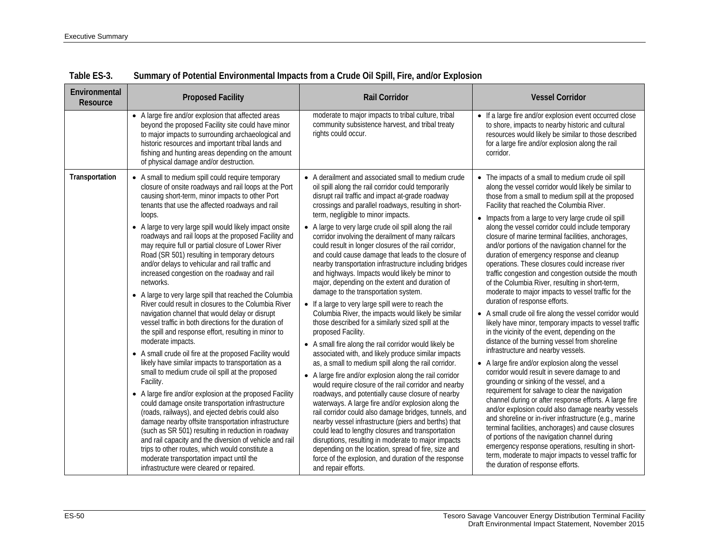| Environmental<br>Resource | <b>Proposed Facility</b>                                                                                                                                                                                                                                                                                                                                                                                                                                                                                                                                                                                                                                                                                                                                                                                                                                                                                                                                                                                                                                                                                                                                                                                                                                                                                                                                                                                                                                                                                                                                 | <b>Rail Corridor</b>                                                                                                                                                                                                                                                                                                                                                                                                                                                                                                                                                                                                                                                                                                                                                                                                                                                                                                                                                                                                                                                                                                                                                                                                                                                                                                                                                                                                                                                                                                                                                                                                                                                   | <b>Vessel Corridor</b>                                                                                                                                                                                                                                                                                                                                                                                                                                                                                                                                                                                                                                                                                                                                                                                                                                                                                                                                                                                                                                                                                                                                                                                                                                                                                                                                                                                                                                                                                                                                                                                                                           |
|---------------------------|----------------------------------------------------------------------------------------------------------------------------------------------------------------------------------------------------------------------------------------------------------------------------------------------------------------------------------------------------------------------------------------------------------------------------------------------------------------------------------------------------------------------------------------------------------------------------------------------------------------------------------------------------------------------------------------------------------------------------------------------------------------------------------------------------------------------------------------------------------------------------------------------------------------------------------------------------------------------------------------------------------------------------------------------------------------------------------------------------------------------------------------------------------------------------------------------------------------------------------------------------------------------------------------------------------------------------------------------------------------------------------------------------------------------------------------------------------------------------------------------------------------------------------------------------------|------------------------------------------------------------------------------------------------------------------------------------------------------------------------------------------------------------------------------------------------------------------------------------------------------------------------------------------------------------------------------------------------------------------------------------------------------------------------------------------------------------------------------------------------------------------------------------------------------------------------------------------------------------------------------------------------------------------------------------------------------------------------------------------------------------------------------------------------------------------------------------------------------------------------------------------------------------------------------------------------------------------------------------------------------------------------------------------------------------------------------------------------------------------------------------------------------------------------------------------------------------------------------------------------------------------------------------------------------------------------------------------------------------------------------------------------------------------------------------------------------------------------------------------------------------------------------------------------------------------------------------------------------------------------|--------------------------------------------------------------------------------------------------------------------------------------------------------------------------------------------------------------------------------------------------------------------------------------------------------------------------------------------------------------------------------------------------------------------------------------------------------------------------------------------------------------------------------------------------------------------------------------------------------------------------------------------------------------------------------------------------------------------------------------------------------------------------------------------------------------------------------------------------------------------------------------------------------------------------------------------------------------------------------------------------------------------------------------------------------------------------------------------------------------------------------------------------------------------------------------------------------------------------------------------------------------------------------------------------------------------------------------------------------------------------------------------------------------------------------------------------------------------------------------------------------------------------------------------------------------------------------------------------------------------------------------------------|
|                           | • A large fire and/or explosion that affected areas<br>beyond the proposed Facility site could have minor<br>to major impacts to surrounding archaeological and<br>historic resources and important tribal lands and<br>fishing and hunting areas depending on the amount<br>of physical damage and/or destruction.                                                                                                                                                                                                                                                                                                                                                                                                                                                                                                                                                                                                                                                                                                                                                                                                                                                                                                                                                                                                                                                                                                                                                                                                                                      | moderate to major impacts to tribal culture, tribal<br>community subsistence harvest, and tribal treaty<br>rights could occur.                                                                                                                                                                                                                                                                                                                                                                                                                                                                                                                                                                                                                                                                                                                                                                                                                                                                                                                                                                                                                                                                                                                                                                                                                                                                                                                                                                                                                                                                                                                                         | • If a large fire and/or explosion event occurred close<br>to shore, impacts to nearby historic and cultural<br>resources would likely be similar to those described<br>for a large fire and/or explosion along the rail<br>corridor.                                                                                                                                                                                                                                                                                                                                                                                                                                                                                                                                                                                                                                                                                                                                                                                                                                                                                                                                                                                                                                                                                                                                                                                                                                                                                                                                                                                                            |
| Transportation            | • A small to medium spill could require temporary<br>closure of onsite roadways and rail loops at the Port<br>causing short-term, minor impacts to other Port<br>tenants that use the affected roadways and rail<br>loops.<br>• A large to very large spill would likely impact onsite<br>roadways and rail loops at the proposed Facility and<br>may require full or partial closure of Lower River<br>Road (SR 501) resulting in temporary detours<br>and/or delays to vehicular and rail traffic and<br>increased congestion on the roadway and rail<br>networks.<br>• A large to very large spill that reached the Columbia<br>River could result in closures to the Columbia River<br>navigation channel that would delay or disrupt<br>vessel traffic in both directions for the duration of<br>the spill and response effort, resulting in minor to<br>moderate impacts.<br>• A small crude oil fire at the proposed Facility would<br>likely have similar impacts to transportation as a<br>small to medium crude oil spill at the proposed<br>Facility.<br>• A large fire and/or explosion at the proposed Facility<br>could damage onsite transportation infrastructure<br>(roads, railways), and ejected debris could also<br>damage nearby offsite transportation infrastructure<br>(such as SR 501) resulting in reduction in roadway<br>and rail capacity and the diversion of vehicle and rail<br>trips to other routes, which would constitute a<br>moderate transportation impact until the<br>infrastructure were cleared or repaired. | • A derailment and associated small to medium crude<br>oil spill along the rail corridor could temporarily<br>disrupt rail traffic and impact at-grade roadway<br>crossings and parallel roadways, resulting in short-<br>term, negligible to minor impacts.<br>• A large to very large crude oil spill along the rail<br>corridor involving the derailment of many railcars<br>could result in longer closures of the rail corridor,<br>and could cause damage that leads to the closure of<br>nearby transportation infrastructure including bridges<br>and highways. Impacts would likely be minor to<br>major, depending on the extent and duration of<br>damage to the transportation system.<br>• If a large to very large spill were to reach the<br>Columbia River, the impacts would likely be similar<br>those described for a similarly sized spill at the<br>proposed Facility.<br>• A small fire along the rail corridor would likely be<br>associated with, and likely produce similar impacts<br>as, a small to medium spill along the rail corridor.<br>• A large fire and/or explosion along the rail corridor<br>would require closure of the rail corridor and nearby<br>roadways, and potentially cause closure of nearby<br>waterways. A large fire and/or explosion along the<br>rail corridor could also damage bridges, tunnels, and<br>nearby vessel infrastructure (piers and berths) that<br>could lead to lengthy closures and transportation<br>disruptions, resulting in moderate to major impacts<br>depending on the location, spread of fire, size and<br>force of the explosion, and duration of the response<br>and repair efforts. | • The impacts of a small to medium crude oil spill<br>along the vessel corridor would likely be similar to<br>those from a small to medium spill at the proposed<br>Facility that reached the Columbia River.<br>• Impacts from a large to very large crude oil spill<br>along the vessel corridor could include temporary<br>closure of marine terminal facilities, anchorages,<br>and/or portions of the navigation channel for the<br>duration of emergency response and cleanup<br>operations. These closures could increase river<br>traffic congestion and congestion outside the mouth<br>of the Columbia River, resulting in short-term,<br>moderate to major impacts to vessel traffic for the<br>duration of response efforts.<br>• A small crude oil fire along the vessel corridor would<br>likely have minor, temporary impacts to vessel traffic<br>in the vicinity of the event, depending on the<br>distance of the burning vessel from shoreline<br>infrastructure and nearby vessels.<br>• A large fire and/or explosion along the vessel<br>corridor would result in severe damage to and<br>grounding or sinking of the vessel, and a<br>requirement for salvage to clear the navigation<br>channel during or after response efforts. A large fire<br>and/or explosion could also damage nearby vessels<br>and shoreline or in-river infrastructure (e.g., marine<br>terminal facilities, anchorages) and cause closures<br>of portions of the navigation channel during<br>emergency response operations, resulting in short-<br>term, moderate to major impacts to vessel traffic for<br>the duration of response efforts. |

| Table ES-3. | Summary of Potential Environmental Impacts from a Crude Oil Spill, Fire, and/or Explosion |  |
|-------------|-------------------------------------------------------------------------------------------|--|
|             |                                                                                           |  |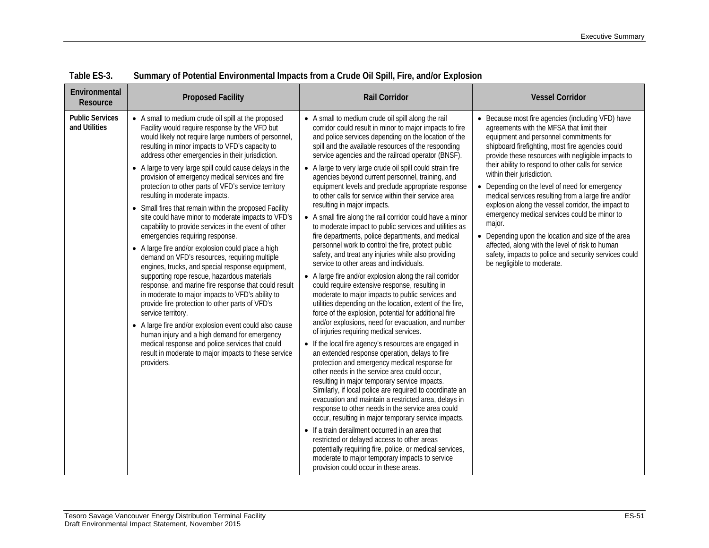| Environmental<br>Resource               | <b>Proposed Facility</b>                                                                                                                                                                                                                                                                                                                                                                                                                                                                                                                                                                                                                                                                                                                                                                                                                                                                                                                                                                                                                                                                                                                                                                                                                                                                                                   | <b>Rail Corridor</b>                                                                                                                                                                                                                                                                                                                                                                                                                                                                                                                                                                                                                                                                                                                                                                                                                                                                                                                                                                                                                                                                                                                                                                                                                                                                                                                                                                                                                                                                                                                                                                                                                                                                                                                                                                                                                                                                                                                                                                                                                | <b>Vessel Corridor</b>                                                                                                                                                                                                                                                                                                                                                                                                                                                                                                                                                                                                                                                                                                                                            |
|-----------------------------------------|----------------------------------------------------------------------------------------------------------------------------------------------------------------------------------------------------------------------------------------------------------------------------------------------------------------------------------------------------------------------------------------------------------------------------------------------------------------------------------------------------------------------------------------------------------------------------------------------------------------------------------------------------------------------------------------------------------------------------------------------------------------------------------------------------------------------------------------------------------------------------------------------------------------------------------------------------------------------------------------------------------------------------------------------------------------------------------------------------------------------------------------------------------------------------------------------------------------------------------------------------------------------------------------------------------------------------|-------------------------------------------------------------------------------------------------------------------------------------------------------------------------------------------------------------------------------------------------------------------------------------------------------------------------------------------------------------------------------------------------------------------------------------------------------------------------------------------------------------------------------------------------------------------------------------------------------------------------------------------------------------------------------------------------------------------------------------------------------------------------------------------------------------------------------------------------------------------------------------------------------------------------------------------------------------------------------------------------------------------------------------------------------------------------------------------------------------------------------------------------------------------------------------------------------------------------------------------------------------------------------------------------------------------------------------------------------------------------------------------------------------------------------------------------------------------------------------------------------------------------------------------------------------------------------------------------------------------------------------------------------------------------------------------------------------------------------------------------------------------------------------------------------------------------------------------------------------------------------------------------------------------------------------------------------------------------------------------------------------------------------------|-------------------------------------------------------------------------------------------------------------------------------------------------------------------------------------------------------------------------------------------------------------------------------------------------------------------------------------------------------------------------------------------------------------------------------------------------------------------------------------------------------------------------------------------------------------------------------------------------------------------------------------------------------------------------------------------------------------------------------------------------------------------|
| <b>Public Services</b><br>and Utilities | • A small to medium crude oil spill at the proposed<br>Facility would require response by the VFD but<br>would likely not require large numbers of personnel,<br>resulting in minor impacts to VFD's capacity to<br>address other emergencies in their jurisdiction.<br>• A large to very large spill could cause delays in the<br>provision of emergency medical services and fire<br>protection to other parts of VFD's service territory<br>resulting in moderate impacts.<br>• Small fires that remain within the proposed Facility<br>site could have minor to moderate impacts to VFD's<br>capability to provide services in the event of other<br>emergencies requiring response.<br>• A large fire and/or explosion could place a high<br>demand on VFD's resources, requiring multiple<br>engines, trucks, and special response equipment,<br>supporting rope rescue, hazardous materials<br>response, and marine fire response that could result<br>in moderate to major impacts to VFD's ability to<br>provide fire protection to other parts of VFD's<br>service territory.<br>• A large fire and/or explosion event could also cause<br>human injury and a high demand for emergency<br>medical response and police services that could<br>result in moderate to major impacts to these service<br>providers. | • A small to medium crude oil spill along the rail<br>corridor could result in minor to major impacts to fire<br>and police services depending on the location of the<br>spill and the available resources of the responding<br>service agencies and the railroad operator (BNSF).<br>• A large to very large crude oil spill could strain fire<br>agencies beyond current personnel, training, and<br>equipment levels and preclude appropriate response<br>to other calls for service within their service area<br>resulting in major impacts.<br>• A small fire along the rail corridor could have a minor<br>to moderate impact to public services and utilities as<br>fire departments, police departments, and medical<br>personnel work to control the fire, protect public<br>safety, and treat any injuries while also providing<br>service to other areas and individuals.<br>• A large fire and/or explosion along the rail corridor<br>could require extensive response, resulting in<br>moderate to major impacts to public services and<br>utilities depending on the location, extent of the fire,<br>force of the explosion, potential for additional fire<br>and/or explosions, need for evacuation, and number<br>of injuries requiring medical services.<br>• If the local fire agency's resources are engaged in<br>an extended response operation, delays to fire<br>protection and emergency medical response for<br>other needs in the service area could occur,<br>resulting in major temporary service impacts.<br>Similarly, if local police are required to coordinate an<br>evacuation and maintain a restricted area, delays in<br>response to other needs in the service area could<br>occur, resulting in major temporary service impacts.<br>• If a train derailment occurred in an area that<br>restricted or delayed access to other areas<br>potentially requiring fire, police, or medical services,<br>moderate to major temporary impacts to service<br>provision could occur in these areas. | • Because most fire agencies (including VFD) have<br>agreements with the MFSA that limit their<br>equipment and personnel commitments for<br>shipboard firefighting, most fire agencies could<br>provide these resources with negligible impacts to<br>their ability to respond to other calls for service<br>within their jurisdiction.<br>• Depending on the level of need for emergency<br>medical services resulting from a large fire and/or<br>explosion along the vessel corridor, the impact to<br>emergency medical services could be minor to<br>major.<br>• Depending upon the location and size of the area<br>affected, along with the level of risk to human<br>safety, impacts to police and security services could<br>be negligible to moderate. |

**Table ES-3. Summary of Potential Environmental Impacts from a Crude Oil Spill, Fire, and/or Explosion**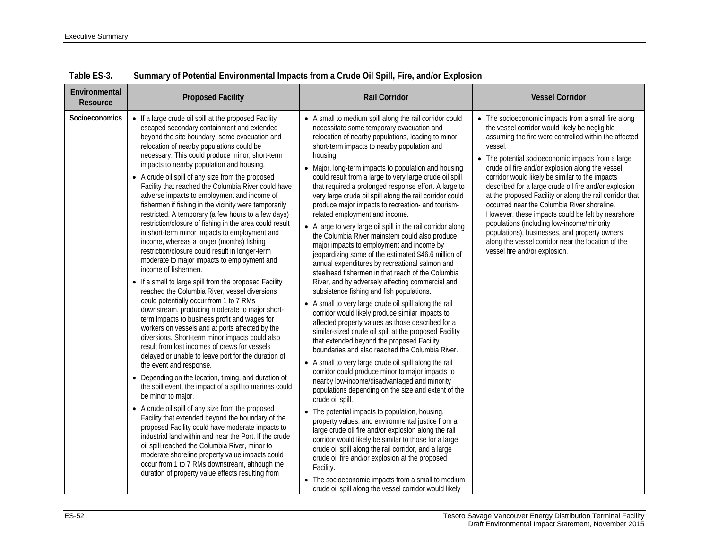| Environmental<br>Resource | <b>Proposed Facility</b>                                                                                                                                                                                                                                                                                                                                                                                                                                                                                                                                                                                                                                                                                                                                                                                                                                                                                                                                                                                                                                                                                                                                                                                                                                                                                                                                                                                                                                                                                                                                                                                                                                                                                                                                                                                                                                                                                                                       | <b>Rail Corridor</b>                                                                                                                                                                                                                                                                                                                                                                                                                                                                                                                                                                                                                                                                                                                                                                                                                                                                                                                                                                                                                                                                                                                                                                                                                                                                                                                                                                                                                                                                                                                                                                                                                                                                                                                                                                                                                                                                                                                                                                                                         | <b>Vessel Corridor</b>                                                                                                                                                                                                                                                                                                                                                                                                                                                                                                                                                                                                                                                                                                                                |
|---------------------------|------------------------------------------------------------------------------------------------------------------------------------------------------------------------------------------------------------------------------------------------------------------------------------------------------------------------------------------------------------------------------------------------------------------------------------------------------------------------------------------------------------------------------------------------------------------------------------------------------------------------------------------------------------------------------------------------------------------------------------------------------------------------------------------------------------------------------------------------------------------------------------------------------------------------------------------------------------------------------------------------------------------------------------------------------------------------------------------------------------------------------------------------------------------------------------------------------------------------------------------------------------------------------------------------------------------------------------------------------------------------------------------------------------------------------------------------------------------------------------------------------------------------------------------------------------------------------------------------------------------------------------------------------------------------------------------------------------------------------------------------------------------------------------------------------------------------------------------------------------------------------------------------------------------------------------------------|------------------------------------------------------------------------------------------------------------------------------------------------------------------------------------------------------------------------------------------------------------------------------------------------------------------------------------------------------------------------------------------------------------------------------------------------------------------------------------------------------------------------------------------------------------------------------------------------------------------------------------------------------------------------------------------------------------------------------------------------------------------------------------------------------------------------------------------------------------------------------------------------------------------------------------------------------------------------------------------------------------------------------------------------------------------------------------------------------------------------------------------------------------------------------------------------------------------------------------------------------------------------------------------------------------------------------------------------------------------------------------------------------------------------------------------------------------------------------------------------------------------------------------------------------------------------------------------------------------------------------------------------------------------------------------------------------------------------------------------------------------------------------------------------------------------------------------------------------------------------------------------------------------------------------------------------------------------------------------------------------------------------------|-------------------------------------------------------------------------------------------------------------------------------------------------------------------------------------------------------------------------------------------------------------------------------------------------------------------------------------------------------------------------------------------------------------------------------------------------------------------------------------------------------------------------------------------------------------------------------------------------------------------------------------------------------------------------------------------------------------------------------------------------------|
| <b>Socioeconomics</b>     | • If a large crude oil spill at the proposed Facility<br>escaped secondary containment and extended<br>beyond the site boundary, some evacuation and<br>relocation of nearby populations could be<br>necessary. This could produce minor, short-term<br>impacts to nearby population and housing.<br>• A crude oil spill of any size from the proposed<br>Facility that reached the Columbia River could have<br>adverse impacts to employment and income of<br>fishermen if fishing in the vicinity were temporarily<br>restricted. A temporary (a few hours to a few days)<br>restriction/closure of fishing in the area could result<br>in short-term minor impacts to employment and<br>income, whereas a longer (months) fishing<br>restriction/closure could result in longer-term<br>moderate to major impacts to employment and<br>income of fishermen.<br>• If a small to large spill from the proposed Facility<br>reached the Columbia River, vessel diversions<br>could potentially occur from 1 to 7 RMs<br>downstream, producing moderate to major short-<br>term impacts to business profit and wages for<br>workers on vessels and at ports affected by the<br>diversions. Short-term minor impacts could also<br>result from lost incomes of crews for vessels<br>delayed or unable to leave port for the duration of<br>the event and response.<br>• Depending on the location, timing, and duration of<br>the spill event, the impact of a spill to marinas could<br>be minor to major.<br>• A crude oil spill of any size from the proposed<br>Facility that extended beyond the boundary of the<br>proposed Facility could have moderate impacts to<br>industrial land within and near the Port. If the crude<br>oil spill reached the Columbia River, minor to<br>moderate shoreline property value impacts could<br>occur from 1 to 7 RMs downstream, although the<br>duration of property value effects resulting from | • A small to medium spill along the rail corridor could<br>necessitate some temporary evacuation and<br>relocation of nearby populations, leading to minor,<br>short-term impacts to nearby population and<br>housing.<br>• Major, long-term impacts to population and housing<br>could result from a large to very large crude oil spill<br>that required a prolonged response effort. A large to<br>very large crude oil spill along the rail corridor could<br>produce major impacts to recreation- and tourism-<br>related employment and income.<br>• A large to very large oil spill in the rail corridor along<br>the Columbia River mainstem could also produce<br>major impacts to employment and income by<br>jeopardizing some of the estimated \$46.6 million of<br>annual expenditures by recreational salmon and<br>steelhead fishermen in that reach of the Columbia<br>River, and by adversely affecting commercial and<br>subsistence fishing and fish populations.<br>• A small to very large crude oil spill along the rail<br>corridor would likely produce similar impacts to<br>affected property values as those described for a<br>similar-sized crude oil spill at the proposed Facility<br>that extended beyond the proposed Facility<br>boundaries and also reached the Columbia River.<br>• A small to very large crude oil spill along the rail<br>corridor could produce minor to major impacts to<br>nearby low-income/disadvantaged and minority<br>populations depending on the size and extent of the<br>crude oil spill.<br>• The potential impacts to population, housing,<br>property values, and environmental justice from a<br>large crude oil fire and/or explosion along the rail<br>corridor would likely be similar to those for a large<br>crude oil spill along the rail corridor, and a large<br>crude oil fire and/or explosion at the proposed<br>Facility.<br>• The socioeconomic impacts from a small to medium<br>crude oil spill along the vessel corridor would likely | • The socioeconomic impacts from a small fire along<br>the vessel corridor would likely be negligible<br>assuming the fire were controlled within the affected<br>vessel.<br>• The potential socioeconomic impacts from a large<br>crude oil fire and/or explosion along the vessel<br>corridor would likely be similar to the impacts<br>described for a large crude oil fire and/or explosion<br>at the proposed Facility or along the rail corridor that<br>occurred near the Columbia River shoreline.<br>However, these impacts could be felt by nearshore<br>populations (including low-income/minority<br>populations), businesses, and property owners<br>along the vessel corridor near the location of the<br>vessel fire and/or explosion. |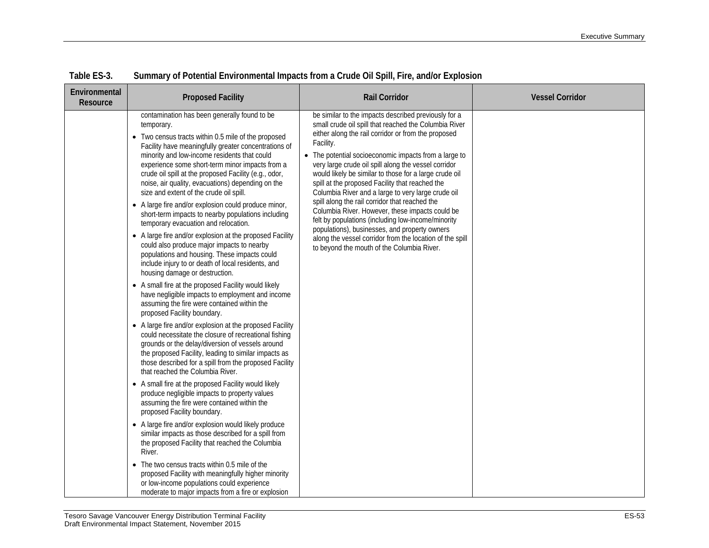| Environmental<br>Resource | <b>Proposed Facility</b>                                                                                                                                                                                                                                                                                                                                                                                                                                                                                                                                                                                                                                                                                                                                                                                                                                                                                                                                                                                                                                                                                                                                                                                                                                                                                                                                                                                                                                                                                                                                                                                                                                                                                                                                                                                                                                                                         | <b>Rail Corridor</b>                                                                                                                                                                                                                                                                                                                                                                                                                                                                                                                                                                                                                                                                                                                                                                        | <b>Vessel Corridor</b> |
|---------------------------|--------------------------------------------------------------------------------------------------------------------------------------------------------------------------------------------------------------------------------------------------------------------------------------------------------------------------------------------------------------------------------------------------------------------------------------------------------------------------------------------------------------------------------------------------------------------------------------------------------------------------------------------------------------------------------------------------------------------------------------------------------------------------------------------------------------------------------------------------------------------------------------------------------------------------------------------------------------------------------------------------------------------------------------------------------------------------------------------------------------------------------------------------------------------------------------------------------------------------------------------------------------------------------------------------------------------------------------------------------------------------------------------------------------------------------------------------------------------------------------------------------------------------------------------------------------------------------------------------------------------------------------------------------------------------------------------------------------------------------------------------------------------------------------------------------------------------------------------------------------------------------------------------|---------------------------------------------------------------------------------------------------------------------------------------------------------------------------------------------------------------------------------------------------------------------------------------------------------------------------------------------------------------------------------------------------------------------------------------------------------------------------------------------------------------------------------------------------------------------------------------------------------------------------------------------------------------------------------------------------------------------------------------------------------------------------------------------|------------------------|
|                           | contamination has been generally found to be<br>temporary.<br>• Two census tracts within 0.5 mile of the proposed<br>Facility have meaningfully greater concentrations of<br>minority and low-income residents that could<br>experience some short-term minor impacts from a<br>crude oil spill at the proposed Facility (e.g., odor,<br>noise, air quality, evacuations) depending on the<br>size and extent of the crude oil spill.<br>• A large fire and/or explosion could produce minor,<br>short-term impacts to nearby populations including<br>temporary evacuation and relocation.<br>• A large fire and/or explosion at the proposed Facility<br>could also produce major impacts to nearby<br>populations and housing. These impacts could<br>include injury to or death of local residents, and<br>housing damage or destruction.<br>• A small fire at the proposed Facility would likely<br>have negligible impacts to employment and income<br>assuming the fire were contained within the<br>proposed Facility boundary.<br>• A large fire and/or explosion at the proposed Facility<br>could necessitate the closure of recreational fishing<br>grounds or the delay/diversion of vessels around<br>the proposed Facility, leading to similar impacts as<br>those described for a spill from the proposed Facility<br>that reached the Columbia River.<br>• A small fire at the proposed Facility would likely<br>produce negligible impacts to property values<br>assuming the fire were contained within the<br>proposed Facility boundary.<br>• A large fire and/or explosion would likely produce<br>similar impacts as those described for a spill from<br>the proposed Facility that reached the Columbia<br>River.<br>• The two census tracts within 0.5 mile of the<br>proposed Facility with meaningfully higher minority<br>or low-income populations could experience | be similar to the impacts described previously for a<br>small crude oil spill that reached the Columbia River<br>either along the rail corridor or from the proposed<br>Facility.<br>• The potential socioeconomic impacts from a large to<br>very large crude oil spill along the vessel corridor<br>would likely be similar to those for a large crude oil<br>spill at the proposed Facility that reached the<br>Columbia River and a large to very large crude oil<br>spill along the rail corridor that reached the<br>Columbia River. However, these impacts could be<br>felt by populations (including low-income/minority<br>populations), businesses, and property owners<br>along the vessel corridor from the location of the spill<br>to beyond the mouth of the Columbia River. |                        |
|                           | moderate to major impacts from a fire or explosion                                                                                                                                                                                                                                                                                                                                                                                                                                                                                                                                                                                                                                                                                                                                                                                                                                                                                                                                                                                                                                                                                                                                                                                                                                                                                                                                                                                                                                                                                                                                                                                                                                                                                                                                                                                                                                               |                                                                                                                                                                                                                                                                                                                                                                                                                                                                                                                                                                                                                                                                                                                                                                                             |                        |